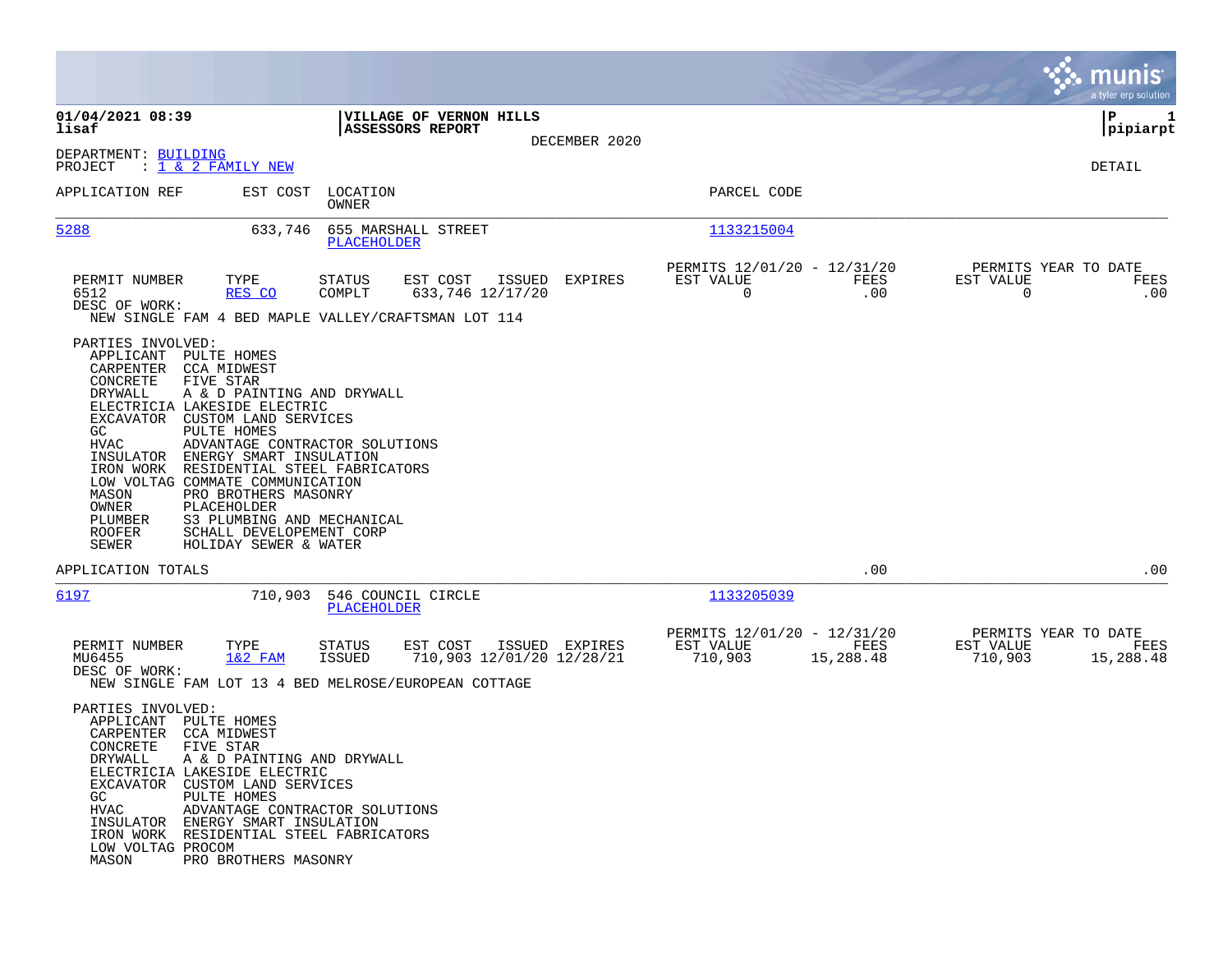|                                                                                                                                                                                                                                                                                                                                                                                                                                                                                                                                                     |                                                                                                                                     |               |                                                                          | munis<br>a tyler erp solution                                     |
|-----------------------------------------------------------------------------------------------------------------------------------------------------------------------------------------------------------------------------------------------------------------------------------------------------------------------------------------------------------------------------------------------------------------------------------------------------------------------------------------------------------------------------------------------------|-------------------------------------------------------------------------------------------------------------------------------------|---------------|--------------------------------------------------------------------------|-------------------------------------------------------------------|
| 01/04/2021 08:39<br>lisaf                                                                                                                                                                                                                                                                                                                                                                                                                                                                                                                           | VILLAGE OF VERNON HILLS<br><b>ASSESSORS REPORT</b>                                                                                  |               |                                                                          | P<br>1<br>pipiarpt                                                |
| DEPARTMENT: BUILDING<br>: $\overline{1}$ & 2 FAMILY NEW<br>PROJECT                                                                                                                                                                                                                                                                                                                                                                                                                                                                                  |                                                                                                                                     | DECEMBER 2020 |                                                                          | DETAIL                                                            |
| APPLICATION REF                                                                                                                                                                                                                                                                                                                                                                                                                                                                                                                                     | EST COST LOCATION<br>OWNER                                                                                                          |               | PARCEL CODE                                                              |                                                                   |
| 5288<br>633,746                                                                                                                                                                                                                                                                                                                                                                                                                                                                                                                                     | 655 MARSHALL STREET<br><b>PLACEHOLDER</b>                                                                                           |               | 1133215004                                                               |                                                                   |
| PERMIT NUMBER<br>TYPE<br>6512<br>RES CO<br>DESC OF WORK:<br>NEW SINGLE FAM 4 BED MAPLE VALLEY/CRAFTSMAN LOT 114                                                                                                                                                                                                                                                                                                                                                                                                                                     | <b>STATUS</b><br>EST COST<br>ISSUED<br>633,746 12/17/20<br>COMPLT                                                                   | EXPIRES       | PERMITS 12/01/20 - 12/31/20<br>EST VALUE<br>FEES<br>$\mathbf 0$<br>.00   | PERMITS YEAR TO DATE<br>EST VALUE<br>FEES<br>$\Omega$<br>.00      |
| PARTIES INVOLVED:<br>APPLICANT PULTE HOMES<br>CARPENTER CCA MIDWEST<br>CONCRETE<br>FIVE STAR<br><b>DRYWALL</b><br>A & D PAINTING AND DRYWALL<br>ELECTRICIA LAKESIDE ELECTRIC<br>EXCAVATOR CUSTOM LAND SERVICES<br>PULTE HOMES<br>GC<br>HVAC<br>INSULATOR ENERGY SMART INSULATION<br>RESIDENTIAL STEEL FABRICATORS<br>IRON WORK<br>LOW VOLTAG COMMATE COMMUNICATION<br>MASON<br>PRO BROTHERS MASONRY<br>OWNER<br>PLACEHOLDER<br>PLUMBER<br>S3 PLUMBING AND MECHANICAL<br>ROOFER<br>SCHALL DEVELOPEMENT CORP<br><b>SEWER</b><br>HOLIDAY SEWER & WATER | ADVANTAGE CONTRACTOR SOLUTIONS                                                                                                      |               |                                                                          |                                                                   |
| APPLICATION TOTALS                                                                                                                                                                                                                                                                                                                                                                                                                                                                                                                                  |                                                                                                                                     |               | .00                                                                      | .00                                                               |
| 6197<br>710,903                                                                                                                                                                                                                                                                                                                                                                                                                                                                                                                                     | 546 COUNCIL CIRCLE<br><b>PLACEHOLDER</b>                                                                                            |               | 1133205039                                                               |                                                                   |
| PERMIT NUMBER<br>TYPE<br>MU6455<br>$1&2$ FAM<br>DESC OF WORK:                                                                                                                                                                                                                                                                                                                                                                                                                                                                                       | STATUS<br>EST COST<br>ISSUED EXPIRES<br>710,903 12/01/20 12/28/21<br>ISSUED<br>NEW SINGLE FAM LOT 13 4 BED MELROSE/EUROPEAN COTTAGE |               | PERMITS 12/01/20 - 12/31/20<br>EST VALUE<br>FEES<br>710,903<br>15,288.48 | PERMITS YEAR TO DATE<br>EST VALUE<br>FEES<br>710,903<br>15,288.48 |
| PARTIES INVOLVED:<br>APPLICANT PULTE HOMES<br>CARPENTER<br><b>CCA MIDWEST</b><br>CONCRETE<br>FIVE STAR<br>DRYWALL<br>A & D PAINTING AND DRYWALL<br>ELECTRICIA LAKESIDE ELECTRIC<br>EXCAVATOR CUSTOM LAND SERVICES<br>PULTE HOMES<br>GC<br><b>HVAC</b><br>INSULATOR ENERGY SMART INSULATION<br>IRON WORK RESIDENTIAL STEEL FABRICATORS<br>LOW VOLTAG PROCOM<br>MASON<br>PRO BROTHERS MASONRY                                                                                                                                                         | ADVANTAGE CONTRACTOR SOLUTIONS                                                                                                      |               |                                                                          |                                                                   |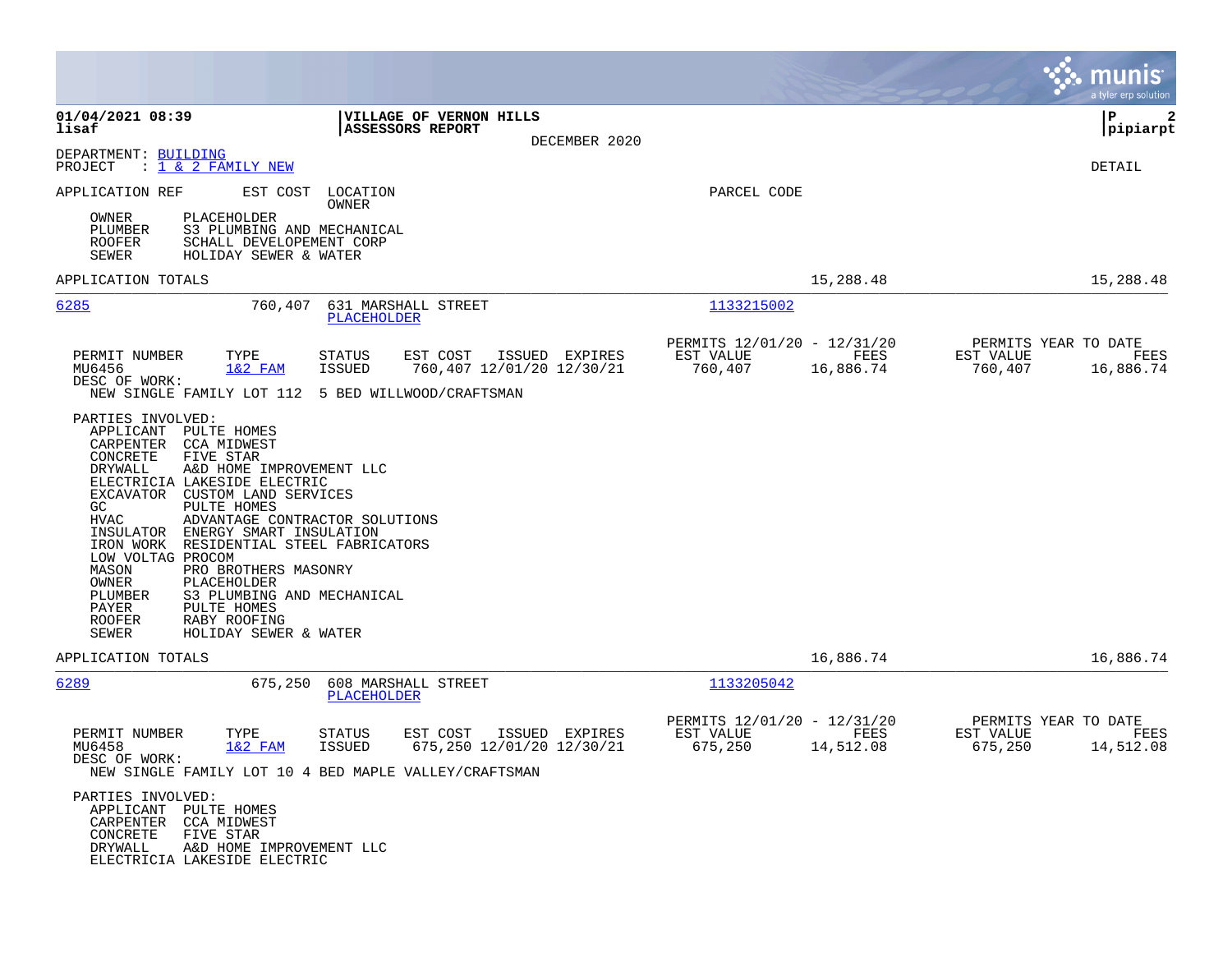|                                                                                                                                                                                                                                                                                                                                                                                                                                                                                                                                                                               | munis<br>a tyler erp solution                                                                                                                        |
|-------------------------------------------------------------------------------------------------------------------------------------------------------------------------------------------------------------------------------------------------------------------------------------------------------------------------------------------------------------------------------------------------------------------------------------------------------------------------------------------------------------------------------------------------------------------------------|------------------------------------------------------------------------------------------------------------------------------------------------------|
| 01/04/2021 08:39<br><b>VILLAGE OF VERNON HILLS</b><br>lisaf<br><b>ASSESSORS REPORT</b><br>DECEMBER 2020                                                                                                                                                                                                                                                                                                                                                                                                                                                                       | l P<br>$\mathbf{2}$<br> pipiarpt                                                                                                                     |
| DEPARTMENT: BUILDING<br>$: 1 \& 2$ FAMILY NEW<br>PROJECT                                                                                                                                                                                                                                                                                                                                                                                                                                                                                                                      | <b>DETAIL</b>                                                                                                                                        |
| EST COST LOCATION<br>APPLICATION REF<br>OWNER                                                                                                                                                                                                                                                                                                                                                                                                                                                                                                                                 | PARCEL CODE                                                                                                                                          |
| <b>PLACEHOLDER</b><br>OWNER<br>PLUMBER<br>S3 PLUMBING AND MECHANICAL<br><b>ROOFER</b><br>SCHALL DEVELOPEMENT CORP<br>SEWER<br>HOLIDAY SEWER & WATER                                                                                                                                                                                                                                                                                                                                                                                                                           |                                                                                                                                                      |
| APPLICATION TOTALS                                                                                                                                                                                                                                                                                                                                                                                                                                                                                                                                                            | 15,288.48<br>15,288.48                                                                                                                               |
| 6285<br>760,407 631 MARSHALL STREET<br><b>PLACEHOLDER</b>                                                                                                                                                                                                                                                                                                                                                                                                                                                                                                                     | 1133215002                                                                                                                                           |
| PERMIT NUMBER<br>TYPE<br><b>STATUS</b><br>EST COST<br>ISSUED EXPIRES<br>MU6456<br>$1&2$ FAM<br><b>ISSUED</b><br>760,407 12/01/20 12/30/21                                                                                                                                                                                                                                                                                                                                                                                                                                     | PERMITS 12/01/20 - 12/31/20<br>PERMITS YEAR TO DATE<br>FEES<br>EST VALUE<br>EST VALUE<br>FEES<br>760,407<br>16,886.74<br>760,407<br>16,886.74        |
| DESC OF WORK:<br>NEW SINGLE FAMILY LOT 112 5 BED WILLWOOD/CRAFTSMAN                                                                                                                                                                                                                                                                                                                                                                                                                                                                                                           |                                                                                                                                                      |
| PARTIES INVOLVED:<br>APPLICANT PULTE HOMES<br>CARPENTER CCA MIDWEST<br>FIVE STAR<br>CONCRETE<br>DRYWALL<br>A&D HOME IMPROVEMENT LLC<br>ELECTRICIA LAKESIDE ELECTRIC<br>EXCAVATOR CUSTOM LAND SERVICES<br>GC<br>PULTE HOMES<br><b>HVAC</b><br>ADVANTAGE CONTRACTOR SOLUTIONS<br>INSULATOR ENERGY SMART INSULATION<br>IRON WORK RESIDENTIAL STEEL FABRICATORS<br>LOW VOLTAG PROCOM<br>MASON<br>PRO BROTHERS MASONRY<br>OWNER<br>PLACEHOLDER<br>PLUMBER<br>S3 PLUMBING AND MECHANICAL<br>PULTE HOMES<br>PAYER<br><b>ROOFER</b><br>RABY ROOFING<br>SEWER<br>HOLIDAY SEWER & WATER |                                                                                                                                                      |
| APPLICATION TOTALS                                                                                                                                                                                                                                                                                                                                                                                                                                                                                                                                                            | 16,886.74<br>16,886.74                                                                                                                               |
| 6289<br>675,250 608 MARSHALL STREET<br>PLACEHOLDER                                                                                                                                                                                                                                                                                                                                                                                                                                                                                                                            | 1133205042                                                                                                                                           |
| PERMIT NUMBER<br>TYPE<br><b>STATUS</b><br>EST COST<br>ISSUED EXPIRES<br>$1&2$ FAM<br>675,250 12/01/20 12/30/21<br>MU6458<br>ISSUED<br>DESC OF WORK:<br>NEW SINGLE FAMILY LOT 10 4 BED MAPLE VALLEY/CRAFTSMAN                                                                                                                                                                                                                                                                                                                                                                  | PERMITS 12/01/20 - 12/31/20<br>PERMITS YEAR TO DATE<br>EST VALUE<br>EST VALUE<br>FEES<br><b>FEES</b><br>675,250<br>14,512.08<br>675,250<br>14,512.08 |
| PARTIES INVOLVED:<br>APPLICANT PULTE HOMES<br>CARPENTER CCA MIDWEST<br>CONCRETE<br>FIVE STAR<br>DRYWALL<br>A&D HOME IMPROVEMENT LLC<br>ELECTRICIA LAKESIDE ELECTRIC                                                                                                                                                                                                                                                                                                                                                                                                           |                                                                                                                                                      |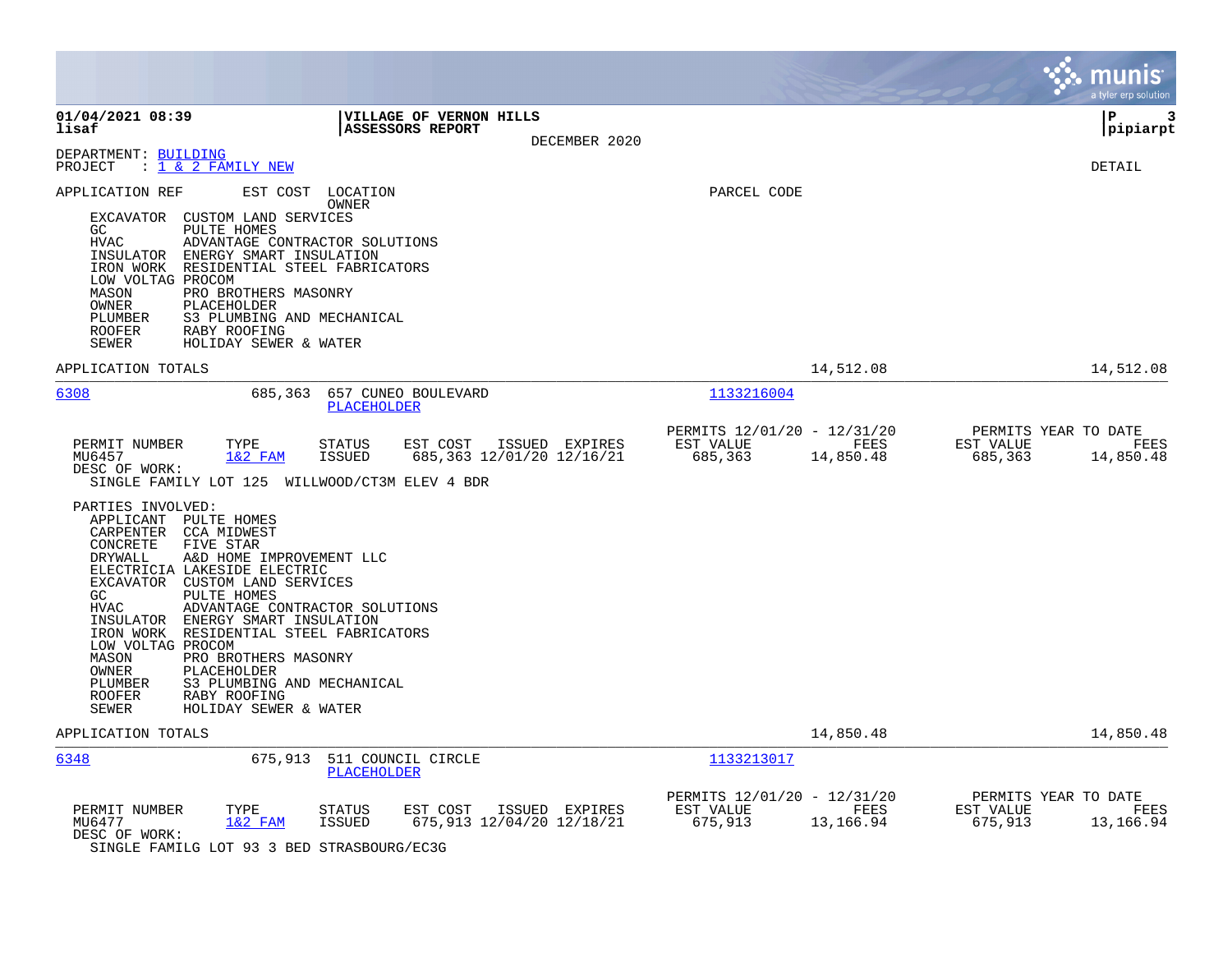|                                                                                                                                                                                                                                                                                                                                                                                                                                                                                                                                                              |                                                                                                                                                                                                                                                                                                                                                                                                                                                                                                                                                    |                                                     |                                                                                                                          | munis<br>a tyler erp solution                                     |
|--------------------------------------------------------------------------------------------------------------------------------------------------------------------------------------------------------------------------------------------------------------------------------------------------------------------------------------------------------------------------------------------------------------------------------------------------------------------------------------------------------------------------------------------------------------|----------------------------------------------------------------------------------------------------------------------------------------------------------------------------------------------------------------------------------------------------------------------------------------------------------------------------------------------------------------------------------------------------------------------------------------------------------------------------------------------------------------------------------------------------|-----------------------------------------------------|--------------------------------------------------------------------------------------------------------------------------|-------------------------------------------------------------------|
| 01/04/2021 08:39<br>lisaf                                                                                                                                                                                                                                                                                                                                                                                                                                                                                                                                    | <b>VILLAGE OF VERNON HILLS</b><br><b>ASSESSORS REPORT</b><br>DECEMBER 2020                                                                                                                                                                                                                                                                                                                                                                                                                                                                         |                                                     |                                                                                                                          | l P<br>3<br> pipiarpt                                             |
| DEPARTMENT: BUILDING<br>PROJECT<br>: <u>1 &amp; 2 FAMILY NEW</u>                                                                                                                                                                                                                                                                                                                                                                                                                                                                                             |                                                                                                                                                                                                                                                                                                                                                                                                                                                                                                                                                    |                                                     |                                                                                                                          | DETAIL                                                            |
| APPLICATION REF<br>EXCAVATOR CUSTOM LAND SERVICES<br>PULTE HOMES<br>GC<br>HVAC<br>ADVANTAGE CONTRACTOR SOLUTIONS<br>INSULATOR ENERGY SMART INSULATION<br>IRON WORK RESIDENTIAL STEEL FABRICATORS<br>LOW VOLTAG PROCOM<br>PRO BROTHERS MASONRY<br>MASON<br>OWNER<br>PLACEHOLDER<br>S3 PLUMBING AND MECHANICAL<br>PLUMBER<br><b>ROOFER</b><br>RABY ROOFING<br><b>SEWER</b><br>HOLIDAY SEWER & WATER                                                                                                                                                            | EST COST LOCATION<br>OWNER                                                                                                                                                                                                                                                                                                                                                                                                                                                                                                                         | PARCEL CODE                                         |                                                                                                                          |                                                                   |
| APPLICATION TOTALS                                                                                                                                                                                                                                                                                                                                                                                                                                                                                                                                           |                                                                                                                                                                                                                                                                                                                                                                                                                                                                                                                                                    |                                                     | 14,512.08                                                                                                                | 14,512.08                                                         |
| 6308                                                                                                                                                                                                                                                                                                                                                                                                                                                                                                                                                         | 685,363 657 CUNEO BOULEVARD<br>PLACEHOLDER                                                                                                                                                                                                                                                                                                                                                                                                                                                                                                         | 1133216004                                          |                                                                                                                          |                                                                   |
| PERMIT NUMBER<br>TYPE<br>MU6457<br>$1&2$ FAM<br>DESC OF WORK:<br>SINGLE FAMILY LOT 125 WILLWOOD/CT3M ELEV 4 BDR                                                                                                                                                                                                                                                                                                                                                                                                                                              | <b>STATUS</b><br>EST COST ISSUED EXPIRES<br><b>ISSUED</b><br>685,363 12/01/20 12/16/21                                                                                                                                                                                                                                                                                                                                                                                                                                                             | PERMITS 12/01/20 - 12/31/20<br>EST VALUE<br>685,363 | <b>EXECUTE: EXECUTE: EXECUTE: EXECUTE: EXECUTE: EXECUTE: EXECUTE: EXECUTE: EXECUTE: EXECUTE: EXECUTE: E</b><br>14,850.48 | PERMITS YEAR TO DATE<br>EST VALUE<br>FEES<br>685,363<br>14,850.48 |
| PARTIES INVOLVED:<br>APPLICANT PULTE HOMES<br>CARPENTER CCA MIDWEST<br>FIVE STAR<br>CONCRETE<br>A&D HOME IMPROVEMENT LLC<br>DRYWALL<br>ELECTRICIA LAKESIDE ELECTRIC<br>EXCAVATOR CUSTOM LAND SERVICES<br>GC<br>PULTE HOMES<br>ADVANTAGE CONTRACTOR SOLUTIONS<br><b>HVAC</b><br>INSULATOR ENERGY SMART INSULATION<br>IRON WORK RESIDENTIAL STEEL FABRICATORS<br>LOW VOLTAG PROCOM<br>MASON<br>PRO BROTHERS MASONRY<br><b>OWNER</b><br>PLACEHOLDER<br>S3 PLUMBING AND MECHANICAL<br>PLUMBER<br><b>ROOFER</b><br>RABY ROOFING<br>SEWER<br>HOLIDAY SEWER & WATER |                                                                                                                                                                                                                                                                                                                                                                                                                                                                                                                                                    |                                                     |                                                                                                                          |                                                                   |
| APPLICATION TOTALS                                                                                                                                                                                                                                                                                                                                                                                                                                                                                                                                           |                                                                                                                                                                                                                                                                                                                                                                                                                                                                                                                                                    |                                                     | 14,850.48                                                                                                                | 14,850.48                                                         |
| 6348<br>675,913                                                                                                                                                                                                                                                                                                                                                                                                                                                                                                                                              | 511 COUNCIL CIRCLE<br><b>PLACEHOLDER</b>                                                                                                                                                                                                                                                                                                                                                                                                                                                                                                           | 1133213017                                          |                                                                                                                          |                                                                   |
| PERMIT NUMBER<br>TYPE<br>MU6477<br>$1&2$ FAM<br>DESC OF WORK:<br>---- -- ----                                                                                                                                                                                                                                                                                                                                                                                                                                                                                | <b>STATUS</b><br>EST COST<br>ISSUED EXPIRES<br>675,913 12/04/20 12/18/21<br>ISSUED<br>$\mathcal{L} = \mathcal{L} = \mathcal{L} = \mathcal{L} = \mathcal{L} = \mathcal{L} = \mathcal{L} = \mathcal{L} = \mathcal{L} = \mathcal{L} = \mathcal{L} = \mathcal{L} = \mathcal{L} = \mathcal{L} = \mathcal{L} = \mathcal{L} = \mathcal{L} = \mathcal{L} = \mathcal{L} = \mathcal{L} = \mathcal{L} = \mathcal{L} = \mathcal{L} = \mathcal{L} = \mathcal{L} = \mathcal{L} = \mathcal{L} = \mathcal{L} = \mathcal{L} = \mathcal{L} = \mathcal{L} = \mathcal$ | PERMITS 12/01/20 - 12/31/20<br>EST VALUE<br>675,913 | <b>EXECUTE: PEES</b><br>13,166.94                                                                                        | PERMITS YEAR TO DATE<br>EST VALUE<br>FEES<br>675,913<br>13,166.94 |

SINGLE FAMILG LOT 93 3 BED STRASBOURG/EC3G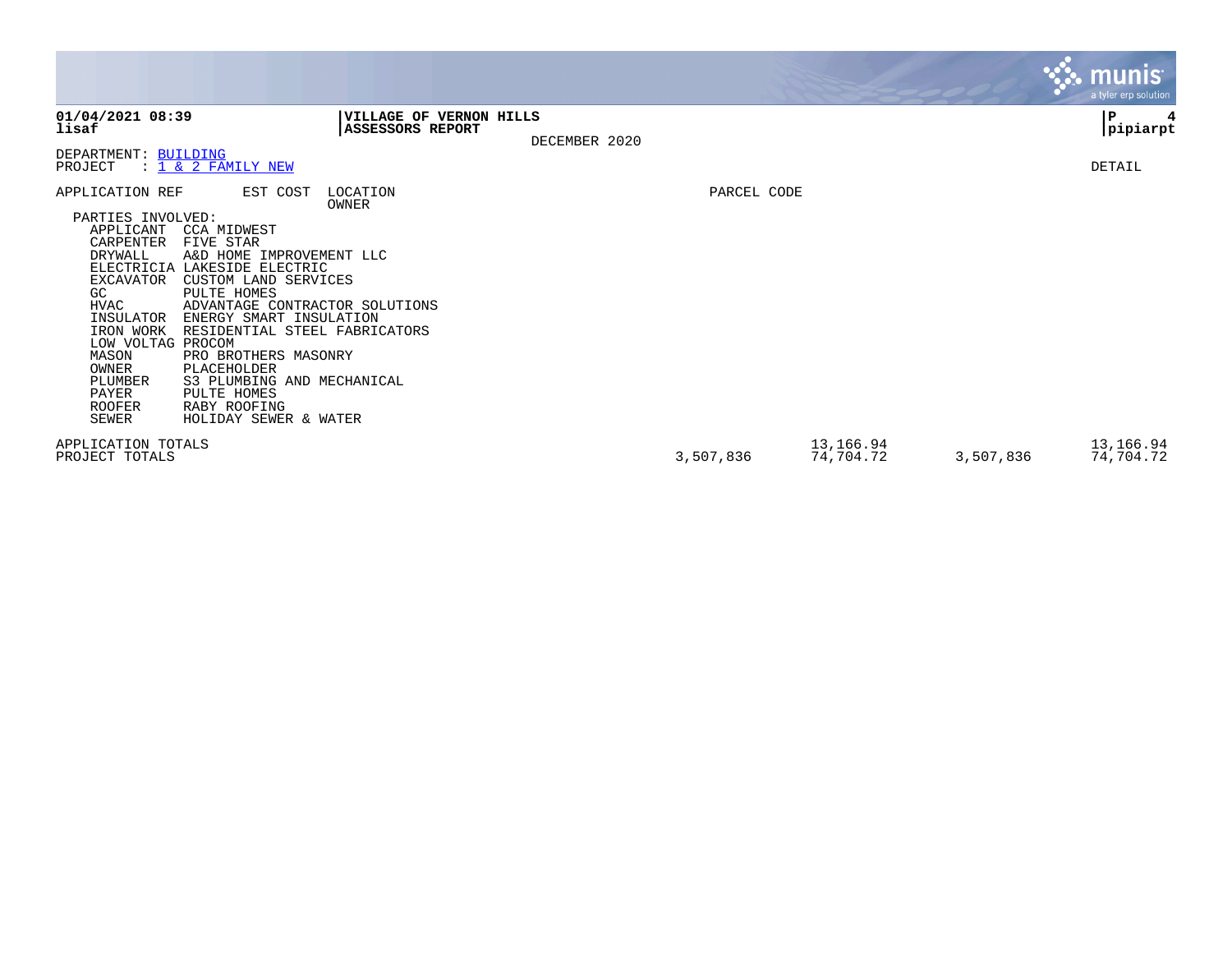|                                                                                                                                                                                                                                                                                                                                                                                                                                                                                                                                                                                                         |                                                    |               |             |                        |           | munis <sup>®</sup><br>a tyler erp solution |
|---------------------------------------------------------------------------------------------------------------------------------------------------------------------------------------------------------------------------------------------------------------------------------------------------------------------------------------------------------------------------------------------------------------------------------------------------------------------------------------------------------------------------------------------------------------------------------------------------------|----------------------------------------------------|---------------|-------------|------------------------|-----------|--------------------------------------------|
| 01/04/2021 08:39<br>lisaf                                                                                                                                                                                                                                                                                                                                                                                                                                                                                                                                                                               | VILLAGE OF VERNON HILLS<br><b>ASSESSORS REPORT</b> | DECEMBER 2020 |             |                        |           | P<br>4<br> pipiarpt                        |
| DEPARTMENT: BUILDING<br>: 1 & 2 FAMILY NEW<br>PROJECT                                                                                                                                                                                                                                                                                                                                                                                                                                                                                                                                                   |                                                    |               |             |                        |           | DETAIL                                     |
| APPLICATION REF<br>EST COST<br>PARTIES INVOLVED:<br>APPLICANT<br>CCA MIDWEST<br><b>CARPENTER</b><br>FIVE STAR<br>DRYWALL<br>A&D HOME IMPROVEMENT LLC<br>ELECTRICIA LAKESIDE ELECTRIC<br>CUSTOM LAND SERVICES<br><b>EXCAVATOR</b><br>GC<br>PULTE HOMES<br>HVAC<br>ADVANTAGE CONTRACTOR SOLUTIONS<br>INSULATOR<br>ENERGY SMART INSULATION<br>RESIDENTIAL STEEL FABRICATORS<br>IRON WORK<br>LOW VOLTAG PROCOM<br>MASON<br>PRO BROTHERS MASONRY<br>OWNER<br>PLACEHOLDER<br>PLUMBER<br>S3 PLUMBING AND MECHANICAL<br>PAYER<br>PULTE HOMES<br><b>ROOFER</b><br>RABY ROOFING<br>SEWER<br>HOLIDAY SEWER & WATER | LOCATION<br>OWNER                                  |               | PARCEL CODE |                        |           |                                            |
| APPLICATION TOTALS<br>PROJECT TOTALS                                                                                                                                                                                                                                                                                                                                                                                                                                                                                                                                                                    |                                                    |               | 3,507,836   | 13,166.94<br>74,704.72 | 3,507,836 | 13,166.94<br>74,704.72                     |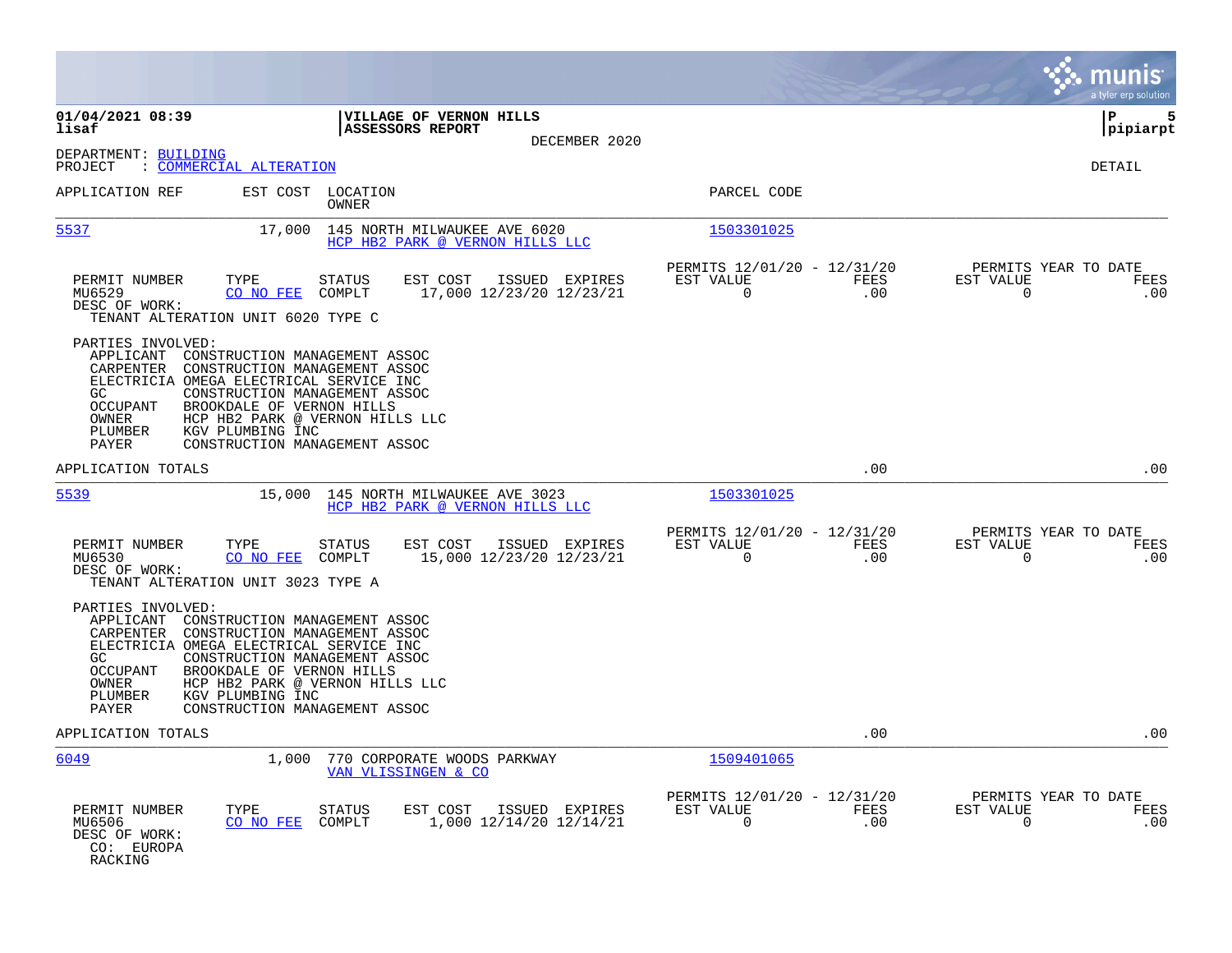|                                                                                                                                                                                                       |                                                                                                                                                                     |                                                         |                    | a tyler erp solution                                            |
|-------------------------------------------------------------------------------------------------------------------------------------------------------------------------------------------------------|---------------------------------------------------------------------------------------------------------------------------------------------------------------------|---------------------------------------------------------|--------------------|-----------------------------------------------------------------|
| 01/04/2021 08:39<br>lisaf                                                                                                                                                                             | VILLAGE OF VERNON HILLS<br>ASSESSORS REPORT<br>DECEMBER 2020                                                                                                        |                                                         |                    | lР<br>5<br> pipiarpt                                            |
| DEPARTMENT: BUILDING<br><u>COMMERCIAL ALTERATION</u><br>PROJECT                                                                                                                                       |                                                                                                                                                                     |                                                         |                    | DETAIL                                                          |
| APPLICATION REF                                                                                                                                                                                       | EST COST LOCATION<br>OWNER                                                                                                                                          | PARCEL CODE                                             |                    |                                                                 |
| 5537<br>17,000                                                                                                                                                                                        | 145 NORTH MILWAUKEE AVE 6020<br>HCP HB2 PARK @ VERNON HILLS LLC                                                                                                     | 1503301025                                              |                    |                                                                 |
| PERMIT NUMBER<br>TYPE<br>MU6529<br>CO NO FEE<br>DESC OF WORK:<br>TENANT ALTERATION UNIT 6020 TYPE C                                                                                                   | EST COST<br>ISSUED EXPIRES<br>STATUS<br>COMPLT<br>17,000 12/23/20 12/23/21                                                                                          | PERMITS 12/01/20 - 12/31/20<br>EST VALUE<br>$\mathbf 0$ | FEES<br>.00        | PERMITS YEAR TO DATE<br>EST VALUE<br>FEES<br>$\mathbf 0$<br>.00 |
| PARTIES INVOLVED:<br>APPLICANT<br>CARPENTER<br>ELECTRICIA OMEGA ELECTRICAL SERVICE INC<br>GC<br>BROOKDALE OF VERNON HILLS<br><b>OCCUPANT</b><br>OWNER<br>PLUMBER<br>KGV PLUMBING INC<br>PAYER         | CONSTRUCTION MANAGEMENT ASSOC<br>CONSTRUCTION MANAGEMENT ASSOC<br>CONSTRUCTION MANAGEMENT ASSOC<br>HCP HB2 PARK @ VERNON HILLS LLC<br>CONSTRUCTION MANAGEMENT ASSOC |                                                         |                    |                                                                 |
| APPLICATION TOTALS                                                                                                                                                                                    |                                                                                                                                                                     |                                                         | .00                | .00                                                             |
| 5539<br>15,000                                                                                                                                                                                        | 145 NORTH MILWAUKEE AVE 3023<br>HCP HB2 PARK @ VERNON HILLS LLC                                                                                                     | 1503301025                                              |                    |                                                                 |
| PERMIT NUMBER<br>TYPE<br>MU6530<br>CO NO FEE<br>DESC OF WORK:<br>TENANT ALTERATION UNIT 3023 TYPE A                                                                                                   | EST COST<br>STATUS<br>ISSUED EXPIRES<br>15,000 12/23/20 12/23/21<br>COMPLT                                                                                          | PERMITS 12/01/20 - 12/31/20<br>EST VALUE<br>$\mathbf 0$ | FEES<br>.00        | PERMITS YEAR TO DATE<br>EST VALUE<br>FEES<br>0<br>.00           |
| PARTIES INVOLVED:<br>APPLICANT<br>CARPENTER<br>ELECTRICIA OMEGA ELECTRICAL SERVICE INC<br>GC.<br><b>OCCUPANT</b><br>BROOKDALE OF VERNON HILLS<br>OWNER<br>PLUMBER<br>KGV PLUMBING INC<br><b>PAYER</b> | CONSTRUCTION MANAGEMENT ASSOC<br>CONSTRUCTION MANAGEMENT ASSOC<br>CONSTRUCTION MANAGEMENT ASSOC<br>HCP HB2 PARK @ VERNON HILLS LLC<br>CONSTRUCTION MANAGEMENT ASSOC |                                                         |                    |                                                                 |
| APPLICATION TOTALS                                                                                                                                                                                    |                                                                                                                                                                     |                                                         | .00                | .00                                                             |
| 6049<br>1,000                                                                                                                                                                                         | 770 CORPORATE WOODS PARKWAY<br>VAN VLISSINGEN & CO                                                                                                                  | 1509401065                                              |                    |                                                                 |
| PERMIT NUMBER<br>TYPE<br>CO NO FEE<br>MU6506<br>DESC OF WORK:<br>CO: EUROPA<br>RACKING                                                                                                                | STATUS<br>EST COST<br>ISSUED EXPIRES<br>COMPLT<br>1,000 12/14/20 12/14/21                                                                                           | PERMITS 12/01/20 - 12/31/20<br>EST VALUE<br>$\mathbf 0$ | <b>FEES</b><br>.00 | PERMITS YEAR TO DATE<br>EST VALUE<br>FEES<br>$\mathbf 0$<br>.00 |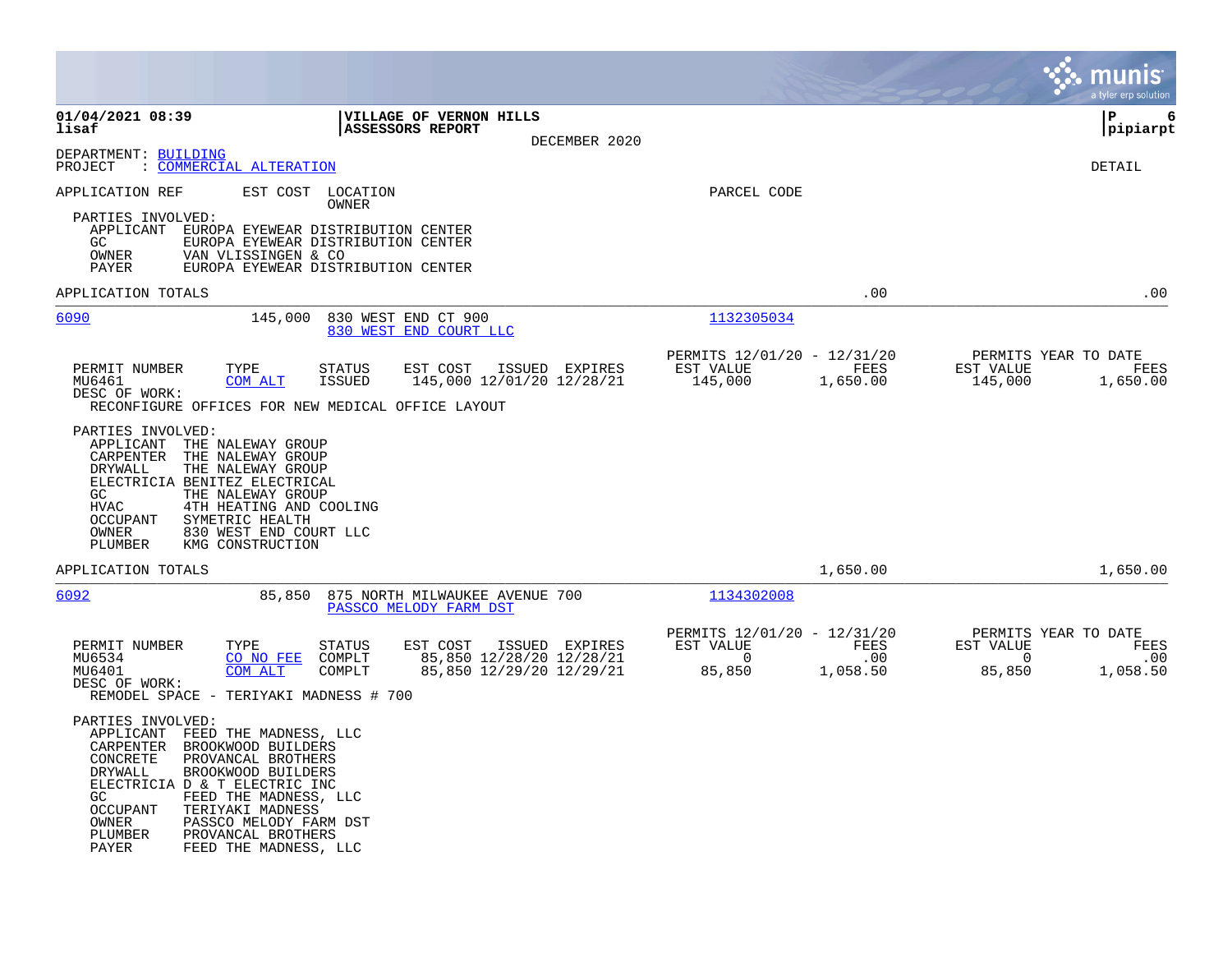|                                                                                                                                                                                                                                                                                                                                                                             |                                                                                                  | munis<br>a tyler erp solut <u>ion</u>                                                           |
|-----------------------------------------------------------------------------------------------------------------------------------------------------------------------------------------------------------------------------------------------------------------------------------------------------------------------------------------------------------------------------|--------------------------------------------------------------------------------------------------|-------------------------------------------------------------------------------------------------|
| 01/04/2021 08:39<br><b>VILLAGE OF VERNON HILLS</b><br>lisaf<br><b>ASSESSORS REPORT</b><br>DECEMBER 2020                                                                                                                                                                                                                                                                     |                                                                                                  | l P<br>6<br> pipiarpt                                                                           |
| DEPARTMENT: BUILDING<br>: COMMERCIAL ALTERATION<br>PROJECT                                                                                                                                                                                                                                                                                                                  |                                                                                                  | DETAIL                                                                                          |
| APPLICATION REF<br>EST COST LOCATION<br>OWNER<br>PARTIES INVOLVED:<br>APPLICANT<br>EUROPA EYEWEAR DISTRIBUTION CENTER<br>GC<br>EUROPA EYEWEAR DISTRIBUTION CENTER<br>OWNER<br>VAN VLISSINGEN & CO<br>PAYER<br>EUROPA EYEWEAR DISTRIBUTION CENTER                                                                                                                            | PARCEL CODE                                                                                      |                                                                                                 |
| APPLICATION TOTALS                                                                                                                                                                                                                                                                                                                                                          | .00                                                                                              | .00                                                                                             |
| <u>6090</u><br>145,000<br>830 WEST END CT 900<br>830 WEST END COURT LLC                                                                                                                                                                                                                                                                                                     | 1132305034                                                                                       |                                                                                                 |
| PERMIT NUMBER<br>TYPE<br>ISSUED EXPIRES<br><b>STATUS</b><br>EST COST<br>145,000 12/01/20 12/28/21<br>MU6461<br>COM ALT<br><b>ISSUED</b><br>DESC OF WORK:<br>RECONFIGURE OFFICES FOR NEW MEDICAL OFFICE LAYOUT<br>PARTIES INVOLVED:<br>APPLICANT THE NALEWAY GROUP<br>CARPENTER<br>THE NALEWAY GROUP                                                                         | PERMITS 12/01/20 - 12/31/20<br>EST VALUE<br>FEES<br>145,000<br>1,650.00                          | PERMITS YEAR TO DATE<br>EST VALUE<br>FEES<br>145,000<br>1,650.00                                |
| DRYWALL<br>THE NALEWAY GROUP<br>ELECTRICIA BENITEZ ELECTRICAL<br>GC<br>THE NALEWAY GROUP<br><b>HVAC</b><br>4TH HEATING AND COOLING<br>SYMETRIC HEALTH<br>OCCUPANT<br>830 WEST END COURT LLC<br>OWNER<br>PLUMBER<br>KMG CONSTRUCTION                                                                                                                                         |                                                                                                  |                                                                                                 |
| APPLICATION TOTALS                                                                                                                                                                                                                                                                                                                                                          | 1,650.00                                                                                         | 1,650.00                                                                                        |
| 6092<br>85,850<br>875 NORTH MILWAUKEE AVENUE 700<br>PASSCO MELODY FARM DST                                                                                                                                                                                                                                                                                                  | 1134302008                                                                                       |                                                                                                 |
| EST COST<br>ISSUED EXPIRES<br>PERMIT NUMBER<br>TYPE<br><b>STATUS</b><br>85,850 12/28/20 12/28/21<br>MU6534<br>CO NO FEE<br>COMPLT<br>COM ALT<br>85,850 12/29/20 12/29/21<br>MU6401<br>COMPLT<br>DESC OF WORK:<br>REMODEL SPACE - TERIYAKI MADNESS # 700                                                                                                                     | PERMITS 12/01/20 - 12/31/20<br>EST VALUE<br><b>FEES</b><br>$\sim$ 0<br>.00<br>85,850<br>1,058.50 | PERMITS YEAR TO DATE<br>EST VALUE<br><b>FEES</b><br>$\overline{0}$<br>.00<br>85,850<br>1,058.50 |
| PARTIES INVOLVED:<br>APPLICANT<br>FEED THE MADNESS, LLC<br>CARPENTER<br>BROOKWOOD BUILDERS<br>CONCRETE<br>PROVANCAL BROTHERS<br>BROOKWOOD BUILDERS<br>DRYWALL<br>ELECTRICIA D & T ELECTRIC INC<br>GC.<br>FEED THE MADNESS, LLC<br><b>OCCUPANT</b><br>TERIYAKI MADNESS<br>PASSCO MELODY FARM DST<br>OWNER<br>PLUMBER<br>PROVANCAL BROTHERS<br>FEED THE MADNESS, LLC<br>PAYER |                                                                                                  |                                                                                                 |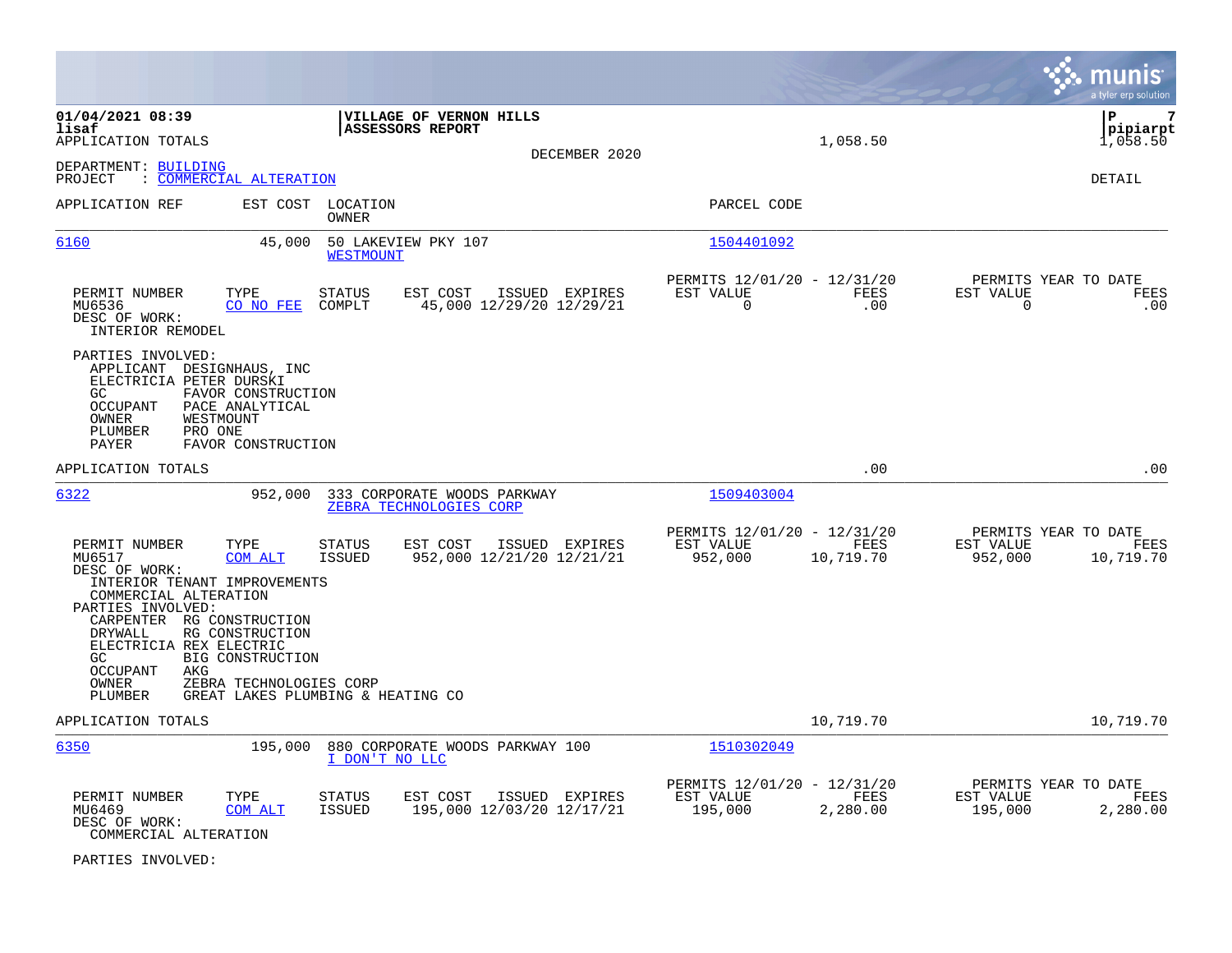|                                                                                                                                                                                                                                                                                                  |                                                                                                |                                                         |                                                      |                    |                                              | munis<br>a tyler erp solution   |
|--------------------------------------------------------------------------------------------------------------------------------------------------------------------------------------------------------------------------------------------------------------------------------------------------|------------------------------------------------------------------------------------------------|---------------------------------------------------------|------------------------------------------------------|--------------------|----------------------------------------------|---------------------------------|
| 01/04/2021 08:39<br>lisaf<br>APPLICATION TOTALS                                                                                                                                                                                                                                                  | ASSESSORS REPORT                                                                               | VILLAGE OF VERNON HILLS<br>DECEMBER 2020                |                                                      | 1,058.50           |                                              | lР<br>7<br>pipiarpt<br>1,058.50 |
| DEPARTMENT: BUILDING<br>PROJECT<br>: COMMERCIAL ALTERATION                                                                                                                                                                                                                                       |                                                                                                |                                                         |                                                      |                    |                                              | DETAIL                          |
| APPLICATION REF                                                                                                                                                                                                                                                                                  | EST COST LOCATION<br>OWNER                                                                     |                                                         | PARCEL CODE                                          |                    |                                              |                                 |
| 6160                                                                                                                                                                                                                                                                                             | 45,000<br>50 LAKEVIEW PKY 107<br><b>WESTMOUNT</b>                                              |                                                         | 1504401092                                           |                    |                                              |                                 |
| PERMIT NUMBER<br>TYPE<br>MU6536<br>CO NO FEE<br>DESC OF WORK:<br>INTERIOR REMODEL                                                                                                                                                                                                                | <b>STATUS</b><br>COMPLT                                                                        | EST COST<br>ISSUED EXPIRES<br>45,000 12/29/20 12/29/21  | PERMITS 12/01/20 - 12/31/20<br>EST VALUE<br>$\Omega$ | <b>FEES</b><br>.00 | PERMITS YEAR TO DATE<br>EST VALUE<br>0       | <b>FEES</b><br>.00              |
| PARTIES INVOLVED:<br>APPLICANT DESIGNHAUS, INC<br>ELECTRICIA PETER DURSKI<br>FAVOR CONSTRUCTION<br>GC.<br>OCCUPANT<br>PACE ANALYTICAL<br>WESTMOUNT<br>OWNER<br>PLUMBER<br>PRO ONE<br>PAYER<br>FAVOR CONSTRUCTION                                                                                 |                                                                                                |                                                         |                                                      |                    |                                              |                                 |
| APPLICATION TOTALS                                                                                                                                                                                                                                                                               |                                                                                                |                                                         |                                                      | .00                |                                              | .00                             |
| 6322                                                                                                                                                                                                                                                                                             | 952,000                                                                                        | 333 CORPORATE WOODS PARKWAY<br>ZEBRA TECHNOLOGIES CORP  | 1509403004                                           |                    |                                              |                                 |
| PERMIT NUMBER<br>TYPE<br>MU6517<br>COM ALT<br>DESC OF WORK:<br>INTERIOR TENANT IMPROVEMENTS<br>COMMERCIAL ALTERATION<br>PARTIES INVOLVED:<br>CARPENTER RG CONSTRUCTION<br>RG CONSTRUCTION<br>DRYWALL<br>ELECTRICIA REX ELECTRIC<br>BIG CONSTRUCTION<br>GC<br>AKG<br>OCCUPANT<br>OWNER<br>PLUMBER | <b>STATUS</b><br><b>ISSUED</b><br>ZEBRA TECHNOLOGIES CORP<br>GREAT LAKES PLUMBING & HEATING CO | EST COST<br>ISSUED EXPIRES<br>952,000 12/21/20 12/21/21 | PERMITS 12/01/20 - 12/31/20<br>EST VALUE<br>952,000  | FEES<br>10,719.70  | PERMITS YEAR TO DATE<br>EST VALUE<br>952,000 | FEES<br>10,719.70               |
| APPLICATION TOTALS                                                                                                                                                                                                                                                                               |                                                                                                |                                                         |                                                      | 10,719.70          |                                              | 10,719.70                       |
| 6350                                                                                                                                                                                                                                                                                             | 195,000<br>I DON'T NO LLC                                                                      | 880 CORPORATE WOODS PARKWAY 100                         | 1510302049<br>PERMITS 12/01/20 - 12/31/20            |                    | PERMITS YEAR TO DATE                         |                                 |
| PERMIT NUMBER<br>TYPE<br>MU6469<br>COM ALT<br>DESC OF WORK:<br>COMMERCIAL ALTERATION                                                                                                                                                                                                             | STATUS<br><b>ISSUED</b>                                                                        | EST COST<br>ISSUED EXPIRES<br>195,000 12/03/20 12/17/21 | EST VALUE<br>195,000                                 | FEES<br>2,280.00   | EST VALUE<br>195,000                         | FEES<br>2,280.00                |

PARTIES INVOLVED: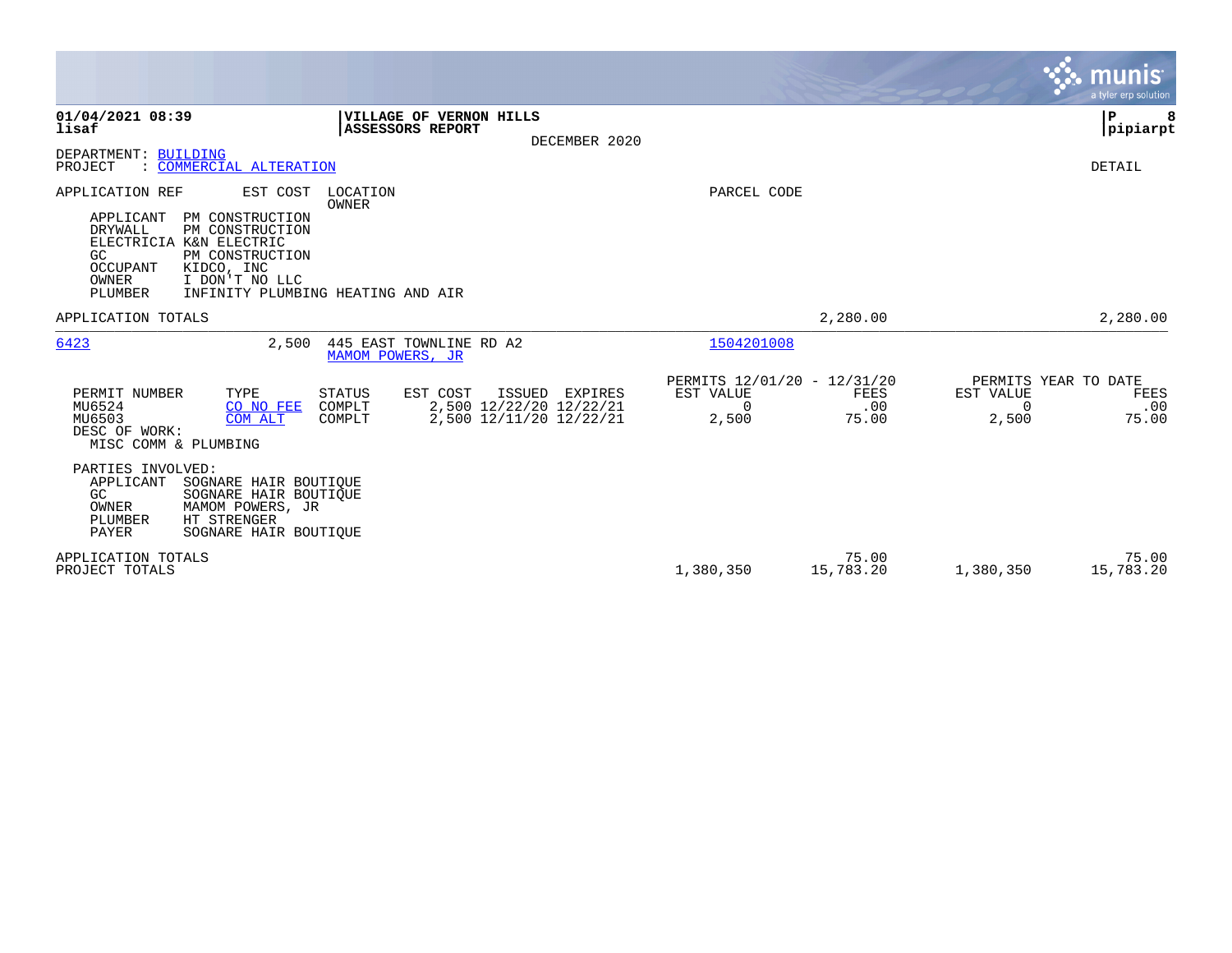|                                                                                                                                                                                                                      |                                                                                                                   |                                                               |                      | <b>munis</b><br>a tyler erp solution                                           |
|----------------------------------------------------------------------------------------------------------------------------------------------------------------------------------------------------------------------|-------------------------------------------------------------------------------------------------------------------|---------------------------------------------------------------|----------------------|--------------------------------------------------------------------------------|
| 01/04/2021 08:39<br>lisaf<br>DEPARTMENT: BUILDING                                                                                                                                                                    | VILLAGE OF VERNON HILLS<br>ASSESSORS REPORT<br>DECEMBER 2020                                                      |                                                               |                      | ∣P<br> pipiarpt                                                                |
| : COMMERCIAL ALTERATION<br>PROJECT                                                                                                                                                                                   |                                                                                                                   |                                                               |                      | DETAIL                                                                         |
| APPLICATION REF<br>EST COST<br>APPLICANT<br>PM CONSTRUCTION<br><b>DRYWALL</b><br>PM CONSTRUCTION<br>ELECTRICIA K&N ELECTRIC<br>GC<br>PM CONSTRUCTION<br>OCCUPANT<br>KIDCO, INC<br>OWNER<br>I DON'T NO LLC<br>PLUMBER | LOCATION<br>OWNER<br>INFINITY PLUMBING HEATING AND AIR                                                            | PARCEL CODE                                                   |                      |                                                                                |
| APPLICATION TOTALS                                                                                                                                                                                                   |                                                                                                                   |                                                               | 2,280.00             | 2,280.00                                                                       |
| 6423<br>2,500                                                                                                                                                                                                        | 445 EAST TOWNLINE RD A2<br>MAMOM POWERS, JR                                                                       | 1504201008                                                    |                      |                                                                                |
| PERMIT NUMBER<br>TYPE<br>MU6524<br>CO NO FEE<br>MU6503<br><b>COM ALT</b><br>DESC OF WORK:<br>MISC COMM & PLUMBING                                                                                                    | EST COST<br>STATUS<br>ISSUED<br>EXPIRES<br>2,500 12/22/20 12/22/21<br>COMPLT<br>2,500 12/11/20 12/22/21<br>COMPLT | PERMITS 12/01/20 - 12/31/20<br>EST VALUE<br>$\Omega$<br>2,500 | FEES<br>.00<br>75.00 | PERMITS YEAR TO DATE<br>EST VALUE<br>FEES<br>.00<br>$\Omega$<br>2,500<br>75.00 |
| PARTIES INVOLVED:<br>APPLICANT<br>SOGNARE HAIR BOUTIQUE<br>GC<br>SOGNARE HAIR BOUTIQUE<br>MAMOM POWERS, JR<br>OWNER<br>HT STRENGER<br>PLUMBER<br>PAYER<br>SOGNARE HAIR BOUTIOUE                                      |                                                                                                                   |                                                               |                      |                                                                                |
| APPLICATION TOTALS<br>PROJECT TOTALS                                                                                                                                                                                 |                                                                                                                   | 1,380,350                                                     | 75.00<br>15,783.20   | 75.00<br>15,783.20<br>1,380,350                                                |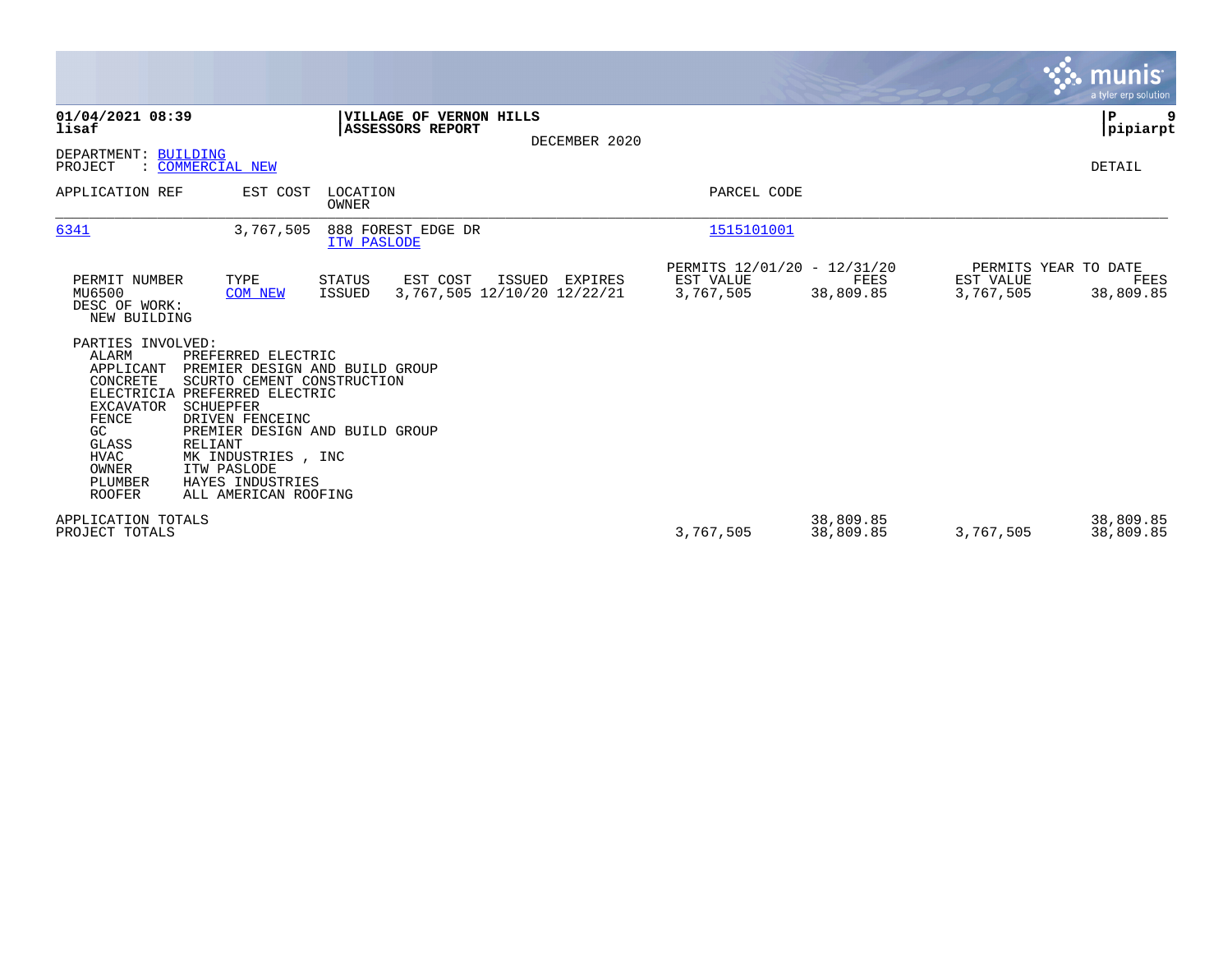|                                                                                                                                                     |                                                                                                                                                                                                                                                                                           |                   |                                                    |               |                                                       |                        |                        | <b>munis</b><br>a tyler erp solution      |
|-----------------------------------------------------------------------------------------------------------------------------------------------------|-------------------------------------------------------------------------------------------------------------------------------------------------------------------------------------------------------------------------------------------------------------------------------------------|-------------------|----------------------------------------------------|---------------|-------------------------------------------------------|------------------------|------------------------|-------------------------------------------|
| 01/04/2021 08:39<br>lisaf                                                                                                                           |                                                                                                                                                                                                                                                                                           |                   | VILLAGE OF VERNON HILLS<br><b>ASSESSORS REPORT</b> | DECEMBER 2020 |                                                       |                        |                        | $\mathbf P$<br>9<br>pipiarpt              |
| DEPARTMENT: BUILDING<br>PROJECT                                                                                                                     | : COMMERCIAL NEW                                                                                                                                                                                                                                                                          |                   |                                                    |               |                                                       |                        |                        | DETAIL                                    |
| APPLICATION REF                                                                                                                                     | EST COST                                                                                                                                                                                                                                                                                  | LOCATION<br>OWNER |                                                    |               | PARCEL CODE                                           |                        |                        |                                           |
| 6341                                                                                                                                                | 3,767,505                                                                                                                                                                                                                                                                                 | ITW PASLODE       | 888 FOREST EDGE DR                                 |               | 1515101001                                            |                        |                        |                                           |
| PERMIT NUMBER<br>MU6500<br>DESC OF WORK:<br>NEW BUILDING                                                                                            | TYPE<br><b>COM NEW</b>                                                                                                                                                                                                                                                                    | STATUS<br>ISSUED  | EST COST<br>ISSUED<br>3,767,505 12/10/20 12/22/21  | EXPIRES       | PERMITS 12/01/20 - 12/31/20<br>EST VALUE<br>3,767,505 | FEES<br>38,809.85      | EST VALUE<br>3,767,505 | PERMITS YEAR TO DATE<br>FEES<br>38,809.85 |
| PARTIES INVOLVED:<br>ALARM<br>APPLICANT<br>CONCRETE<br><b>EXCAVATOR</b><br>FENCE<br>GC<br>GLASS<br><b>HVAC</b><br>OWNER<br>PLUMBER<br><b>ROOFER</b> | PREFERRED ELECTRIC<br>PREMIER DESIGN AND BUILD GROUP<br>SCURTO CEMENT CONSTRUCTION<br>ELECTRICIA PREFERRED ELECTRIC<br><b>SCHUEPFER</b><br>DRIVEN FENCEINC<br>PREMIER DESIGN AND BUILD GROUP<br>RELIANT<br>MK INDUSTRIES , INC<br>ITW PASLODE<br>HAYES INDUSTRIES<br>ALL AMERICAN ROOFING |                   |                                                    |               |                                                       |                        |                        |                                           |
| APPLICATION TOTALS<br>PROJECT TOTALS                                                                                                                |                                                                                                                                                                                                                                                                                           |                   |                                                    |               | 3,767,505                                             | 38,809.85<br>38,809.85 | 3,767,505              | 38,809.85<br>38,809.85                    |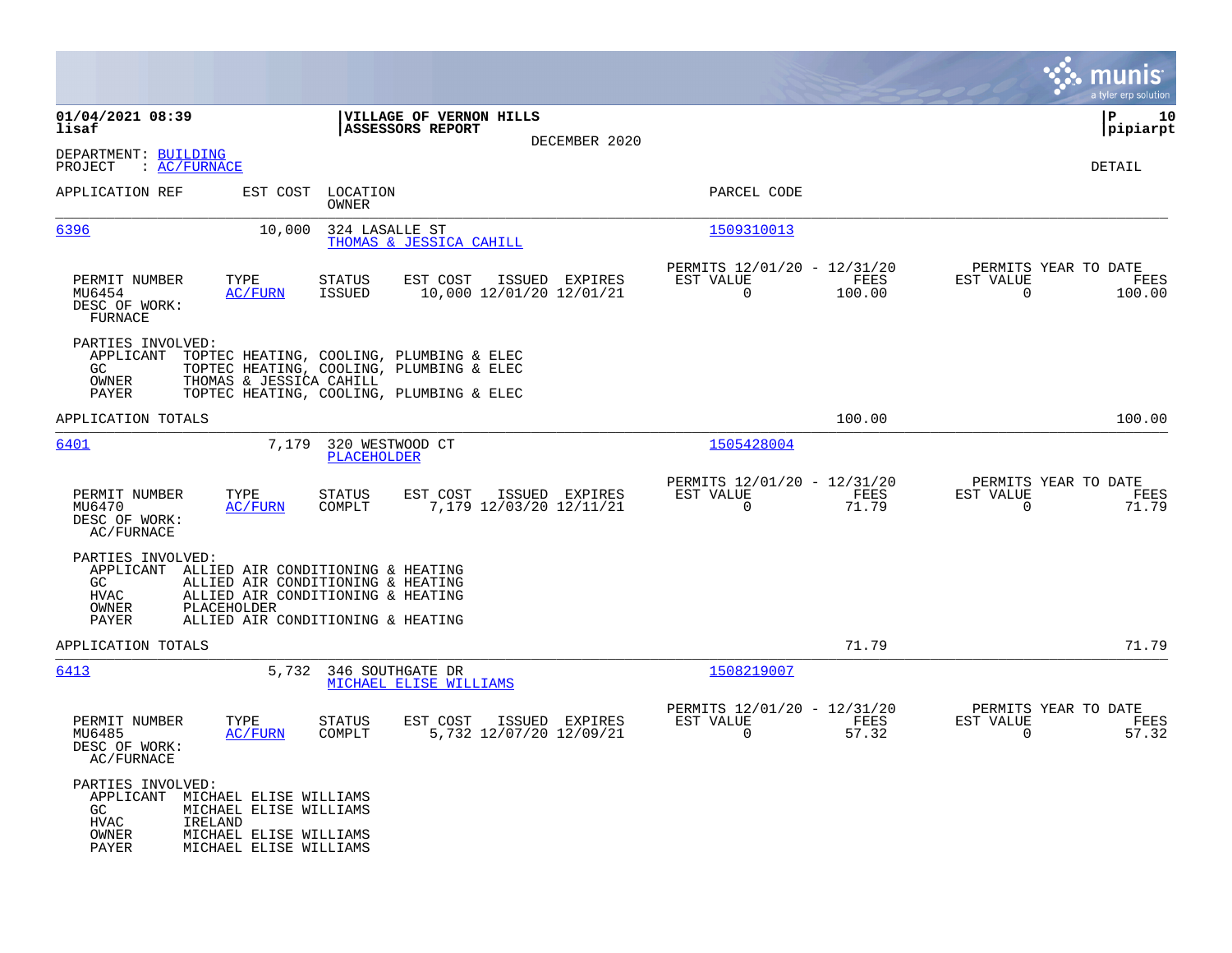|                                                                                  |                                                                                                                                                             |                                             |                |                                                         |                |                                                  | a tyler erp solution  |
|----------------------------------------------------------------------------------|-------------------------------------------------------------------------------------------------------------------------------------------------------------|---------------------------------------------|----------------|---------------------------------------------------------|----------------|--------------------------------------------------|-----------------------|
| 01/04/2021 08:39<br>lisaf                                                        |                                                                                                                                                             | VILLAGE OF VERNON HILLS<br>ASSESSORS REPORT | DECEMBER 2020  |                                                         |                |                                                  | 10<br> P<br> pipiarpt |
| DEPARTMENT: BUILDING<br>$\colon$ AC/FURNACE<br>PROJECT                           |                                                                                                                                                             |                                             |                |                                                         |                |                                                  | DETAIL                |
| APPLICATION REF                                                                  | EST COST<br>LOCATION<br>OWNER                                                                                                                               |                                             |                | PARCEL CODE                                             |                |                                                  |                       |
| 6396                                                                             | 324 LASALLE ST<br>10,000                                                                                                                                    | THOMAS & JESSICA CAHILL                     |                | 1509310013                                              |                |                                                  |                       |
| PERMIT NUMBER<br>MU6454<br>DESC OF WORK:<br>FURNACE                              | TYPE<br><b>STATUS</b><br>ISSUED<br><b>AC/FURN</b>                                                                                                           | EST COST<br>10,000 12/01/20 12/01/21        | ISSUED EXPIRES | PERMITS 12/01/20 - 12/31/20<br>EST VALUE<br>$\mathbf 0$ | FEES<br>100.00 | PERMITS YEAR TO DATE<br>EST VALUE<br>$\mathbf 0$ | FEES<br>100.00        |
| PARTIES INVOLVED:<br>APPLICANT<br>GC<br>OWNER<br>PAYER                           | TOPTEC HEATING, COOLING, PLUMBING & ELEC<br>TOPTEC HEATING, COOLING, PLUMBING & ELEC<br>THOMAS & JESSICA CAHILL<br>TOPTEC HEATING, COOLING, PLUMBING & ELEC |                                             |                |                                                         |                |                                                  |                       |
| APPLICATION TOTALS                                                               |                                                                                                                                                             |                                             |                |                                                         | 100.00         |                                                  | 100.00                |
| 6401                                                                             | 7,179 320 WESTWOOD CT<br><b>PLACEHOLDER</b>                                                                                                                 |                                             |                | 1505428004                                              |                |                                                  |                       |
| PERMIT NUMBER<br>MU6470<br>DESC OF WORK:<br>AC/FURNACE                           | TYPE<br><b>STATUS</b><br>COMPLT<br><b>AC/FURN</b>                                                                                                           | EST COST<br>7,179 12/03/20 12/11/21         | ISSUED EXPIRES | PERMITS 12/01/20 - 12/31/20<br>EST VALUE<br>0           | FEES<br>71.79  | PERMITS YEAR TO DATE<br>EST VALUE<br>$\mathbf 0$ | FEES<br>71.79         |
| PARTIES INVOLVED:<br>APPLICANT<br>GC<br>HVAC<br>OWNER<br>PLACEHOLDER<br>PAYER    | ALLIED AIR CONDITIONING & HEATING<br>ALLIED AIR CONDITIONING & HEATING<br>ALLIED AIR CONDITIONING & HEATING<br>ALLIED AIR CONDITIONING & HEATING            |                                             |                |                                                         |                |                                                  |                       |
| APPLICATION TOTALS                                                               |                                                                                                                                                             |                                             |                |                                                         | 71.79          |                                                  | 71.79                 |
| 6413                                                                             | 5,732 346 SOUTHGATE DR                                                                                                                                      | MICHAEL ELISE WILLIAMS                      |                | 1508219007                                              |                |                                                  |                       |
| PERMIT NUMBER<br>MU6485<br>DESC OF WORK:<br>AC/FURNACE                           | TYPE<br>STATUS<br>COMPLT<br><b>AC/FURN</b>                                                                                                                  | EST COST<br>5,732 12/07/20 12/09/21         | ISSUED EXPIRES | PERMITS 12/01/20 - 12/31/20<br>EST VALUE<br>$\mathbf 0$ | FEES<br>57.32  | PERMITS YEAR TO DATE<br>EST VALUE<br>$\mathbf 0$ | FEES<br>57.32         |
| PARTIES INVOLVED:<br>APPLICANT<br>GC<br><b>HVAC</b><br>IRELAND<br>OWNER<br>PAYER | MICHAEL ELISE WILLIAMS<br>MICHAEL ELISE WILLIAMS<br>MICHAEL ELISE WILLIAMS<br>MICHAEL ELISE WILLIAMS                                                        |                                             |                |                                                         |                |                                                  |                       |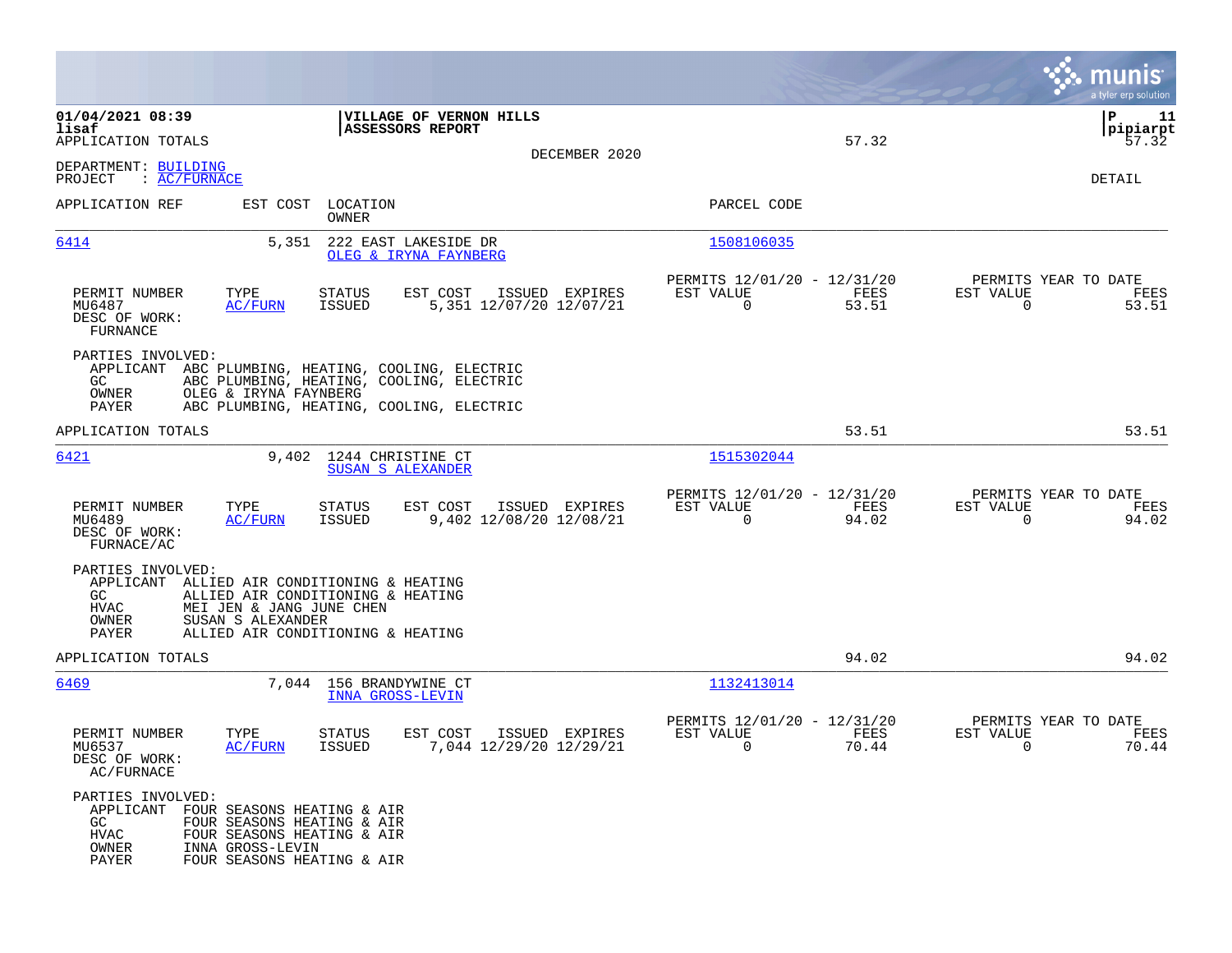|                                                          |                                                                                                                                                                        |                                                         |               | munis<br>a tyler erp solution                                     |
|----------------------------------------------------------|------------------------------------------------------------------------------------------------------------------------------------------------------------------------|---------------------------------------------------------|---------------|-------------------------------------------------------------------|
| 01/04/2021 08:39<br>lisaf<br>APPLICATION TOTALS          | VILLAGE OF VERNON HILLS<br><b>ASSESSORS REPORT</b>                                                                                                                     |                                                         | 57.32         | ΙP<br>11<br> pipiarpt<br>57.32                                    |
| DEPARTMENT: BUILDING<br>: AC/FURNACE<br>PROJECT          |                                                                                                                                                                        | DECEMBER 2020                                           |               | DETAIL                                                            |
| APPLICATION REF                                          | EST COST LOCATION<br>OWNER                                                                                                                                             | PARCEL CODE                                             |               |                                                                   |
| 6414                                                     | 5,351<br>222 EAST LAKESIDE DR<br>OLEG & IRYNA FAYNBERG                                                                                                                 | 1508106035                                              |               |                                                                   |
| PERMIT NUMBER<br>MU6487<br>DESC OF WORK:<br>FURNANCE     | EST COST<br>ISSUED EXPIRES<br>TYPE<br>STATUS<br>5,351 12/07/20 12/07/21<br>AC/FURN<br>ISSUED                                                                           | PERMITS 12/01/20 - 12/31/20<br>EST VALUE<br>$\mathbf 0$ | FEES<br>53.51 | PERMITS YEAR TO DATE<br>EST VALUE<br>FEES<br>$\mathbf 0$<br>53.51 |
| PARTIES INVOLVED:<br>GC.<br>OWNER<br>PAYER               | APPLICANT ABC PLUMBING, HEATING, COOLING, ELECTRIC<br>ABC PLUMBING, HEATING, COOLING, ELECTRIC<br>OLEG & IRYNA FAYNBERG<br>ABC PLUMBING, HEATING, COOLING, ELECTRIC    |                                                         |               |                                                                   |
| APPLICATION TOTALS                                       |                                                                                                                                                                        |                                                         | 53.51         | 53.51                                                             |
| 6421                                                     | 1244 CHRISTINE CT<br>9,402<br><b>SUSAN S ALEXANDER</b>                                                                                                                 | 1515302044                                              |               |                                                                   |
| PERMIT NUMBER<br>MU6489<br>DESC OF WORK:<br>FURNACE/AC   | TYPE<br>EST COST<br>ISSUED EXPIRES<br>STATUS<br>9,402 12/08/20 12/08/21<br><u>AC/FURN</u><br>ISSUED                                                                    | PERMITS 12/01/20 - 12/31/20<br>EST VALUE<br>0           | FEES<br>94.02 | PERMITS YEAR TO DATE<br>EST VALUE<br>FEES<br>$\mathbf 0$<br>94.02 |
| PARTIES INVOLVED:<br>GC.<br>HVAC<br>OWNER<br>PAYER       | APPLICANT ALLIED AIR CONDITIONING & HEATING<br>ALLIED AIR CONDITIONING & HEATING<br>MEI JEN & JANG JUNE CHEN<br>SUSAN S ALEXANDER<br>ALLIED AIR CONDITIONING & HEATING |                                                         |               |                                                                   |
| APPLICATION TOTALS                                       |                                                                                                                                                                        |                                                         | 94.02         | 94.02                                                             |
| 6469                                                     | 7,044 156 BRANDYWINE CT<br><b>INNA GROSS-LEVIN</b>                                                                                                                     | 1132413014                                              |               |                                                                   |
| PERMIT NUMBER<br>MU6537<br>DESC OF WORK:<br>AC/FURNACE   | TYPE<br>EST COST<br>ISSUED EXPIRES<br>STATUS<br>7,044 12/29/20 12/29/21<br>AC/FURN<br><b>ISSUED</b>                                                                    | PERMITS 12/01/20 - 12/31/20<br>EST VALUE<br>0           | FEES<br>70.44 | PERMITS YEAR TO DATE<br>EST VALUE<br>FEES<br>70.44<br>0           |
| PARTIES INVOLVED:<br>GC<br><b>HVAC</b><br>OWNER<br>PAYER | APPLICANT FOUR SEASONS HEATING & AIR<br>FOUR SEASONS HEATING & AIR<br>FOUR SEASONS HEATING & AIR<br>INNA GROSS-LEVIN<br>FOUR SEASONS HEATING & AIR                     |                                                         |               |                                                                   |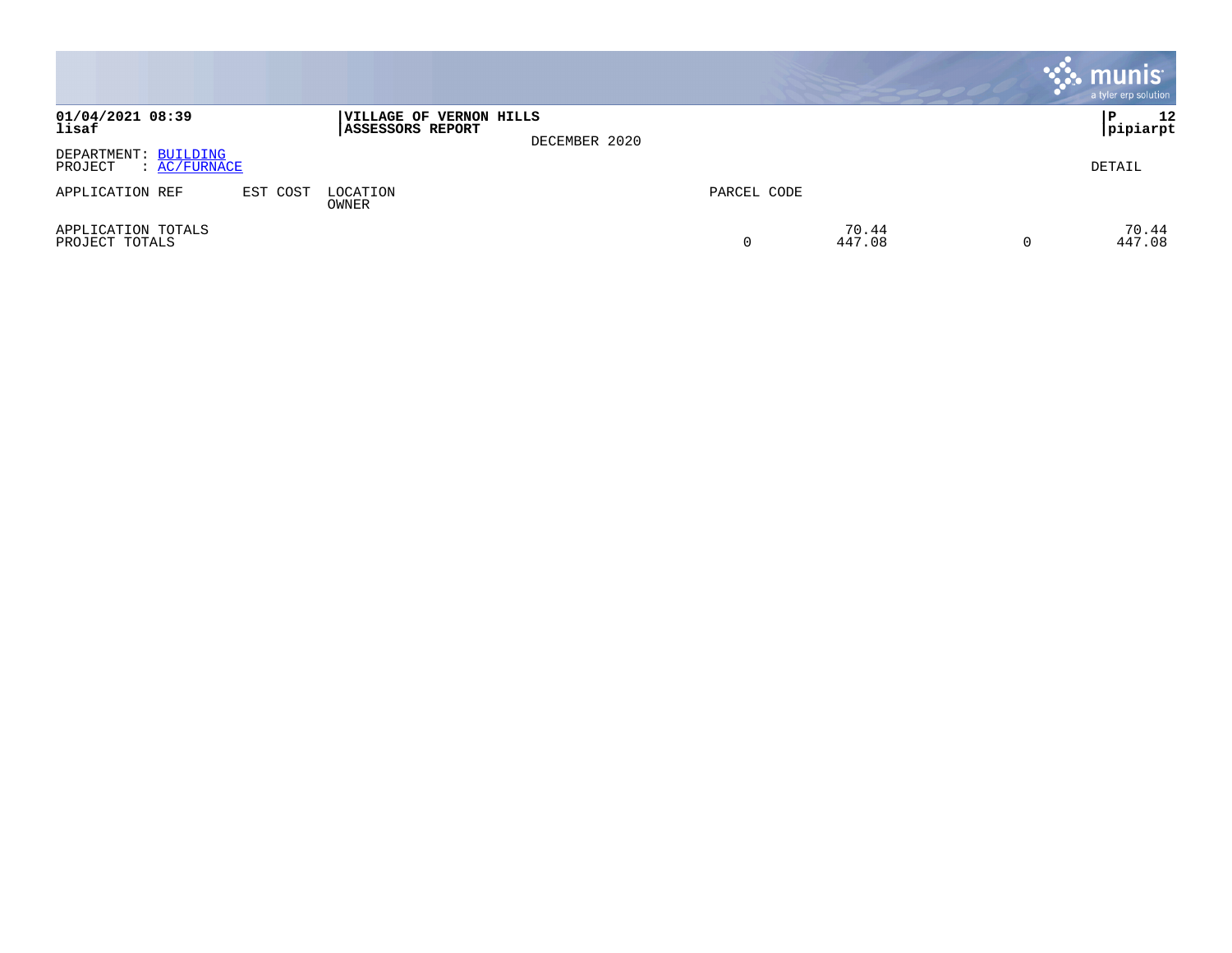|                                                 |          |                                             |               |             |                 |          | <b>munis</b><br>a tyler erp solution |
|-------------------------------------------------|----------|---------------------------------------------|---------------|-------------|-----------------|----------|--------------------------------------|
| 01/04/2021 08:39<br>lisaf                       |          | VILLAGE OF VERNON HILLS<br>ASSESSORS REPORT | DECEMBER 2020 |             |                 |          | 12<br>P<br> pipiarpt                 |
| DEPARTMENT: BUILDING<br>PROJECT<br>: AC/FURNACE |          |                                             |               |             |                 |          | DETAIL                               |
| APPLICATION REF                                 | EST COST | LOCATION<br>OWNER                           |               | PARCEL CODE |                 |          |                                      |
| APPLICATION TOTALS<br>PROJECT TOTALS            |          |                                             |               | 0           | 70.44<br>447.08 | $\Omega$ | 70.44<br>447.08                      |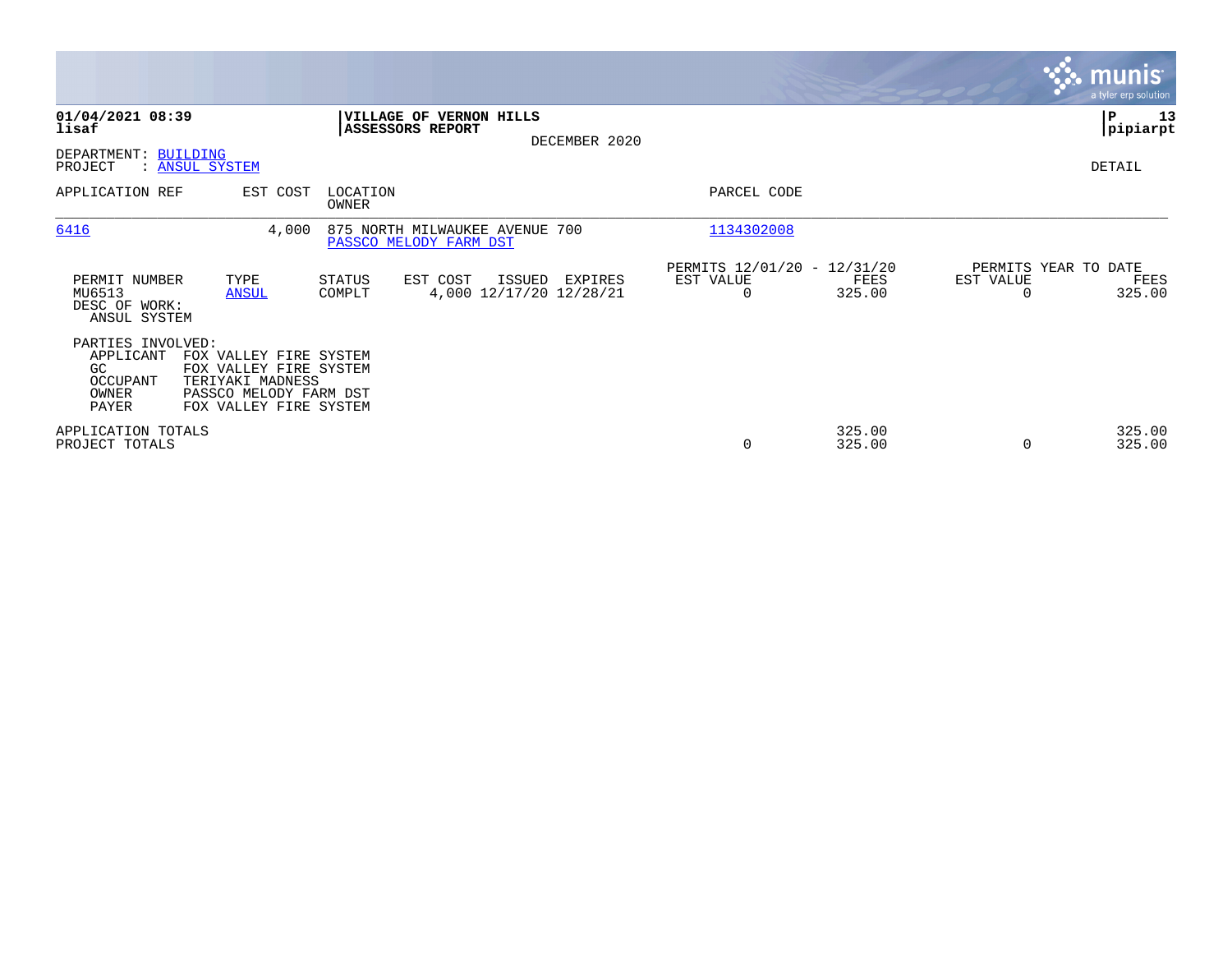|                                                                     |                                                                                                                          |                   |                                                      |               |                                                      |                  |                                               | <b>munis</b><br>a tyler erp solution |
|---------------------------------------------------------------------|--------------------------------------------------------------------------------------------------------------------------|-------------------|------------------------------------------------------|---------------|------------------------------------------------------|------------------|-----------------------------------------------|--------------------------------------|
| 01/04/2021 08:39<br>lisaf                                           |                                                                                                                          |                   | VILLAGE OF VERNON HILLS<br><b>ASSESSORS REPORT</b>   | DECEMBER 2020 |                                                      |                  |                                               | P<br>13<br> pipiarpt                 |
| DEPARTMENT: BUILDING<br>PROJECT                                     | : ANSUL SYSTEM                                                                                                           |                   |                                                      |               |                                                      |                  |                                               | DETAIL                               |
| APPLICATION REF                                                     | EST COST                                                                                                                 | LOCATION<br>OWNER |                                                      |               | PARCEL CODE                                          |                  |                                               |                                      |
| 6416                                                                | 4,000                                                                                                                    |                   | 875 NORTH MILWAUKEE AVENUE<br>PASSCO MELODY FARM DST | 700           | 1134302008                                           |                  |                                               |                                      |
| PERMIT NUMBER<br>MU6513<br>DESC OF WORK:<br>ANSUL SYSTEM            | TYPE<br><b>ANSUL</b>                                                                                                     | STATUS<br>COMPLT  | EST COST<br>ISSUED<br>4,000 12/17/20 12/28/21        | EXPIRES       | PERMITS 12/01/20 - 12/31/20<br>EST VALUE<br>$\Omega$ | FEES<br>325.00   | PERMITS YEAR TO DATE<br>EST VALUE<br>$\Omega$ | FEES<br>325.00                       |
| PARTIES INVOLVED:<br>APPLICANT<br>GC.<br>OCCUPANT<br>OWNER<br>PAYER | FOX VALLEY FIRE SYSTEM<br>FOX VALLEY FIRE SYSTEM<br>TERIYAKI MADNESS<br>PASSCO MELODY FARM DST<br>FOX VALLEY FIRE SYSTEM |                   |                                                      |               |                                                      |                  |                                               |                                      |
| APPLICATION TOTALS<br>PROJECT TOTALS                                |                                                                                                                          |                   |                                                      |               | 0                                                    | 325.00<br>325.00 | 0                                             | 325.00<br>325.00                     |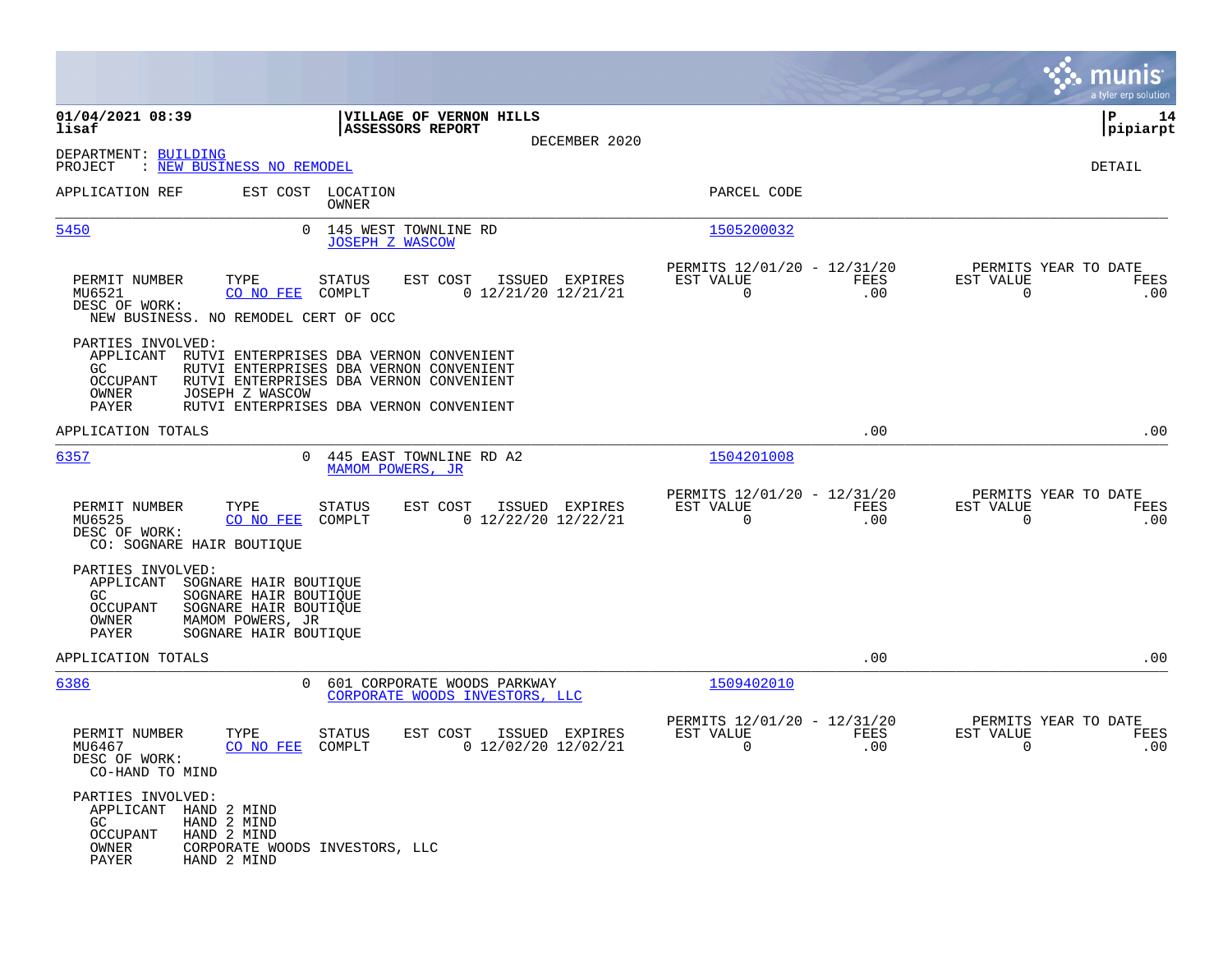|                                                                                                                                                                                                    |                                                                                                                                                                          |                                         |                                                            |             |                                                  | munis<br>a tyler erp solution |
|----------------------------------------------------------------------------------------------------------------------------------------------------------------------------------------------------|--------------------------------------------------------------------------------------------------------------------------------------------------------------------------|-----------------------------------------|------------------------------------------------------------|-------------|--------------------------------------------------|-------------------------------|
| 01/04/2021 08:39<br>lisaf                                                                                                                                                                          | VILLAGE OF VERNON HILLS<br><b>ASSESSORS REPORT</b>                                                                                                                       | DECEMBER 2020                           |                                                            |             |                                                  | ΙP<br>14<br> pipiarpt         |
| DEPARTMENT: BUILDING<br>: NEW BUSINESS NO REMODEL<br>PROJECT                                                                                                                                       |                                                                                                                                                                          |                                         |                                                            |             |                                                  | DETAIL                        |
| APPLICATION REF                                                                                                                                                                                    | EST COST LOCATION<br>OWNER                                                                                                                                               |                                         | PARCEL CODE                                                |             |                                                  |                               |
| 5450                                                                                                                                                                                               | 0 145 WEST TOWNLINE RD<br><b>JOSEPH Z WASCOW</b>                                                                                                                         |                                         | 1505200032                                                 |             |                                                  |                               |
| PERMIT NUMBER<br>TYPE<br>MU6521<br>CO NO FEE<br>DESC OF WORK:<br>NEW BUSINESS. NO REMODEL CERT OF OCC                                                                                              | <b>STATUS</b><br>EST COST<br>COMPLT                                                                                                                                      | ISSUED EXPIRES<br>0 12/21/20 12/21/21   | PERMITS 12/01/20 - 12/31/20<br>EST VALUE<br>$\overline{0}$ | FEES<br>.00 | PERMITS YEAR TO DATE<br>EST VALUE<br>$\mathbf 0$ | FEES<br>.00                   |
| PARTIES INVOLVED:<br>APPLICANT<br>GC.<br><b>OCCUPANT</b><br>OWNER<br>JOSEPH Z WASCOW<br>PAYER                                                                                                      | RUTVI ENTERPRISES DBA VERNON CONVENIENT<br>RUTVI ENTERPRISES DBA VERNON CONVENIENT<br>RUTVI ENTERPRISES DBA VERNON CONVENIENT<br>RUTVI ENTERPRISES DBA VERNON CONVENIENT |                                         |                                                            |             |                                                  |                               |
| APPLICATION TOTALS                                                                                                                                                                                 |                                                                                                                                                                          |                                         |                                                            | .00         |                                                  | .00                           |
| 6357                                                                                                                                                                                               | 0 445 EAST TOWNLINE RD A2<br>MAMOM POWERS, JR                                                                                                                            |                                         | 1504201008                                                 |             |                                                  |                               |
| PERMIT NUMBER<br>TYPE<br>MU6525<br>CO NO FEE<br>DESC OF WORK:<br>CO: SOGNARE HAIR BOUTIQUE                                                                                                         | STATUS<br>EST COST<br>COMPLT                                                                                                                                             | ISSUED EXPIRES<br>$0$ 12/22/20 12/22/21 | PERMITS 12/01/20 - 12/31/20<br>EST VALUE<br>$\overline{0}$ | FEES<br>.00 | PERMITS YEAR TO DATE<br>EST VALUE<br>$\mathbf 0$ | FEES<br>.00                   |
| PARTIES INVOLVED:<br>APPLICANT<br>SOGNARE HAIR BOUTIQUE<br>SOGNARE HAIR BOUTIQUE<br>GC.<br><b>OCCUPANT</b><br>SOGNARE HAIR BOUTIQUE<br>OWNER<br>MAMOM POWERS, JR<br>PAYER<br>SOGNARE HAIR BOUTIQUE |                                                                                                                                                                          |                                         |                                                            |             |                                                  |                               |
| APPLICATION TOTALS                                                                                                                                                                                 |                                                                                                                                                                          |                                         |                                                            | .00         |                                                  | .00                           |
| 6386<br>$\Omega$                                                                                                                                                                                   | 601 CORPORATE WOODS PARKWAY<br>CORPORATE WOODS INVESTORS, LLC                                                                                                            |                                         | 1509402010                                                 |             |                                                  |                               |
| PERMIT NUMBER<br>TYPE<br>MU6467<br>CO NO FEE<br>DESC OF WORK:<br>CO-HAND TO MIND                                                                                                                   | STATUS<br>EST COST<br>COMPLT                                                                                                                                             | ISSUED EXPIRES<br>$0$ 12/02/20 12/02/21 | PERMITS 12/01/20 - 12/31/20<br>EST VALUE<br>0              | FEES<br>.00 | PERMITS YEAR TO DATE<br>EST VALUE<br>0           | FEES<br>.00                   |
| PARTIES INVOLVED:<br>APPLICANT HAND 2 MIND<br>GC<br>HAND 2 MIND<br><b>OCCUPANT</b><br>HAND 2 MIND<br>OWNER<br>CORPORATE WOODS INVESTORS, LLC<br>PAYER<br>HAND 2 MIND                               |                                                                                                                                                                          |                                         |                                                            |             |                                                  |                               |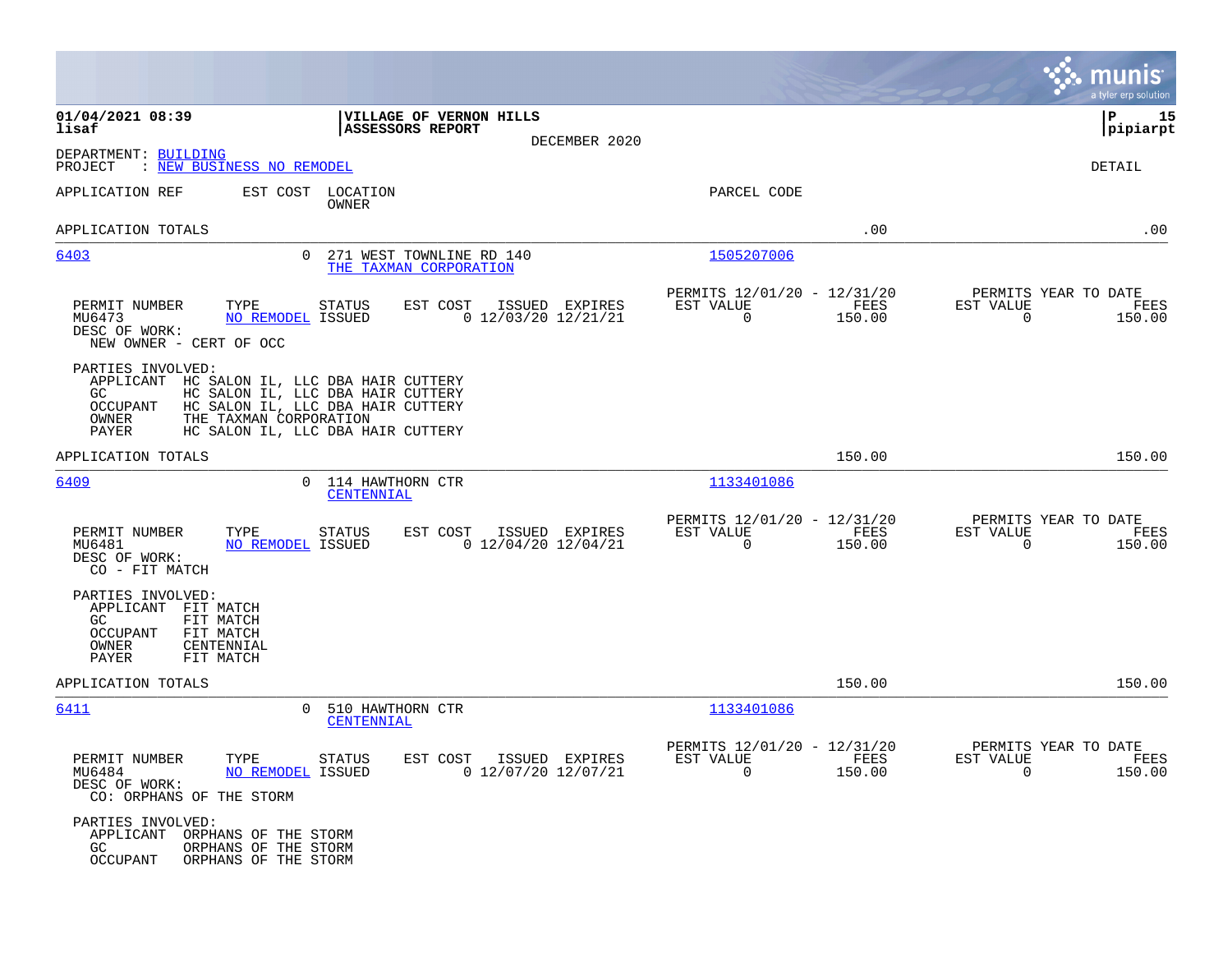|                                                                                                                                   |                                                                                                                                                  |                                                            |                | munis<br>a tyler erp solution                                 |      |
|-----------------------------------------------------------------------------------------------------------------------------------|--------------------------------------------------------------------------------------------------------------------------------------------------|------------------------------------------------------------|----------------|---------------------------------------------------------------|------|
| 01/04/2021 08:39<br>lisaf                                                                                                         | VILLAGE OF VERNON HILLS<br><b>ASSESSORS REPORT</b><br>DECEMBER 2020                                                                              |                                                            |                | ΙP<br> pipiarpt                                               | 15   |
| DEPARTMENT: BUILDING<br>: NEW BUSINESS NO REMODEL<br>PROJECT                                                                      |                                                                                                                                                  |                                                            |                | DETAIL                                                        |      |
| APPLICATION REF                                                                                                                   | EST COST LOCATION<br>OWNER                                                                                                                       | PARCEL CODE                                                |                |                                                               |      |
| APPLICATION TOTALS                                                                                                                |                                                                                                                                                  |                                                            | .00            |                                                               | .00  |
| 6403                                                                                                                              | 0 271 WEST TOWNLINE RD 140<br>THE TAXMAN CORPORATION                                                                                             | 1505207006                                                 |                |                                                               |      |
| PERMIT NUMBER<br>TYPE<br>MU6473<br>NO REMODEL ISSUED<br>DESC OF WORK:<br>NEW OWNER - CERT OF OCC                                  | EST COST<br>ISSUED EXPIRES<br>STATUS<br>$0$ 12/03/20 12/21/21                                                                                    | PERMITS 12/01/20 - 12/31/20<br>EST VALUE<br>$\overline{0}$ | FEES<br>150.00 | PERMITS YEAR TO DATE<br>EST VALUE<br>$\Omega$<br>150.00       | FEES |
| PARTIES INVOLVED:<br>APPLICANT<br>GC<br>OCCUPANT<br>OWNER<br>THE TAXMAN CORPORATION<br>PAYER                                      | HC SALON IL, LLC DBA HAIR CUTTERY<br>HC SALON IL, LLC DBA HAIR CUTTERY<br>HC SALON IL, LLC DBA HAIR CUTTERY<br>HC SALON IL, LLC DBA HAIR CUTTERY |                                                            |                |                                                               |      |
| APPLICATION TOTALS                                                                                                                |                                                                                                                                                  |                                                            | 150.00         | 150.00                                                        |      |
| 6409                                                                                                                              | 0 114 HAWTHORN CTR<br>CENTENNIAL                                                                                                                 | 1133401086                                                 |                |                                                               |      |
| PERMIT NUMBER<br>TYPE<br>NO REMODEL ISSUED<br>MU6481<br>DESC OF WORK:<br>CO - FIT MATCH                                           | STATUS<br>EST COST<br>ISSUED EXPIRES<br>$0$ 12/04/20 12/04/21                                                                                    | PERMITS 12/01/20 - 12/31/20<br>EST VALUE<br>$\overline{0}$ | FEES<br>150.00 | PERMITS YEAR TO DATE<br>EST VALUE<br>$\overline{0}$<br>150.00 | FEES |
| PARTIES INVOLVED:<br>APPLICANT FIT MATCH<br>GC<br>FIT MATCH<br>OCCUPANT<br>FIT MATCH<br>OWNER<br>CENTENNIAL<br>PAYER<br>FIT MATCH |                                                                                                                                                  |                                                            |                |                                                               |      |
| APPLICATION TOTALS                                                                                                                |                                                                                                                                                  |                                                            | 150.00         | 150.00                                                        |      |
| <u>6411</u>                                                                                                                       | 0 510 HAWTHORN CTR<br>CENTENNIAL                                                                                                                 | 1133401086                                                 |                |                                                               |      |
| PERMIT NUMBER<br>TYPE<br>MU6484<br><b>NO REMODEL ISSUED</b><br>DESC OF WORK:<br>CO: ORPHANS OF THE STORM                          | STATUS<br>EST COST ISSUED EXPIRES<br>$0$ 12/07/20 12/07/21                                                                                       | PERMITS 12/01/20 - 12/31/20<br>EST VALUE<br>$\Omega$       | FEES<br>150.00 | PERMITS YEAR TO DATE<br>EST VALUE<br>$\Omega$<br>150.00       | FEES |
| PARTIES INVOLVED:<br>APPLICANT<br>ORPHANS OF THE STORM<br>GC<br>ORPHANS OF THE STORM<br>OCCUPANT<br>ORPHANS OF THE STORM          |                                                                                                                                                  |                                                            |                |                                                               |      |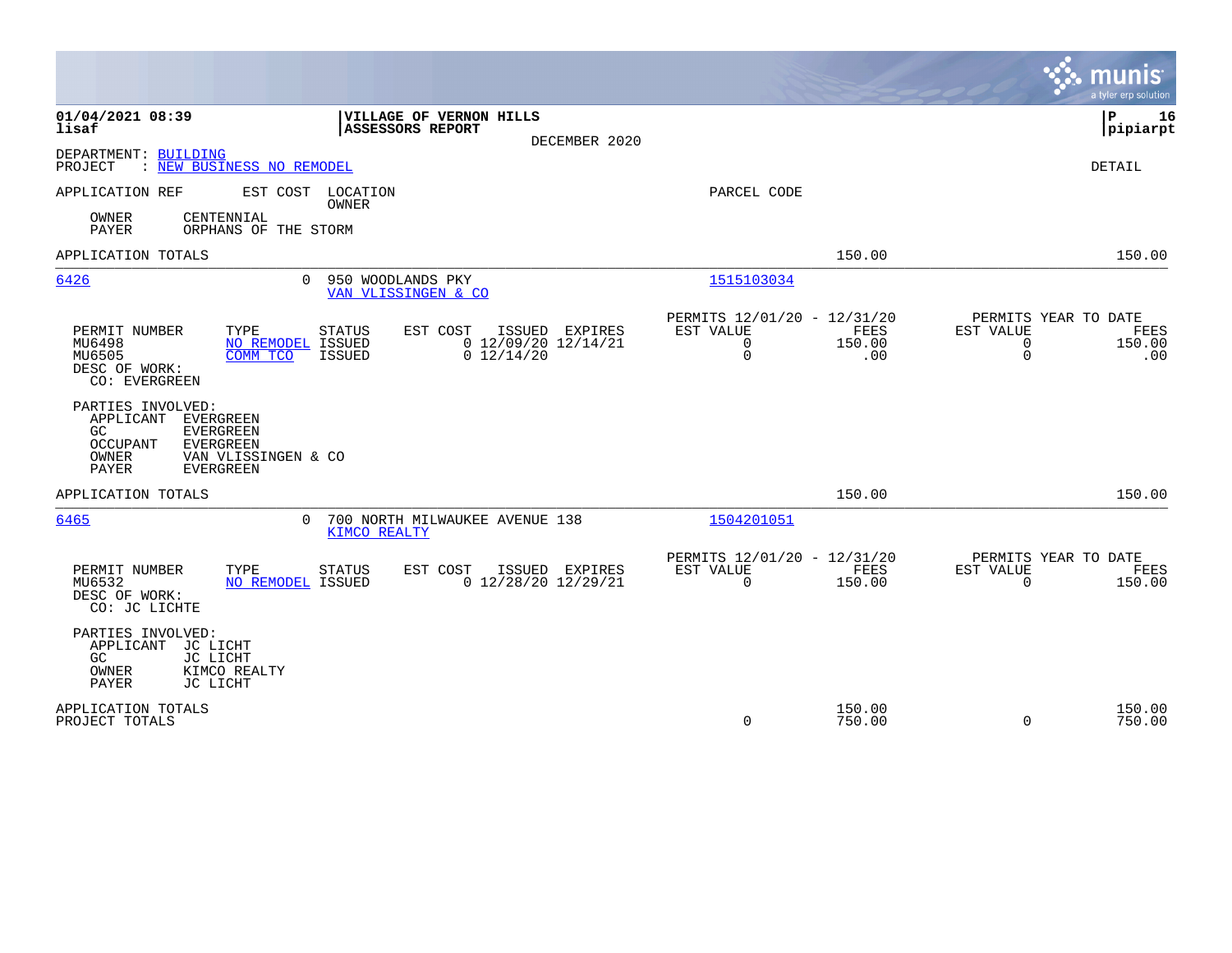|                                                                                                                                                                            |                                                                                                   |                                                              |                       | munis<br>a tyler erp solution                                                  |
|----------------------------------------------------------------------------------------------------------------------------------------------------------------------------|---------------------------------------------------------------------------------------------------|--------------------------------------------------------------|-----------------------|--------------------------------------------------------------------------------|
| 01/04/2021 08:39<br>lisaf                                                                                                                                                  | VILLAGE OF VERNON HILLS<br>ASSESSORS REPORT<br>DECEMBER 2020                                      |                                                              |                       | P<br>16<br> pipiarpt                                                           |
| DEPARTMENT: BUILDING<br>: NEW BUSINESS NO REMODEL<br>PROJECT                                                                                                               |                                                                                                   |                                                              |                       | <b>DETAIL</b>                                                                  |
| APPLICATION REF<br>EST COST LOCATION                                                                                                                                       | <b>OWNER</b>                                                                                      | PARCEL CODE                                                  |                       |                                                                                |
| OWNER<br>CENTENNIAL<br><b>PAYER</b><br>ORPHANS OF THE STORM                                                                                                                |                                                                                                   |                                                              |                       |                                                                                |
| APPLICATION TOTALS                                                                                                                                                         |                                                                                                   |                                                              | 150.00                | 150.00                                                                         |
| 6426<br>$\Omega$                                                                                                                                                           | 950 WOODLANDS PKY<br>VAN VLISSINGEN & CO                                                          | 1515103034                                                   |                       |                                                                                |
| PERMIT NUMBER<br>TYPE<br>MU6498<br><b>NO REMODEL ISSUED</b><br>MU6505<br>COMM TCO<br>DESC OF WORK:<br>CO: EVERGREEN                                                        | <b>STATUS</b><br>EST COST<br>ISSUED<br>EXPIRES<br>$0$ 12/09/20 12/14/21<br>$0$ 12/14/20<br>ISSUED | PERMITS 12/01/20 - 12/31/20<br>EST VALUE<br>0<br>$\mathbf 0$ | FEES<br>150.00<br>.00 | PERMITS YEAR TO DATE<br>EST VALUE<br>FEES<br>0<br>150.00<br>$\mathbf 0$<br>.00 |
| PARTIES INVOLVED:<br>APPLICANT<br>EVERGREEN<br>GC.<br><b>EVERGREEN</b><br><b>OCCUPANT</b><br><b>EVERGREEN</b><br>OWNER<br>VAN VLISSINGEN & CO<br>PAYER<br><b>EVERGREEN</b> |                                                                                                   |                                                              |                       |                                                                                |
| APPLICATION TOTALS                                                                                                                                                         |                                                                                                   |                                                              | 150.00                | 150.00                                                                         |
| 6465<br>$\Omega$                                                                                                                                                           | 700 NORTH MILWAUKEE AVENUE 138<br>KIMCO REALTY                                                    | 1504201051                                                   |                       |                                                                                |
| TYPE<br>PERMIT NUMBER<br>NO REMODEL ISSUED<br>MU6532<br>DESC OF WORK:<br>CO: JC LICHTE                                                                                     | <b>STATUS</b><br>EST COST<br>ISSUED EXPIRES<br>$0$ 12/28/20 12/29/21                              | PERMITS 12/01/20 - 12/31/20<br>EST VALUE<br>0                | FEES<br>150.00        | PERMITS YEAR TO DATE<br>EST VALUE<br>FEES<br>$\mathbf 0$<br>150.00             |
| PARTIES INVOLVED:<br>APPLICANT<br>JC LICHT<br>GC.<br>JC LICHT<br>OWNER<br>KIMCO REALTY<br>PAYER<br>JC LICHT                                                                |                                                                                                   |                                                              |                       |                                                                                |
| APPLICATION TOTALS<br>PROJECT TOTALS                                                                                                                                       |                                                                                                   | 0                                                            | 150.00<br>750.00      | 150.00<br>$\mathbf 0$<br>750.00                                                |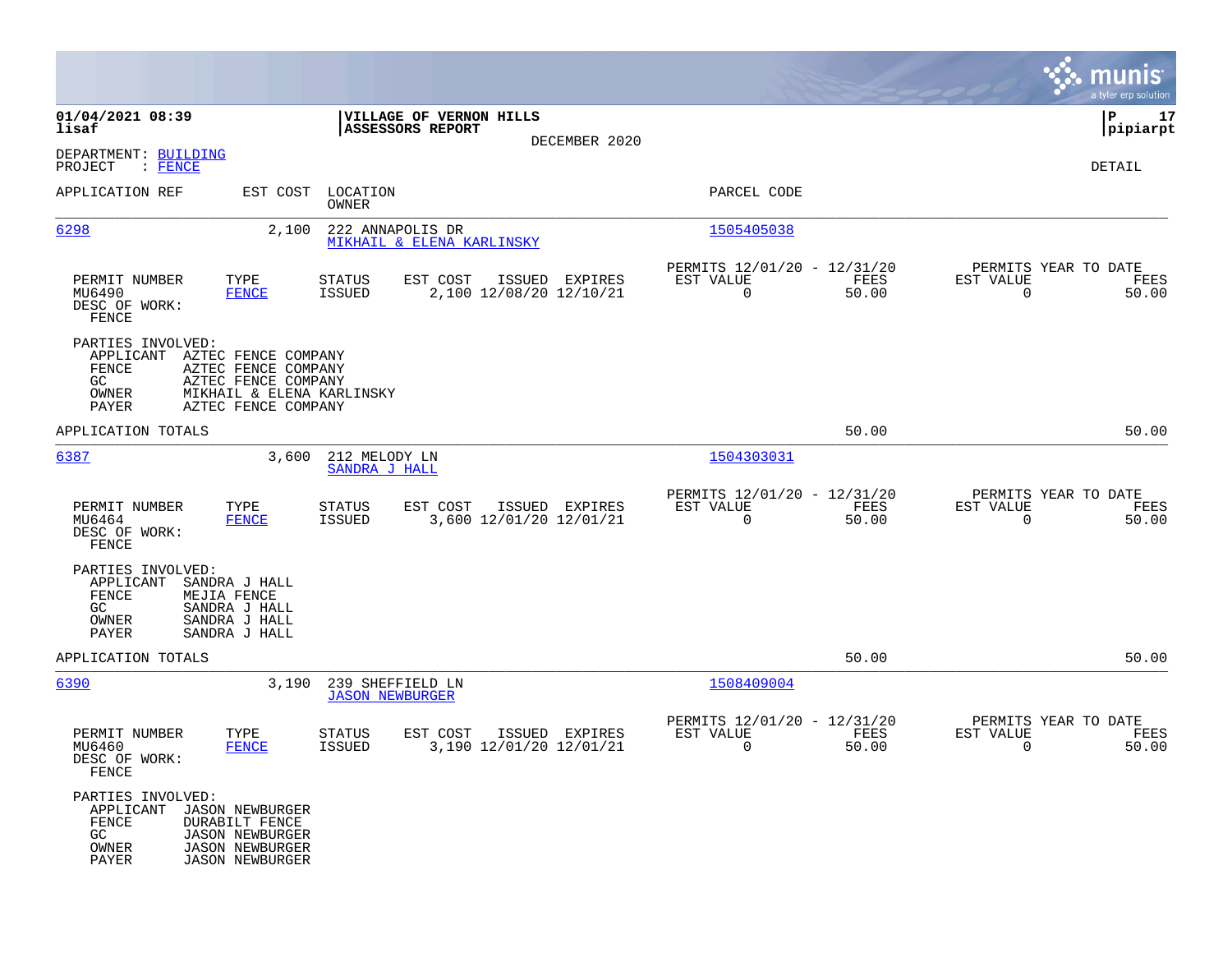|                                                                                      |                                                                                                                        |                                            |                                                    |                                           |                                                         |               |                                               | munis<br>a tyler erp solution |
|--------------------------------------------------------------------------------------|------------------------------------------------------------------------------------------------------------------------|--------------------------------------------|----------------------------------------------------|-------------------------------------------|---------------------------------------------------------|---------------|-----------------------------------------------|-------------------------------|
| 01/04/2021 08:39<br>lisaf                                                            |                                                                                                                        |                                            | VILLAGE OF VERNON HILLS<br><b>ASSESSORS REPORT</b> | DECEMBER 2020                             |                                                         |               |                                               | 17<br>IΡ<br> pipiarpt         |
| DEPARTMENT: BUILDING<br>PROJECT<br>: FENCE                                           |                                                                                                                        |                                            |                                                    |                                           |                                                         |               |                                               | DETAIL                        |
| APPLICATION REF                                                                      | EST COST                                                                                                               | LOCATION<br>OWNER                          |                                                    |                                           | PARCEL CODE                                             |               |                                               |                               |
| 6298                                                                                 | 2,100                                                                                                                  | 222 ANNAPOLIS DR                           | MIKHAIL & ELENA KARLINSKY                          |                                           | 1505405038                                              |               |                                               |                               |
| PERMIT NUMBER<br>MU6490<br>DESC OF WORK:<br>FENCE                                    | TYPE<br><b>FENCE</b>                                                                                                   | STATUS<br><b>ISSUED</b>                    | EST COST                                           | ISSUED EXPIRES<br>2,100 12/08/20 12/10/21 | PERMITS 12/01/20 - 12/31/20<br>EST VALUE<br>$\mathbf 0$ | FEES<br>50.00 | PERMITS YEAR TO DATE<br>EST VALUE<br>$\Omega$ | FEES<br>50.00                 |
| PARTIES INVOLVED:<br>APPLICANT AZTEC FENCE COMPANY<br>FENCE<br>GC.<br>OWNER<br>PAYER | AZTEC FENCE COMPANY<br>AZTEC FENCE COMPANY<br>MIKHAIL & ELENA KARLINSKY<br>AZTEC FENCE COMPANY                         |                                            |                                                    |                                           |                                                         |               |                                               |                               |
| APPLICATION TOTALS                                                                   |                                                                                                                        |                                            |                                                    |                                           |                                                         | 50.00         |                                               | 50.00                         |
| 6387                                                                                 | 3,600                                                                                                                  | 212 MELODY LN<br>SANDRA J HALL             |                                                    |                                           | 1504303031                                              |               |                                               |                               |
| PERMIT NUMBER<br>MU6464<br>DESC OF WORK:<br>FENCE                                    | TYPE<br>FENCE                                                                                                          | STATUS<br><b>ISSUED</b>                    | EST COST                                           | ISSUED EXPIRES<br>3,600 12/01/20 12/01/21 | PERMITS 12/01/20 - 12/31/20<br>EST VALUE<br>$\mathbf 0$ | FEES<br>50.00 | PERMITS YEAR TO DATE<br>EST VALUE<br>$\Omega$ | FEES<br>50.00                 |
| PARTIES INVOLVED:<br>APPLICANT<br>FENCE<br>GC<br>OWNER<br>PAYER                      | SANDRA J HALL<br>MEJIA FENCE<br>SANDRA J HALL<br>SANDRA J HALL<br>SANDRA J HALL                                        |                                            |                                                    |                                           |                                                         |               |                                               |                               |
| APPLICATION TOTALS                                                                   |                                                                                                                        |                                            |                                                    |                                           |                                                         | 50.00         |                                               | 50.00                         |
| 6390                                                                                 | 3,190                                                                                                                  | 239 SHEFFIELD LN<br><b>JASON NEWBURGER</b> |                                                    |                                           | 1508409004                                              |               |                                               |                               |
| PERMIT NUMBER<br>MU6460<br>DESC OF WORK:<br>FENCE                                    | TYPE<br><b>FENCE</b>                                                                                                   | <b>STATUS</b><br><b>ISSUED</b>             | EST COST                                           | ISSUED EXPIRES<br>3,190 12/01/20 12/01/21 | PERMITS 12/01/20 - 12/31/20<br>EST VALUE<br>0           | FEES<br>50.00 | PERMITS YEAR TO DATE<br>EST VALUE<br>0        | FEES<br>50.00                 |
| PARTIES INVOLVED:<br>APPLICANT<br>FENCE<br>GC<br>OWNER<br>PAYER                      | <b>JASON NEWBURGER</b><br>DURABILT FENCE<br><b>JASON NEWBURGER</b><br><b>JASON NEWBURGER</b><br><b>JASON NEWBURGER</b> |                                            |                                                    |                                           |                                                         |               |                                               |                               |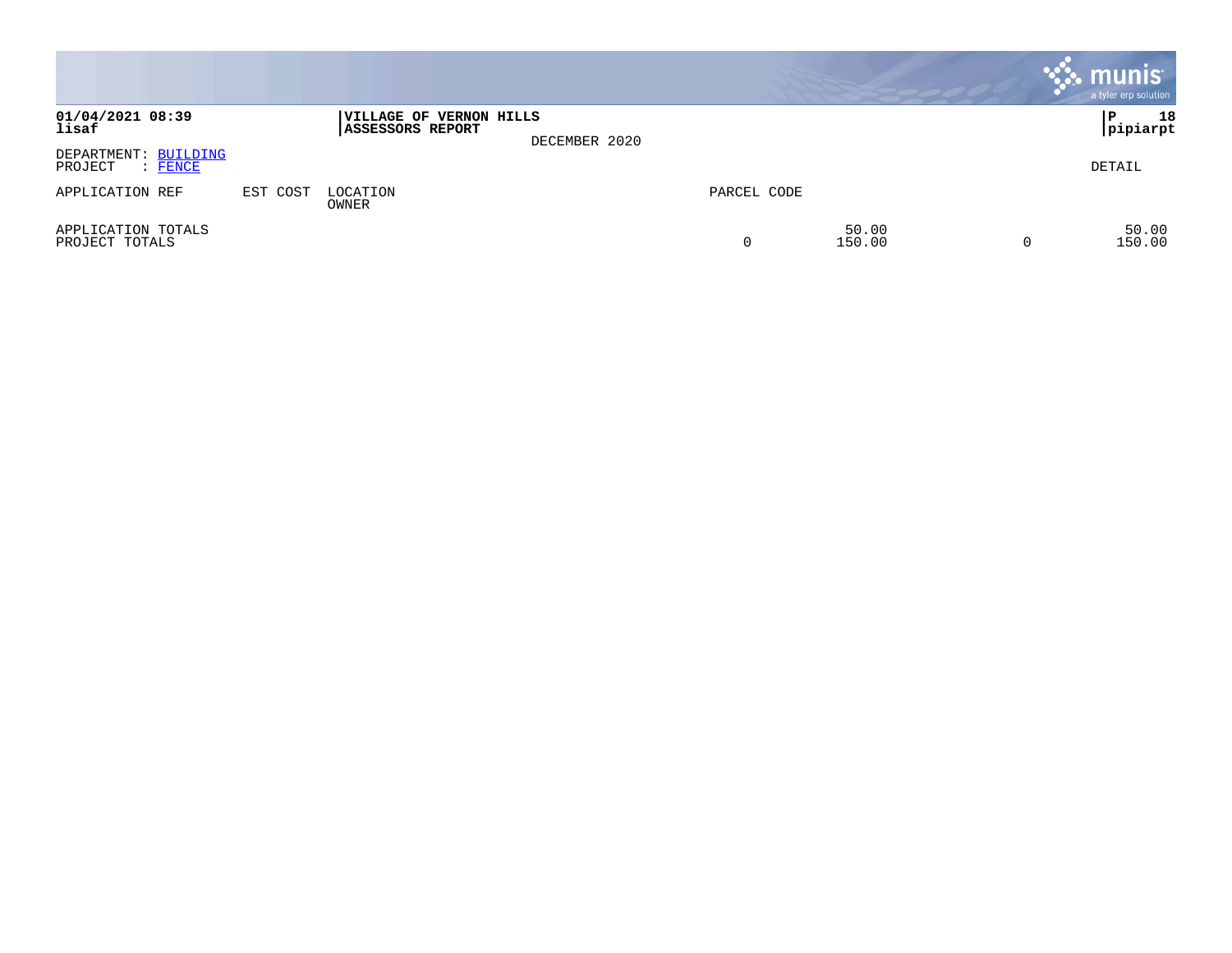|                                            |          |                                                    |               |             |                 | $\cdot$ munis $\cdot$<br>a tyler erp solution |
|--------------------------------------------|----------|----------------------------------------------------|---------------|-------------|-----------------|-----------------------------------------------|
| 01/04/2021 08:39<br>lisaf                  |          | VILLAGE OF VERNON HILLS<br><b>ASSESSORS REPORT</b> | DECEMBER 2020 |             |                 | 18<br>∣P<br> pipiarpt                         |
| DEPARTMENT: BUILDING<br>PROJECT<br>: FENCE |          |                                                    |               |             |                 | DETAIL                                        |
| APPLICATION REF                            | EST COST | LOCATION<br>OWNER                                  |               | PARCEL CODE |                 |                                               |
| APPLICATION TOTALS<br>PROJECT TOTALS       |          |                                                    |               | 0           | 50.00<br>150.00 | 50.00<br>150.00                               |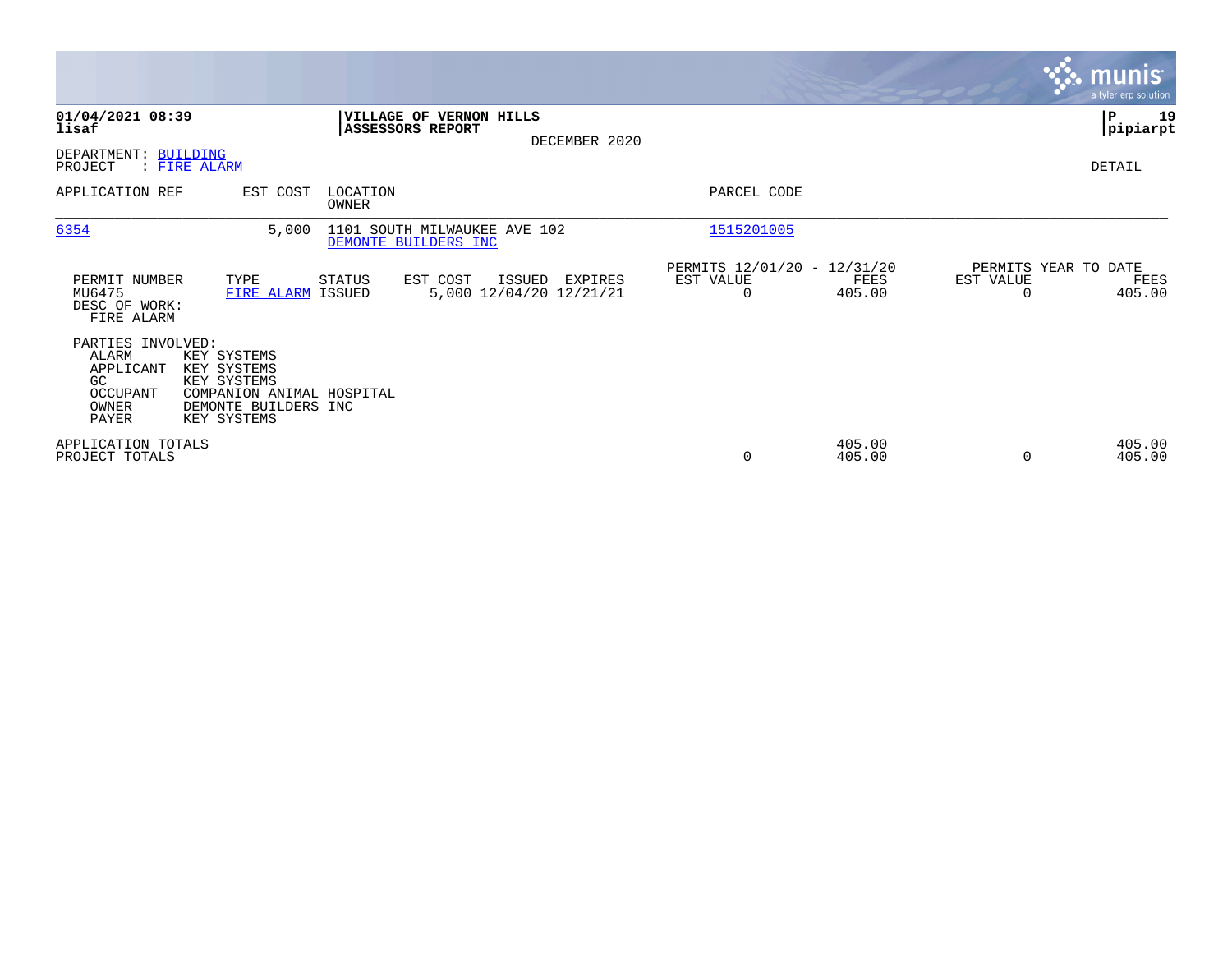|                                                                                    |                                                                                                               |                         |                                                          |                                               |                  |           | <b>munis</b><br>a tyler erp solution   |
|------------------------------------------------------------------------------------|---------------------------------------------------------------------------------------------------------------|-------------------------|----------------------------------------------------------|-----------------------------------------------|------------------|-----------|----------------------------------------|
| 01/04/2021 08:39<br>lisaf                                                          |                                                                                                               | <b>ASSESSORS REPORT</b> | <b>VILLAGE OF VERNON HILLS</b><br>DECEMBER 2020          |                                               |                  |           | ∣P<br>19<br> pipiarpt                  |
| DEPARTMENT: BUILDING<br>PROJECT<br>: FIRE ALARM                                    |                                                                                                               |                         |                                                          |                                               |                  |           | DETAIL                                 |
| APPLICATION REF                                                                    | EST COST                                                                                                      | LOCATION<br>OWNER       |                                                          | PARCEL CODE                                   |                  |           |                                        |
| 6354                                                                               | 5,000                                                                                                         | DEMONTE BUILDERS INC    | 1101 SOUTH MILWAUKEE AVE 102                             | 1515201005                                    |                  |           |                                        |
| PERMIT NUMBER<br>MU6475<br>DESC OF WORK:<br>FIRE ALARM                             | TYPE<br>FIRE ALARM ISSUED                                                                                     | STATUS                  | EST COST<br>ISSUED<br>EXPIRES<br>5,000 12/04/20 12/21/21 | PERMITS 12/01/20 - 12/31/20<br>EST VALUE<br>0 | FEES<br>405.00   | EST VALUE | PERMITS YEAR TO DATE<br>FEES<br>405.00 |
| PARTIES INVOLVED:<br>ALARM<br>APPLICANT<br>GC<br>OCCUPANT<br>OWNER<br><b>PAYER</b> | KEY SYSTEMS<br>KEY SYSTEMS<br>KEY SYSTEMS<br>COMPANION ANIMAL HOSPITAL<br>DEMONTE BUILDERS INC<br>KEY SYSTEMS |                         |                                                          |                                               |                  |           |                                        |
| APPLICATION TOTALS<br>PROJECT TOTALS                                               |                                                                                                               |                         |                                                          | $\mathbf 0$                                   | 405.00<br>405.00 |           | 405.00<br>405.00                       |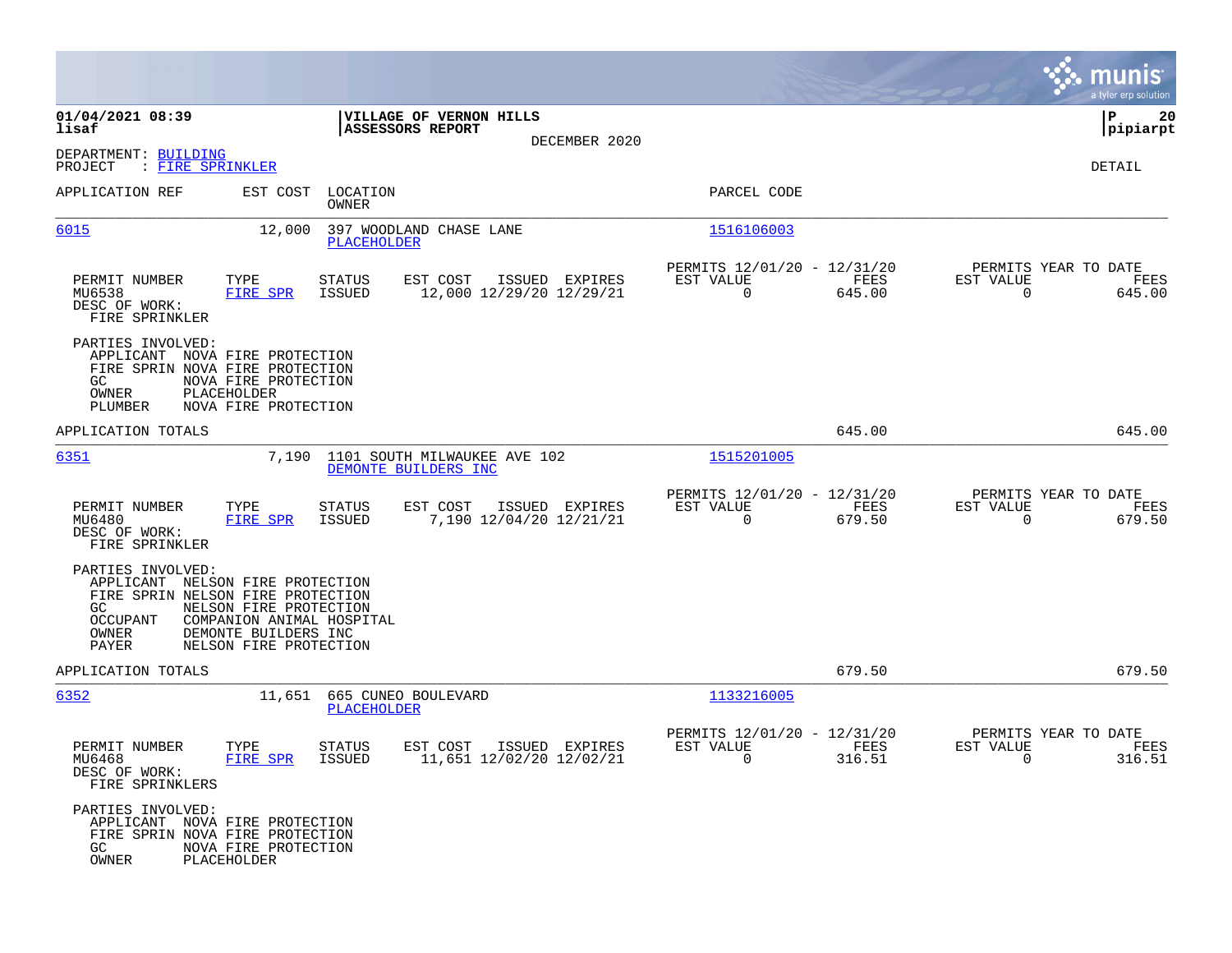|                                                                                                                                                                                        |                                                                               |                                           |                                                            |                |                                                     | munis<br>a tyler erp solution |
|----------------------------------------------------------------------------------------------------------------------------------------------------------------------------------------|-------------------------------------------------------------------------------|-------------------------------------------|------------------------------------------------------------|----------------|-----------------------------------------------------|-------------------------------|
| 01/04/2021 08:39<br>lisaf                                                                                                                                                              | VILLAGE OF VERNON HILLS<br>ASSESSORS REPORT                                   |                                           |                                                            |                |                                                     | l P<br>20<br> pipiarpt        |
| DEPARTMENT: BUILDING<br>PROJECT<br>: FIRE SPRINKLER                                                                                                                                    |                                                                               | DECEMBER 2020                             |                                                            |                |                                                     | DETAIL                        |
| APPLICATION REF                                                                                                                                                                        | EST COST LOCATION<br>OWNER                                                    |                                           | PARCEL CODE                                                |                |                                                     |                               |
| 6015                                                                                                                                                                                   | 12,000<br>397 WOODLAND CHASE LANE<br><b>PLACEHOLDER</b>                       |                                           | 1516106003                                                 |                |                                                     |                               |
| PERMIT NUMBER<br>TYPE<br>MU6538<br>FIRE SPR<br>DESC OF WORK:<br>FIRE SPRINKLER                                                                                                         | EST COST<br>STATUS<br>ISSUED<br>12,000 12/29/20 12/29/21                      | ISSUED EXPIRES                            | PERMITS 12/01/20 - 12/31/20<br>EST VALUE<br>$\Omega$       | FEES<br>645.00 | PERMITS YEAR TO DATE<br>EST VALUE<br>$\Omega$       | FEES<br>645.00                |
| PARTIES INVOLVED:<br>APPLICANT NOVA FIRE PROTECTION<br>FIRE SPRIN NOVA FIRE PROTECTION<br>NOVA FIRE PROTECTION<br>GC<br>OWNER<br>PLACEHOLDER<br>NOVA FIRE PROTECTION<br><b>PLUMBER</b> |                                                                               |                                           |                                                            |                |                                                     |                               |
| APPLICATION TOTALS                                                                                                                                                                     |                                                                               |                                           |                                                            | 645.00         |                                                     | 645.00                        |
| 6351                                                                                                                                                                                   | 7,190<br>1101 SOUTH MILWAUKEE AVE 102<br>DEMONTE BUILDERS INC                 |                                           | 1515201005                                                 |                |                                                     |                               |
| TYPE<br>PERMIT NUMBER<br>MU6480<br>FIRE SPR<br>DESC OF WORK:<br>FIRE SPRINKLER                                                                                                         | EST COST<br>STATUS<br>ISSUED                                                  | ISSUED EXPIRES<br>7,190 12/04/20 12/21/21 | PERMITS 12/01/20 - 12/31/20<br>EST VALUE<br>$\overline{0}$ | FEES<br>679.50 | PERMITS YEAR TO DATE<br>EST VALUE<br>$\mathbf 0$    | FEES<br>679.50                |
| PARTIES INVOLVED:<br>APPLICANT NELSON FIRE PROTECTION<br>FIRE SPRIN NELSON FIRE PROTECTION<br>GC<br>OCCUPANT<br>OWNER<br>DEMONTE BUILDERS INC<br>PAYER                                 | NELSON FIRE PROTECTION<br>COMPANION ANIMAL HOSPITAL<br>NELSON FIRE PROTECTION |                                           |                                                            |                |                                                     |                               |
| APPLICATION TOTALS                                                                                                                                                                     |                                                                               |                                           |                                                            | 679.50         |                                                     | 679.50                        |
| 6352                                                                                                                                                                                   | 11,651 665 CUNEO BOULEVARD<br>PLACEHOLDER                                     |                                           | 1133216005                                                 |                |                                                     |                               |
| PERMIT NUMBER<br>TYPE<br>MU6468<br>FIRE SPR<br>DESC OF WORK:<br>FIRE SPRINKLERS                                                                                                        | STATUS<br>EST COST<br><b>ISSUED</b><br>11,651 12/02/20 12/02/21               | ISSUED EXPIRES                            | PERMITS 12/01/20 - 12/31/20<br>EST VALUE<br>$\sim$ 0       | FEES<br>316.51 | PERMITS YEAR TO DATE<br>EST VALUE<br>$\overline{0}$ | FEES<br>316.51                |
| PARTIES INVOLVED:<br>APPLICANT NOVA FIRE PROTECTION<br>FIRE SPRIN NOVA FIRE PROTECTION<br>GC<br>NOVA FIRE PROTECTION<br>OWNER<br>PLACEHOLDER                                           |                                                                               |                                           |                                                            |                |                                                     |                               |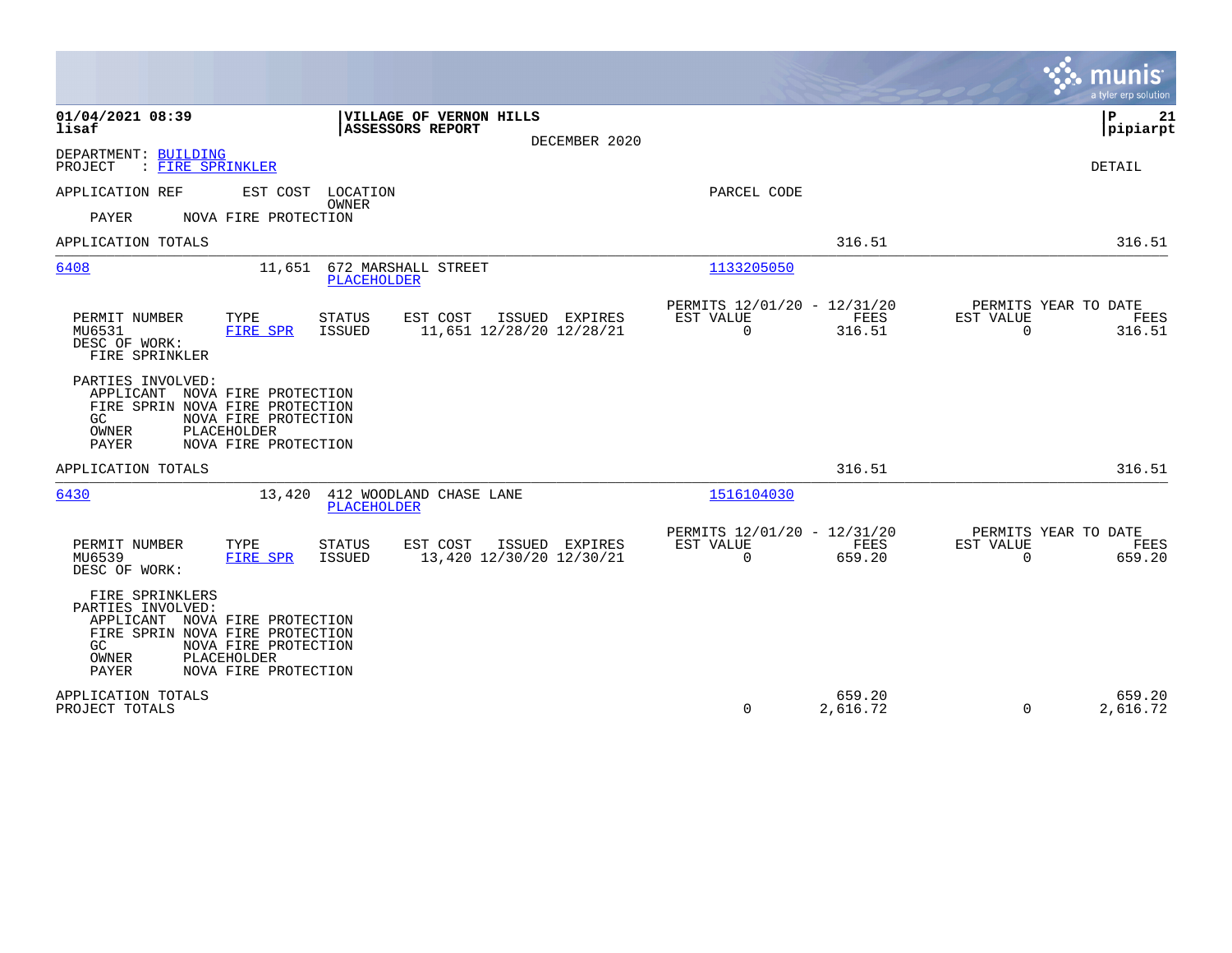|                                                                                                                                                                                                          |                                                                               | munis<br>a tyler erp solution                                   |
|----------------------------------------------------------------------------------------------------------------------------------------------------------------------------------------------------------|-------------------------------------------------------------------------------|-----------------------------------------------------------------|
| 01/04/2021 08:39<br>VILLAGE OF VERNON HILLS<br>ASSESSORS REPORT<br>lisaf<br>DECEMBER 2020                                                                                                                |                                                                               | P<br>21<br> pipiarpt                                            |
| DEPARTMENT: BUILDING<br>: FIRE SPRINKLER<br>PROJECT                                                                                                                                                      |                                                                               | DETAIL                                                          |
| APPLICATION REF<br>EST COST LOCATION<br>OWNER<br>PAYER<br>NOVA FIRE PROTECTION                                                                                                                           | PARCEL CODE                                                                   |                                                                 |
| APPLICATION TOTALS                                                                                                                                                                                       | 316.51                                                                        | 316.51                                                          |
| 6408<br>11,651 672 MARSHALL STREET<br>PLACEHOLDER                                                                                                                                                        | 1133205050                                                                    |                                                                 |
| TYPE<br>EST COST<br>PERMIT NUMBER<br>STATUS<br>ISSUED EXPIRES<br>MU6531<br>11,651 12/28/20 12/28/21<br>FIRE SPR<br>ISSUED<br>DESC OF WORK:<br>FIRE SPRINKLER                                             | PERMITS 12/01/20 - 12/31/20<br>EST VALUE<br>FEES<br>316.51<br>$\mathbf 0$     | PERMITS YEAR TO DATE<br>EST VALUE<br>FEES<br>$\Omega$<br>316.51 |
| PARTIES INVOLVED:<br>APPLICANT NOVA FIRE PROTECTION<br>FIRE SPRIN NOVA FIRE PROTECTION<br>NOVA FIRE PROTECTION<br>GC.<br>PLACEHOLDER<br>OWNER<br>NOVA FIRE PROTECTION<br>PAYER                           |                                                                               |                                                                 |
| APPLICATION TOTALS                                                                                                                                                                                       | 316.51                                                                        | 316.51                                                          |
| 6430<br>412 WOODLAND CHASE LANE<br>13,420<br><b>PLACEHOLDER</b>                                                                                                                                          | 1516104030                                                                    |                                                                 |
| PERMIT NUMBER<br>EST COST<br>TYPE<br><b>STATUS</b><br>ISSUED EXPIRES<br>MU6539<br>13,420 12/30/20 12/30/21<br>FIRE SPR<br><b>ISSUED</b><br>DESC OF WORK:                                                 | PERMITS 12/01/20 - 12/31/20<br><b>FEES</b><br>EST VALUE<br>$\Omega$<br>659.20 | PERMITS YEAR TO DATE<br>EST VALUE<br>FEES<br>$\Omega$<br>659.20 |
| FIRE SPRINKLERS<br>PARTIES INVOLVED:<br>APPLICANT NOVA FIRE PROTECTION<br>FIRE SPRIN NOVA FIRE PROTECTION<br>NOVA FIRE PROTECTION<br>GC.<br>OWNER<br>PLACEHOLDER<br><b>PAYER</b><br>NOVA FIRE PROTECTION |                                                                               |                                                                 |
| APPLICATION TOTALS<br>PROJECT TOTALS                                                                                                                                                                     | 659.20<br>0<br>2,616.72                                                       | 659.20<br>2,616.72<br>$\Omega$                                  |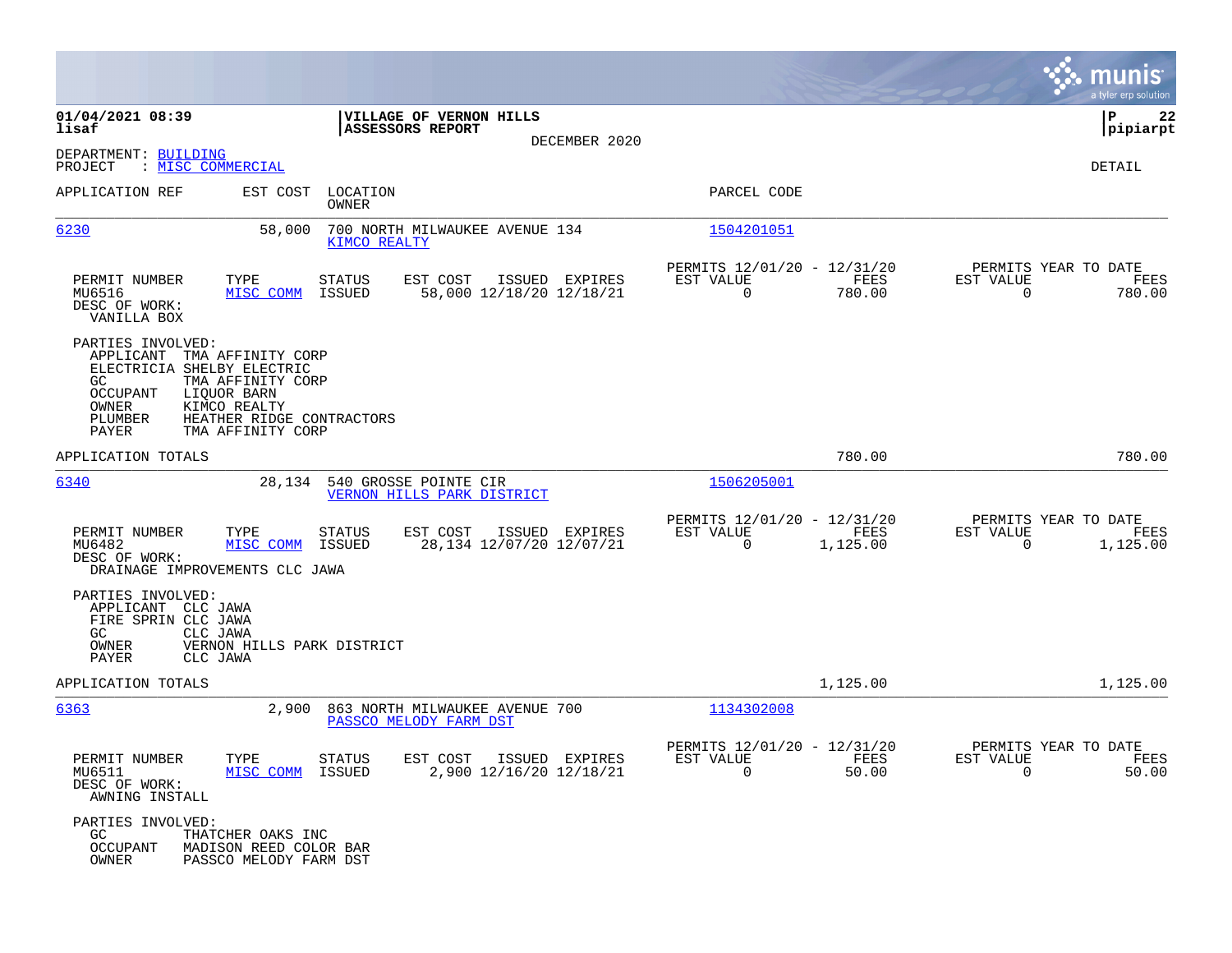|                                                                                                                                                                                                                                     |                                                                                   |                                                                                                                                                                                       | munis<br>a tyler erp solution                                     |
|-------------------------------------------------------------------------------------------------------------------------------------------------------------------------------------------------------------------------------------|-----------------------------------------------------------------------------------|---------------------------------------------------------------------------------------------------------------------------------------------------------------------------------------|-------------------------------------------------------------------|
| 01/04/2021 08:39<br>lisaf                                                                                                                                                                                                           | <b>VILLAGE OF VERNON HILLS</b><br>ASSESSORS REPORT                                |                                                                                                                                                                                       | l P<br>22<br> pipiarpt                                            |
| DEPARTMENT: BUILDING<br>: MISC COMMERCIAL<br>PROJECT                                                                                                                                                                                | DECEMBER 2020                                                                     |                                                                                                                                                                                       | DETAIL                                                            |
| APPLICATION REF                                                                                                                                                                                                                     | EST COST LOCATION<br>OWNER                                                        | PARCEL CODE                                                                                                                                                                           |                                                                   |
| 6230<br>58,000                                                                                                                                                                                                                      | 700 NORTH MILWAUKEE AVENUE 134<br>KIMCO REALTY                                    | 1504201051                                                                                                                                                                            |                                                                   |
| PERMIT NUMBER<br>TYPE<br>MU6516<br>MISC COMM<br>DESC OF WORK:<br>VANILLA BOX                                                                                                                                                        | <b>STATUS</b><br>EST COST<br>ISSUED EXPIRES<br>58,000 12/18/20 12/18/21<br>ISSUED | PERMITS 12/01/20 - 12/31/20<br>EST VALUE<br>FEES<br>780.00<br>$\Omega$                                                                                                                | PERMITS YEAR TO DATE<br>EST VALUE<br>FEES<br>$\Omega$<br>780.00   |
| PARTIES INVOLVED:<br>APPLICANT TMA AFFINITY CORP<br>ELECTRICIA SHELBY ELECTRIC<br>GC<br>TMA AFFINITY CORP<br>OCCUPANT<br>LIOUOR BARN<br>OWNER<br>KIMCO REALTY<br>PLUMBER<br>HEATHER RIDGE CONTRACTORS<br>PAYER<br>TMA AFFINITY CORP |                                                                                   |                                                                                                                                                                                       |                                                                   |
| APPLICATION TOTALS                                                                                                                                                                                                                  |                                                                                   | 780.00                                                                                                                                                                                | 780.00                                                            |
| 6340                                                                                                                                                                                                                                | 28,134 540 GROSSE POINTE CIR<br>VERNON HILLS PARK DISTRICT                        | 1506205001                                                                                                                                                                            |                                                                   |
| PERMIT NUMBER<br>TYPE<br>MU6482<br>MISC COMM<br>DESC OF WORK:<br>DRAINAGE IMPROVEMENTS CLC JAWA                                                                                                                                     | <b>STATUS</b><br>EST COST<br>ISSUED EXPIRES<br>28,134 12/07/20 12/07/21<br>ISSUED | PERMITS 12/01/20 - 12/31/20<br>EST VALUE<br><b>EXECUTE: EXECUTE: EXECUTE: EXECUTE: EXECUTE: EXECUTE: EXECUTE: EXECUTE: EXECUTE: EXECUTE: EXECUTE: E</b><br>1,125.00<br>$\overline{0}$ | PERMITS YEAR TO DATE<br>EST VALUE<br>FEES<br>1,125.00<br>$\Omega$ |
| PARTIES INVOLVED:<br>APPLICANT CLC JAWA<br>FIRE SPRIN CLC JAWA<br>GC<br>CLC JAWA<br>VERNON HILLS PARK DISTRICT<br>OWNER<br>PAYER<br>CLC JAWA                                                                                        |                                                                                   |                                                                                                                                                                                       |                                                                   |
| APPLICATION TOTALS                                                                                                                                                                                                                  |                                                                                   | 1,125.00                                                                                                                                                                              | 1,125.00                                                          |
| 6363                                                                                                                                                                                                                                | 2,900 863 NORTH MILWAUKEE AVENUE 700<br>PASSCO MELODY FARM DST                    | 1134302008                                                                                                                                                                            |                                                                   |
| PERMIT NUMBER<br>TYPE STATUS<br>MISC COMM ISSUED<br>MU6511<br>DESC OF WORK:<br>AWNING INSTALL                                                                                                                                       | EST COST ISSUED EXPIRES<br>2,900 12/16/20 12/18/21                                | PERMITS 12/01/20 - 12/31/20<br>EST VALUE<br>FEES<br>$\Omega$<br>50.00                                                                                                                 | PERMITS YEAR TO DATE<br>EST VALUE<br>FEES<br>$\Omega$<br>50.00    |
| PARTIES INVOLVED:<br>THATCHER OAKS INC<br>GC<br><b>OCCUPANT</b><br>MADISON REED COLOR BAR<br>OWNER<br>PASSCO MELODY FARM DST                                                                                                        |                                                                                   |                                                                                                                                                                                       |                                                                   |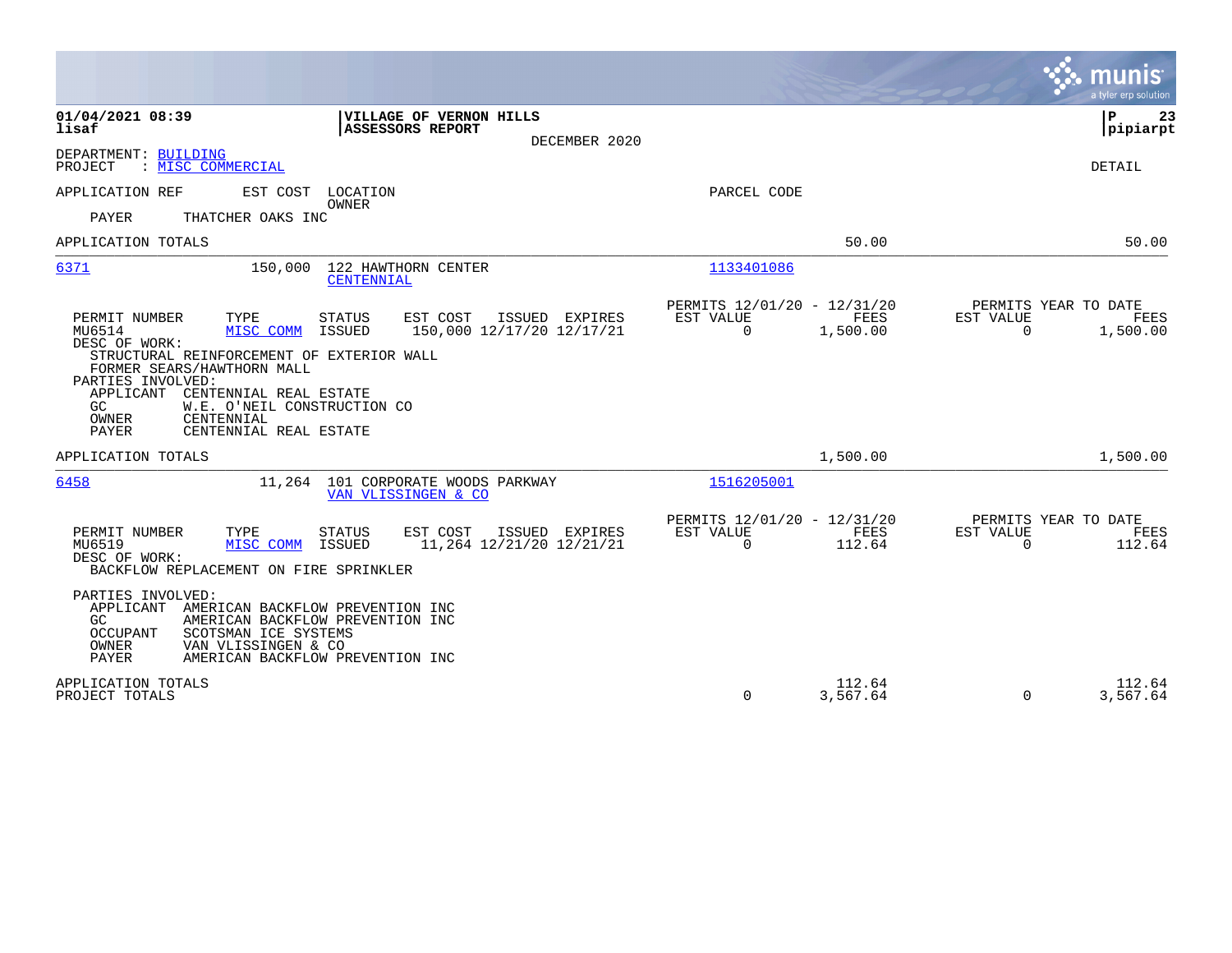|                                                                                                                                                                                                                                                                                                                                                                                                   |                                                                           | munis<br>a tyler erp solution                                     |
|---------------------------------------------------------------------------------------------------------------------------------------------------------------------------------------------------------------------------------------------------------------------------------------------------------------------------------------------------------------------------------------------------|---------------------------------------------------------------------------|-------------------------------------------------------------------|
| 01/04/2021 08:39<br>VILLAGE OF VERNON HILLS<br>lisaf<br>ASSESSORS REPORT<br>DECEMBER 2020                                                                                                                                                                                                                                                                                                         |                                                                           | ΙP<br>23<br> pipiarpt                                             |
| DEPARTMENT: BUILDING<br>PROJECT<br>: MISC COMMERCIAL                                                                                                                                                                                                                                                                                                                                              |                                                                           | DETAIL                                                            |
| APPLICATION REF<br>EST COST LOCATION<br><b>OWNER</b><br><b>PAYER</b><br>THATCHER OAKS INC                                                                                                                                                                                                                                                                                                         | PARCEL CODE                                                               |                                                                   |
| APPLICATION TOTALS                                                                                                                                                                                                                                                                                                                                                                                | 50.00                                                                     | 50.00                                                             |
| 6371<br>150,000<br>122 HAWTHORN CENTER<br>CENTENNIAL                                                                                                                                                                                                                                                                                                                                              | 1133401086                                                                |                                                                   |
| TYPE<br>PERMIT NUMBER<br><b>STATUS</b><br>EST COST<br>ISSUED EXPIRES<br>MU6514<br>MISC COMM<br>ISSUED<br>150,000 12/17/20 12/17/21<br>DESC OF WORK:<br>STRUCTURAL REINFORCEMENT OF EXTERIOR WALL<br>FORMER SEARS/HAWTHORN MALL<br>PARTIES INVOLVED:<br>APPLICANT<br>CENTENNIAL REAL ESTATE<br>W.E. O'NEIL CONSTRUCTION CO<br>GC.<br>OWNER<br>CENTENNIAL<br><b>PAYER</b><br>CENTENNIAL REAL ESTATE | PERMITS 12/01/20 - 12/31/20<br>EST VALUE<br>FEES<br>$\Omega$<br>1,500.00  | PERMITS YEAR TO DATE<br>EST VALUE<br>FEES<br>$\Omega$<br>1,500.00 |
| APPLICATION TOTALS                                                                                                                                                                                                                                                                                                                                                                                | 1,500.00                                                                  | 1,500.00                                                          |
| 6458<br>11,264 101 CORPORATE WOODS PARKWAY<br>VAN VLISSINGEN & CO                                                                                                                                                                                                                                                                                                                                 | 1516205001                                                                |                                                                   |
| PERMIT NUMBER<br>TYPE<br><b>STATUS</b><br>EST COST<br>ISSUED EXPIRES<br>MU6519<br>MISC COMM<br>ISSUED<br>11,264 12/21/20 12/21/21<br>DESC OF WORK:<br>BACKFLOW REPLACEMENT ON FIRE SPRINKLER                                                                                                                                                                                                      | PERMITS 12/01/20 - 12/31/20<br>FEES<br>EST VALUE<br>$\mathbf 0$<br>112.64 | PERMITS YEAR TO DATE<br>EST VALUE<br>FEES<br>$\Omega$<br>112.64   |
| PARTIES INVOLVED:<br>APPLICANT AMERICAN BACKFLOW PREVENTION INC<br>AMERICAN BACKFLOW PREVENTION INC<br>GC.<br>OCCUPANT<br>SCOTSMAN ICE SYSTEMS<br>OWNER<br>VAN VLISSINGEN & CO<br>PAYER<br>AMERICAN BACKFLOW PREVENTION INC                                                                                                                                                                       |                                                                           |                                                                   |
| APPLICATION TOTALS<br>PROJECT TOTALS                                                                                                                                                                                                                                                                                                                                                              | 112.64<br>0<br>3,567.64                                                   | 112.64<br>3,567.64<br>$\Omega$                                    |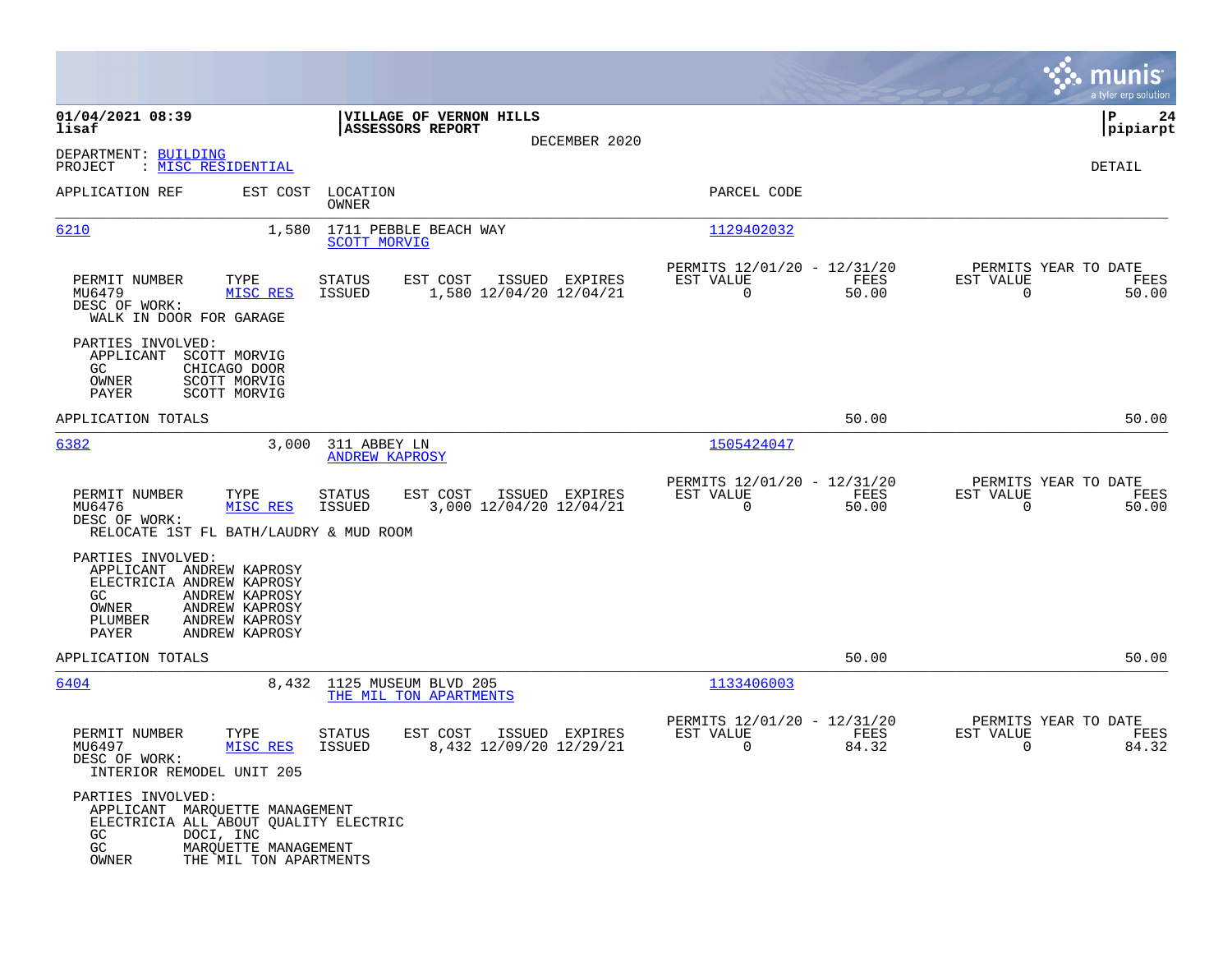|                                                                                                                                                                                        |                                                                                         |                                                                          | munis<br>a tyler erp solution                                     |
|----------------------------------------------------------------------------------------------------------------------------------------------------------------------------------------|-----------------------------------------------------------------------------------------|--------------------------------------------------------------------------|-------------------------------------------------------------------|
| 01/04/2021 08:39<br>lisaf                                                                                                                                                              | VILLAGE OF VERNON HILLS<br><b>ASSESSORS REPORT</b>                                      |                                                                          | 24<br>IΡ<br> pipiarpt                                             |
| DEPARTMENT: BUILDING<br>: MISC RESIDENTIAL<br>PROJECT                                                                                                                                  | DECEMBER 2020                                                                           |                                                                          | DETAIL                                                            |
| APPLICATION REF<br>EST COST                                                                                                                                                            | LOCATION<br>OWNER                                                                       | PARCEL CODE                                                              |                                                                   |
| 6210<br>1,580                                                                                                                                                                          | 1711 PEBBLE BEACH WAY<br><b>SCOTT MORVIG</b>                                            | 1129402032                                                               |                                                                   |
| PERMIT NUMBER<br>TYPE<br>MU6479<br>MISC RES<br>DESC OF WORK:<br>WALK IN DOOR FOR GARAGE                                                                                                | STATUS<br>EST COST<br>ISSUED EXPIRES<br>1,580 12/04/20 12/04/21<br>ISSUED               | PERMITS 12/01/20 - 12/31/20<br>FEES<br>EST VALUE<br>$\mathbf 0$<br>50.00 | PERMITS YEAR TO DATE<br>EST VALUE<br>FEES<br>$\Omega$<br>50.00    |
| PARTIES INVOLVED:<br>APPLICANT<br>SCOTT MORVIG<br>GC<br>CHICAGO DOOR<br>OWNER<br><b>SCOTT MORVIG</b><br>PAYER<br>SCOTT MORVIG                                                          |                                                                                         |                                                                          |                                                                   |
| APPLICATION TOTALS                                                                                                                                                                     |                                                                                         | 50.00                                                                    | 50.00                                                             |
| 6382<br>3,000                                                                                                                                                                          | 311 ABBEY LN<br><b>ANDREW KAPROSY</b>                                                   | 1505424047                                                               |                                                                   |
| PERMIT NUMBER<br>TYPE<br>MU6476<br>MISC RES<br>DESC OF WORK:<br>RELOCATE 1ST FL BATH/LAUDRY & MUD ROOM                                                                                 | EST COST<br>ISSUED EXPIRES<br><b>STATUS</b><br><b>ISSUED</b><br>3,000 12/04/20 12/04/21 | PERMITS 12/01/20 - 12/31/20<br>EST VALUE<br>FEES<br>$\mathbf 0$<br>50.00 | PERMITS YEAR TO DATE<br>EST VALUE<br>FEES<br>$\mathbf 0$<br>50.00 |
| PARTIES INVOLVED:<br>APPLICANT ANDREW KAPROSY<br>ELECTRICIA ANDREW KAPROSY<br>GC.<br>ANDREW KAPROSY<br>ANDREW KAPROSY<br>OWNER<br>PLUMBER<br>ANDREW KAPROSY<br>PAYER<br>ANDREW KAPROSY |                                                                                         |                                                                          |                                                                   |
| APPLICATION TOTALS                                                                                                                                                                     |                                                                                         | 50.00                                                                    | 50.00                                                             |
| 6404<br>8,432                                                                                                                                                                          | 1125 MUSEUM BLVD 205<br>THE MIL TON APARTMENTS                                          | 1133406003                                                               |                                                                   |
| PERMIT NUMBER<br>TYPE<br>MU6497<br>MISC RES<br>DESC OF WORK:<br>INTERIOR REMODEL UNIT 205                                                                                              | <b>STATUS</b><br>EST COST<br>ISSUED EXPIRES<br>ISSUED<br>8,432 12/09/20 12/29/21        | PERMITS 12/01/20 - 12/31/20<br>EST VALUE<br>FEES<br>84.32<br>0           | PERMITS YEAR TO DATE<br>EST VALUE<br>FEES<br>84.32<br>0           |
| PARTIES INVOLVED:<br>APPLICANT MARQUETTE MANAGEMENT<br>ELECTRICIA ALL ABOUT QUALITY ELECTRIC<br>GC<br>DOCI, INC<br>$\rm GC$<br>MARQUETTE MANAGEMENT<br>OWNER<br>THE MIL TON APARTMENTS |                                                                                         |                                                                          |                                                                   |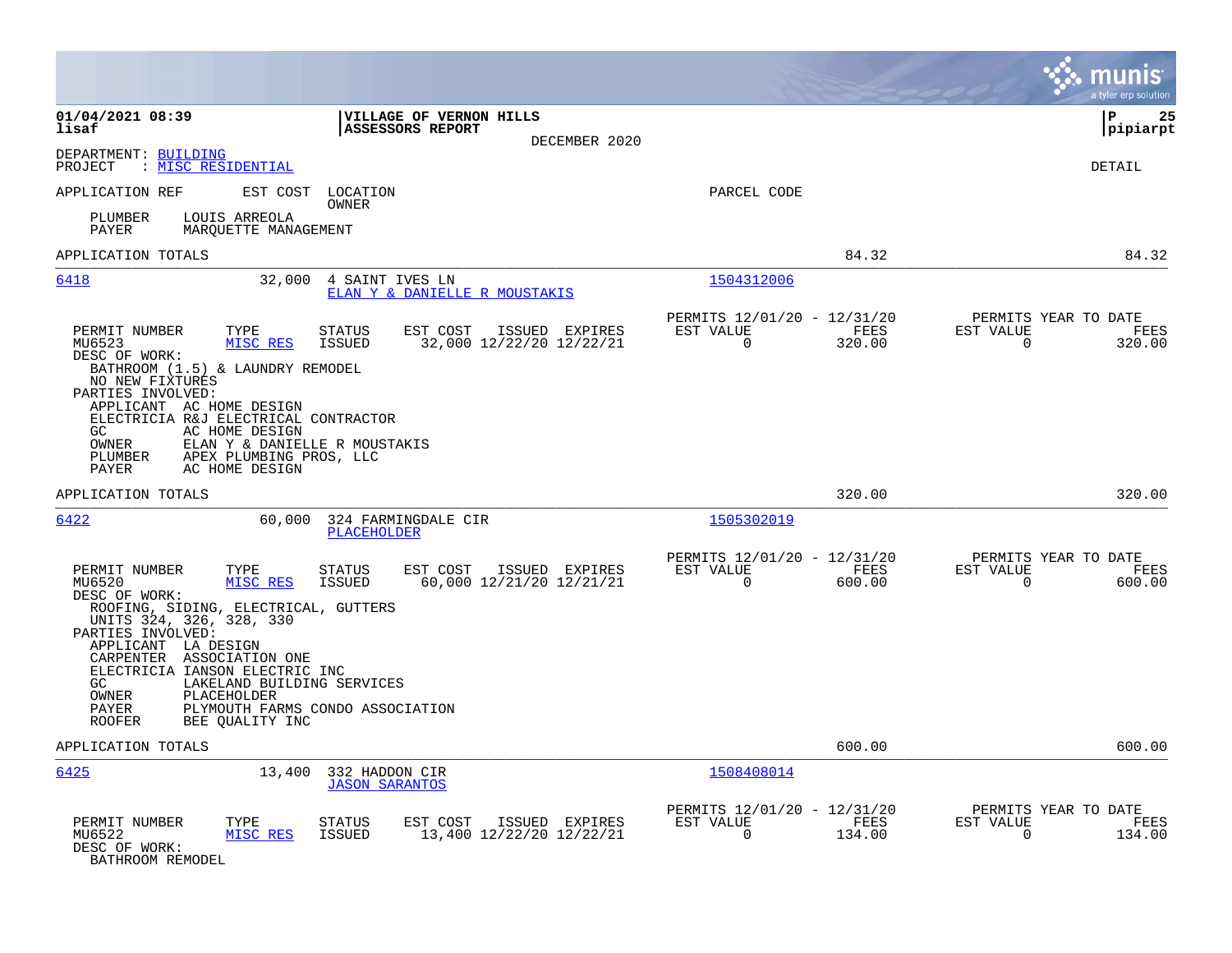|                                                                                                                                                                                                                                                                                                                                                       |                                                                                                                              |                                                                              | munis<br>a tyler erp solution                                   |
|-------------------------------------------------------------------------------------------------------------------------------------------------------------------------------------------------------------------------------------------------------------------------------------------------------------------------------------------------------|------------------------------------------------------------------------------------------------------------------------------|------------------------------------------------------------------------------|-----------------------------------------------------------------|
| 01/04/2021 08:39<br>lisaf                                                                                                                                                                                                                                                                                                                             | VILLAGE OF VERNON HILLS<br><b>ASSESSORS REPORT</b><br>DECEMBER 2020                                                          |                                                                              | ΙP<br>25<br> pipiarpt                                           |
| DEPARTMENT: BUILDING<br>: <u>MISC RESIDENTIAL</u><br>PROJECT                                                                                                                                                                                                                                                                                          |                                                                                                                              |                                                                              | DETAIL                                                          |
| APPLICATION REF<br>EST COST                                                                                                                                                                                                                                                                                                                           | LOCATION<br>OWNER                                                                                                            | PARCEL CODE                                                                  |                                                                 |
| LOUIS ARREOLA<br>PLUMBER<br>PAYER<br>MARQUETTE MANAGEMENT                                                                                                                                                                                                                                                                                             |                                                                                                                              |                                                                              |                                                                 |
| APPLICATION TOTALS                                                                                                                                                                                                                                                                                                                                    |                                                                                                                              | 84.32                                                                        | 84.32                                                           |
| 6418                                                                                                                                                                                                                                                                                                                                                  | 32,000 4 SAINT IVES LN<br>ELAN Y & DANIELLE R MOUSTAKIS                                                                      | 1504312006                                                                   |                                                                 |
| PERMIT NUMBER<br>TYPE<br>MU6523<br>MISC RES<br>DESC OF WORK:<br>BATHROOM (1.5) & LAUNDRY REMODEL<br>NO NEW FIXTURES<br>PARTIES INVOLVED:<br>APPLICANT AC HOME DESIGN<br>ELECTRICIA R&J ELECTRICAL CONTRACTOR<br>AC HOME DESIGN<br>GC.<br>OWNER<br>ELAN Y & DANIELLE R MOUSTAKIS<br>APEX PLUMBING PROS, LLC<br>PLUMBER<br>AC HOME DESIGN<br>PAYER      | <b>STATUS</b><br>EST COST<br>ISSUED EXPIRES<br>32,000 12/22/20 12/22/21<br><b>ISSUED</b>                                     | PERMITS 12/01/20 - 12/31/20<br>EST VALUE<br>FEES<br>$\overline{0}$<br>320.00 | PERMITS YEAR TO DATE<br>EST VALUE<br>FEES<br>0<br>320.00        |
| APPLICATION TOTALS                                                                                                                                                                                                                                                                                                                                    |                                                                                                                              | 320.00                                                                       | 320.00                                                          |
| 6422<br>60,000                                                                                                                                                                                                                                                                                                                                        | 324 FARMINGDALE CIR<br><b>PLACEHOLDER</b>                                                                                    | 1505302019                                                                   |                                                                 |
| PERMIT NUMBER<br>TYPE<br>MU6520<br>MISC RES<br>DESC OF WORK:<br>ROOFING, SIDING, ELECTRICAL, GUTTERS<br>UNITS 324, 326, 328, 330<br>PARTIES INVOLVED:<br>APPLICANT LA DESIGN<br>CARPENTER ASSOCIATION ONE<br>ELECTRICIA IANSON ELECTRIC INC<br>GC.<br>LAKELAND BUILDING SERVICES<br>OWNER<br>PLACEHOLDER<br>PAYER<br><b>ROOFER</b><br>BEE QUALITY INC | <b>STATUS</b><br>EST COST<br>ISSUED EXPIRES<br>60,000 12/21/20 12/21/21<br><b>ISSUED</b><br>PLYMOUTH FARMS CONDO ASSOCIATION | PERMITS 12/01/20 - 12/31/20<br>EST VALUE<br>FEES<br>$\Omega$<br>600.00       | PERMITS YEAR TO DATE<br>EST VALUE<br>FEES<br>$\Omega$<br>600.00 |
| APPLICATION TOTALS                                                                                                                                                                                                                                                                                                                                    |                                                                                                                              | 600.00                                                                       | 600.00                                                          |
| 6425<br>13,400                                                                                                                                                                                                                                                                                                                                        | 332 HADDON CIR<br><b>JASON SARANTOS</b>                                                                                      | 1508408014                                                                   |                                                                 |
| PERMIT NUMBER<br>TYPE<br>MU6522<br>MISC RES<br>DESC OF WORK:<br>BATHROOM REMODEL                                                                                                                                                                                                                                                                      | <b>STATUS</b><br>EST COST<br>ISSUED EXPIRES<br>13,400 12/22/20 12/22/21<br><b>ISSUED</b>                                     | PERMITS 12/01/20 - 12/31/20<br>EST VALUE<br>FEES<br>$\mathbf 0$<br>134.00    | PERMITS YEAR TO DATE<br>EST VALUE<br>FEES<br>134.00<br>0        |

**Contract**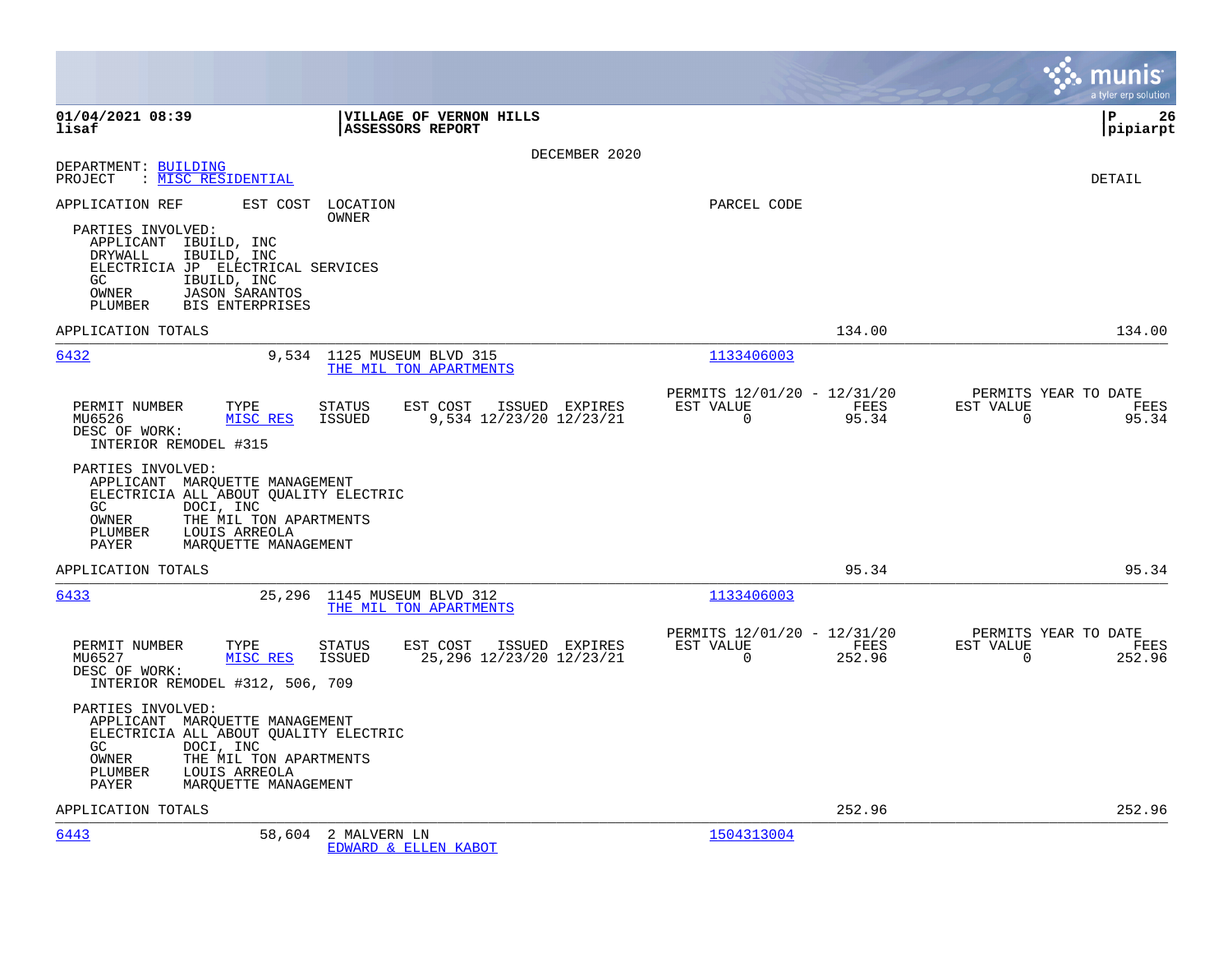|                                                                                                                                                                                                                  | munis<br>a tyler erp solution                                                                                                                |
|------------------------------------------------------------------------------------------------------------------------------------------------------------------------------------------------------------------|----------------------------------------------------------------------------------------------------------------------------------------------|
| 01/04/2021 08:39<br>VILLAGE OF VERNON HILLS<br>lisaf<br><b>ASSESSORS REPORT</b>                                                                                                                                  | İP<br>26<br> pipiarpt                                                                                                                        |
|                                                                                                                                                                                                                  | DECEMBER 2020                                                                                                                                |
| DEPARTMENT: BUILDING<br>PROJECT : MISC RESIDENTIAL                                                                                                                                                               | DETAIL                                                                                                                                       |
| EST COST<br>LOCATION<br>APPLICATION REF<br>OWNER                                                                                                                                                                 | PARCEL CODE                                                                                                                                  |
| PARTIES INVOLVED:<br>APPLICANT IBUILD, INC<br>IBUILD, INC<br>DRYWALL<br>ELECTRICIA JP ELECTRICAL SERVICES<br>IBUILD, INC<br>GC.<br><b>JASON SARANTOS</b><br>OWNER<br>PLUMBER<br>BIS ENTERPRISES                  |                                                                                                                                              |
| APPLICATION TOTALS                                                                                                                                                                                               | 134.00<br>134.00                                                                                                                             |
| 6432<br>9,534 1125 MUSEUM BLVD 315<br>THE MIL TON APARTMENTS                                                                                                                                                     | 1133406003                                                                                                                                   |
| PERMIT NUMBER<br>TYPE<br><b>STATUS</b><br>EST COST ISSUED EXPIRES<br>MU6526<br>MISC RES<br>9,534 12/23/20 12/23/21<br>ISSUED<br>DESC OF WORK:<br>INTERIOR REMODEL #315                                           | PERMITS 12/01/20 - 12/31/20<br>PERMITS YEAR TO DATE<br>EST VALUE<br>FEES<br>EST VALUE<br>FEES<br>$\mathbf 0$<br>95.34<br>$\Omega$<br>95.34   |
| PARTIES INVOLVED:<br>APPLICANT MARQUETTE MANAGEMENT<br>ELECTRICIA ALL ABOUT QUALITY ELECTRIC<br>GC.<br>DOCI, INC<br>OWNER<br>THE MIL TON APARTMENTS<br>LOUIS ARREOLA<br>PLUMBER<br>PAYER<br>MARQUETTE MANAGEMENT |                                                                                                                                              |
| APPLICATION TOTALS                                                                                                                                                                                               | 95.34<br>95.34                                                                                                                               |
| 6433<br>25,296<br>1145 MUSEUM BLVD 312<br>THE MIL TON APARTMENTS                                                                                                                                                 | 1133406003                                                                                                                                   |
| PERMIT NUMBER<br>TYPE<br>EST COST<br><b>STATUS</b><br>ISSUED EXPIRES<br>MU6527<br>MISC RES<br>ISSUED<br>25,296 12/23/20 12/23/21<br>DESC OF WORK:<br>INTERIOR REMODEL #312, 506, 709                             | PERMITS YEAR TO DATE<br>PERMITS 12/01/20 - 12/31/20<br>EST VALUE<br>FEES<br>EST VALUE<br>FEES<br>$\mathbf 0$<br>$\Omega$<br>252.96<br>252.96 |
| PARTIES INVOLVED:<br>APPLICANT MARQUETTE MANAGEMENT<br>ELECTRICIA ALL ABOUT OUALITY ELECTRIC<br>GC<br>DOCI, INC<br>OWNER<br>THE MIL TON APARTMENTS<br>PLUMBER<br>LOUIS ARREOLA<br>PAYER<br>MARQUETTE MANAGEMENT  |                                                                                                                                              |
| APPLICATION TOTALS                                                                                                                                                                                               | 252.96<br>252.96                                                                                                                             |
| 6443<br>58,604 2 MALVERN LN<br>EDWARD & ELLEN KABOT                                                                                                                                                              | 1504313004                                                                                                                                   |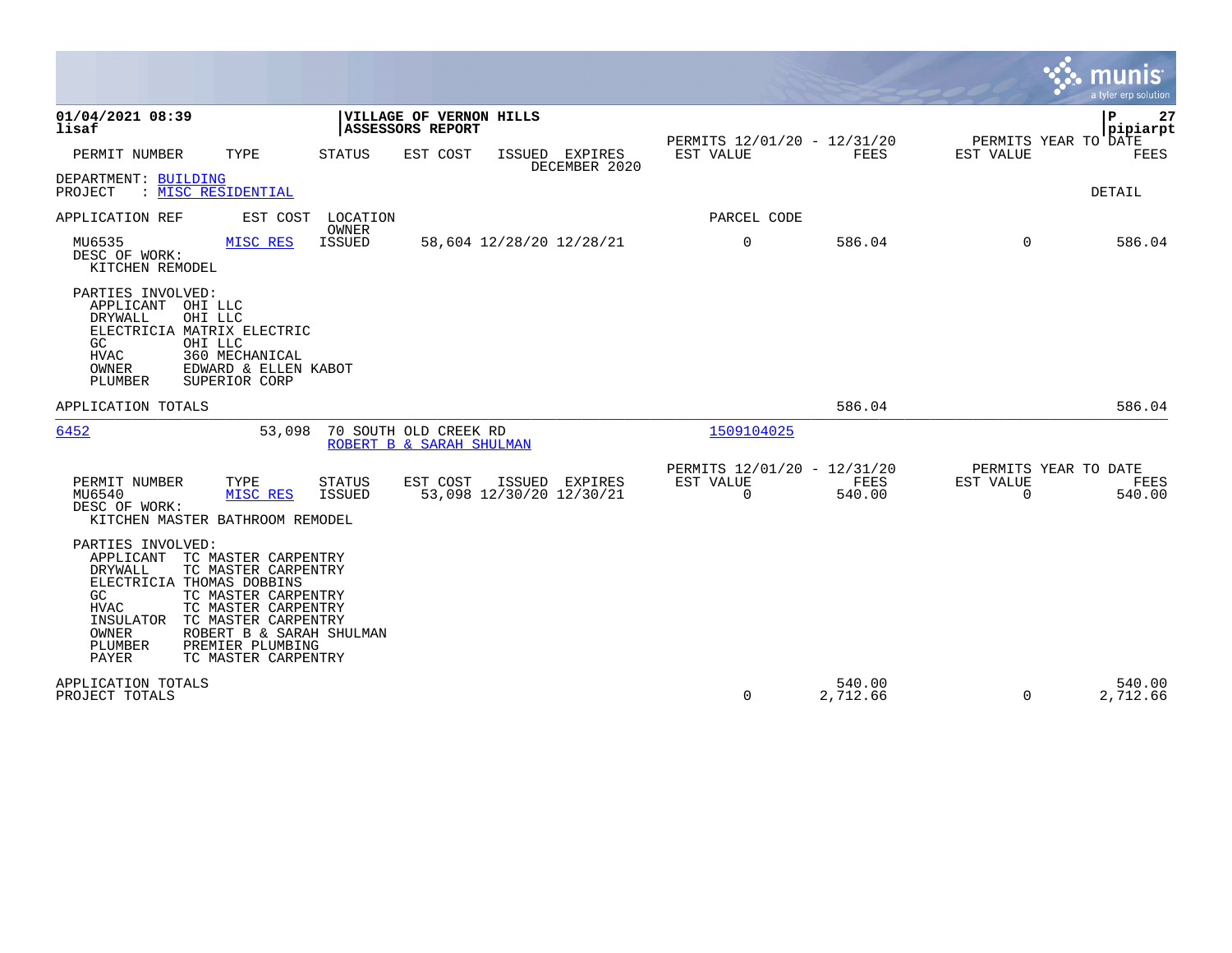|                                                                                                                                                                                                                                                                                                                                        |                                |                                                    |                                 |                                               |                       |                                                  | munis<br>a tyler erp solution |
|----------------------------------------------------------------------------------------------------------------------------------------------------------------------------------------------------------------------------------------------------------------------------------------------------------------------------------------|--------------------------------|----------------------------------------------------|---------------------------------|-----------------------------------------------|-----------------------|--------------------------------------------------|-------------------------------|
| 01/04/2021 08:39<br>lisaf                                                                                                                                                                                                                                                                                                              |                                | VILLAGE OF VERNON HILLS<br><b>ASSESSORS REPORT</b> |                                 |                                               |                       |                                                  | Þ<br>27<br> pipiarpt          |
| PERMIT NUMBER<br>TYPE                                                                                                                                                                                                                                                                                                                  | STATUS                         | EST COST                                           | ISSUED EXPIRES<br>DECEMBER 2020 | PERMITS 12/01/20 - 12/31/20<br>EST VALUE      | FEES                  | PERMITS YEAR TO DATE<br>EST VALUE                | FEES                          |
| DEPARTMENT: BUILDING<br>: MISC RESIDENTIAL<br>PROJECT                                                                                                                                                                                                                                                                                  |                                |                                                    |                                 |                                               |                       |                                                  | DETAIL                        |
| APPLICATION REF<br>EST COST                                                                                                                                                                                                                                                                                                            | LOCATION<br>OWNER              |                                                    |                                 | PARCEL CODE                                   |                       |                                                  |                               |
| MU6535<br>MISC RES<br>DESC OF WORK:<br>KITCHEN REMODEL                                                                                                                                                                                                                                                                                 | <b>ISSUED</b>                  | 58,604 12/28/20 12/28/21                           |                                 | 0                                             | 586.04                | $\Omega$                                         | 586.04                        |
| PARTIES INVOLVED:<br>APPLICANT OHI LLC<br>DRYWALL<br>OHI LLC<br>ELECTRICIA MATRIX ELECTRIC<br>GC<br>OHI LLC<br><b>HVAC</b><br>360 MECHANICAL<br>OWNER<br>EDWARD & ELLEN KABOT<br>PLUMBER<br>SUPERIOR CORP                                                                                                                              |                                |                                                    |                                 |                                               |                       |                                                  |                               |
| APPLICATION TOTALS                                                                                                                                                                                                                                                                                                                     |                                |                                                    |                                 |                                               | 586.04                |                                                  | 586.04                        |
| 6452<br>53,098                                                                                                                                                                                                                                                                                                                         |                                | 70 SOUTH OLD CREEK RD<br>ROBERT B & SARAH SHULMAN  |                                 | 1509104025                                    |                       |                                                  |                               |
| PERMIT NUMBER<br>TYPE<br>MISC RES<br>MU6540<br>DESC OF WORK:<br>KITCHEN MASTER BATHROOM REMODEL                                                                                                                                                                                                                                        | <b>STATUS</b><br><b>ISSUED</b> | EST COST<br>53,098 12/30/20 12/30/21               | ISSUED EXPIRES                  | PERMITS 12/01/20 - 12/31/20<br>EST VALUE<br>0 | <b>FEES</b><br>540.00 | PERMITS YEAR TO DATE<br>EST VALUE<br>$\mathbf 0$ | FEES<br>540.00                |
| PARTIES INVOLVED:<br>APPLICANT<br>TC MASTER CARPENTRY<br>DRYWALL<br>TC MASTER CARPENTRY<br>ELECTRICIA THOMAS DOBBINS<br>TC MASTER CARPENTRY<br>GC<br><b>HVAC</b><br>TC MASTER CARPENTRY<br>TC MASTER CARPENTRY<br>INSULATOR<br>OWNER<br>ROBERT B & SARAH SHULMAN<br>PREMIER PLUMBING<br>PLUMBER<br><b>PAYER</b><br>TC MASTER CARPENTRY |                                |                                                    |                                 |                                               |                       |                                                  |                               |
| APPLICATION TOTALS<br>PROJECT TOTALS                                                                                                                                                                                                                                                                                                   |                                |                                                    |                                 | 0                                             | 540.00<br>2,712.66    | 0                                                | 540.00<br>2,712.66            |

**Tara**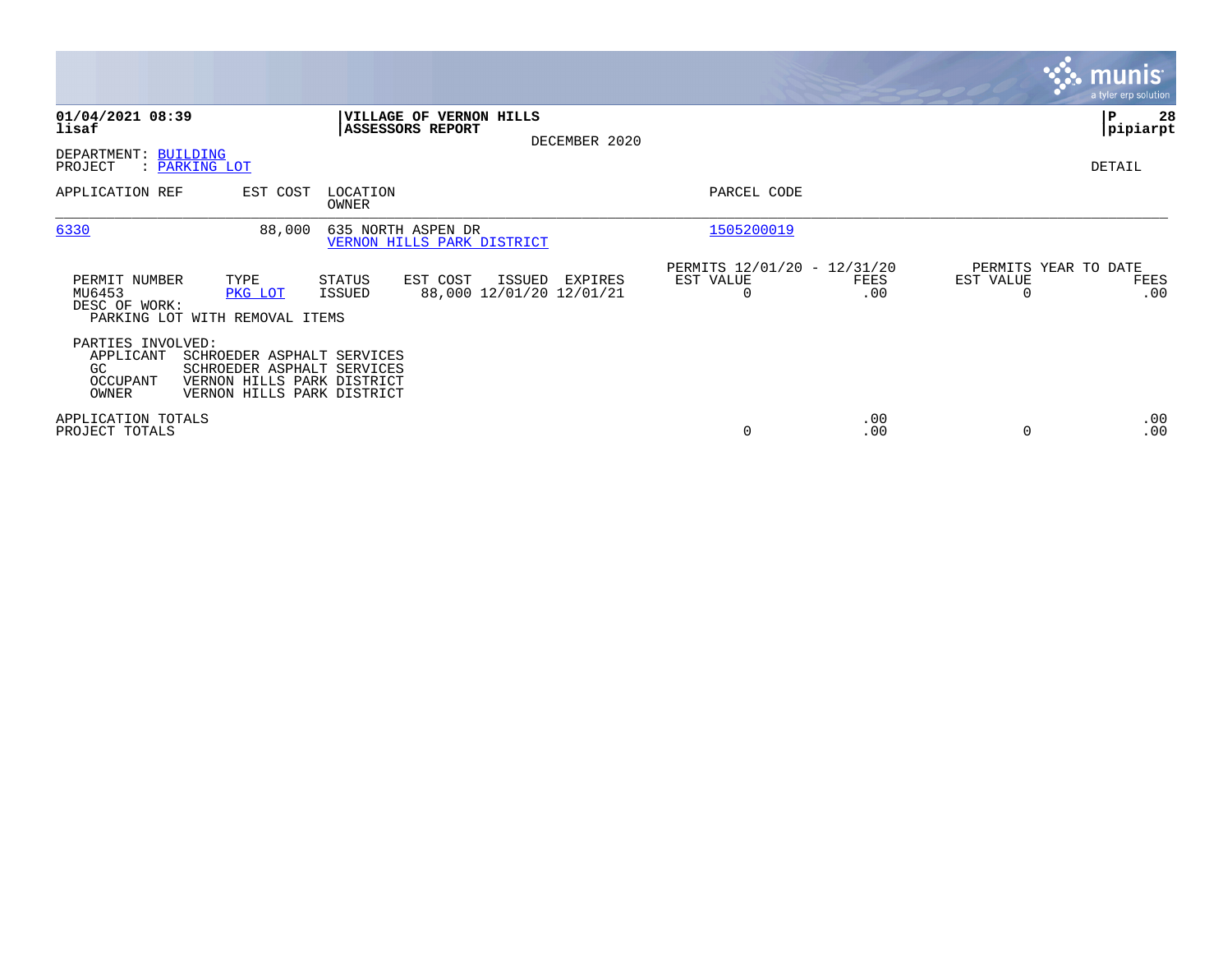|                                                                                               |                                                                                                                      |                                                          |             |                                               | <b>munis</b><br>a tyler erp solution |
|-----------------------------------------------------------------------------------------------|----------------------------------------------------------------------------------------------------------------------|----------------------------------------------------------|-------------|-----------------------------------------------|--------------------------------------|
| 01/04/2021 08:39<br>lisaf                                                                     | VILLAGE OF VERNON HILLS<br><b>ASSESSORS REPORT</b><br>DECEMBER 2020                                                  |                                                          |             |                                               | P<br>28<br> pipiarpt                 |
| DEPARTMENT: BUILDING<br>PROJECT<br>: PARKING LOT                                              |                                                                                                                      |                                                          |             |                                               | DETAIL                               |
| APPLICATION REF                                                                               | EST COST<br>LOCATION<br>OWNER                                                                                        | PARCEL CODE                                              |             |                                               |                                      |
| 6330                                                                                          | 88,000<br>635 NORTH ASPEN DR<br>VERNON HILLS PARK DISTRICT                                                           | 1505200019                                               |             |                                               |                                      |
| PERMIT NUMBER<br>TYPE<br>MU6453<br>PKG LOT<br>DESC OF WORK:<br>PARKING LOT WITH REMOVAL ITEMS | EST COST<br>ISSUED<br>STATUS<br>88,000 12/01/20 12/01/21<br>ISSUED                                                   | PERMITS 12/01/20 - 12/31/20<br>EST VALUE<br>EXPIRES<br>0 | FEES<br>.00 | PERMITS YEAR TO DATE<br>EST VALUE<br>$\Omega$ | FEES<br>.00                          |
| PARTIES INVOLVED:<br>APPLICANT<br>GC.<br>OCCUPANT<br>OWNER                                    | SCHROEDER ASPHALT SERVICES<br>SCHROEDER ASPHALT SERVICES<br>VERNON HILLS PARK DISTRICT<br>VERNON HILLS PARK DISTRICT |                                                          |             |                                               |                                      |
| APPLICATION TOTALS<br>PROJECT TOTALS                                                          |                                                                                                                      | 0                                                        | .00<br>.00  | 0                                             | .00<br>.00                           |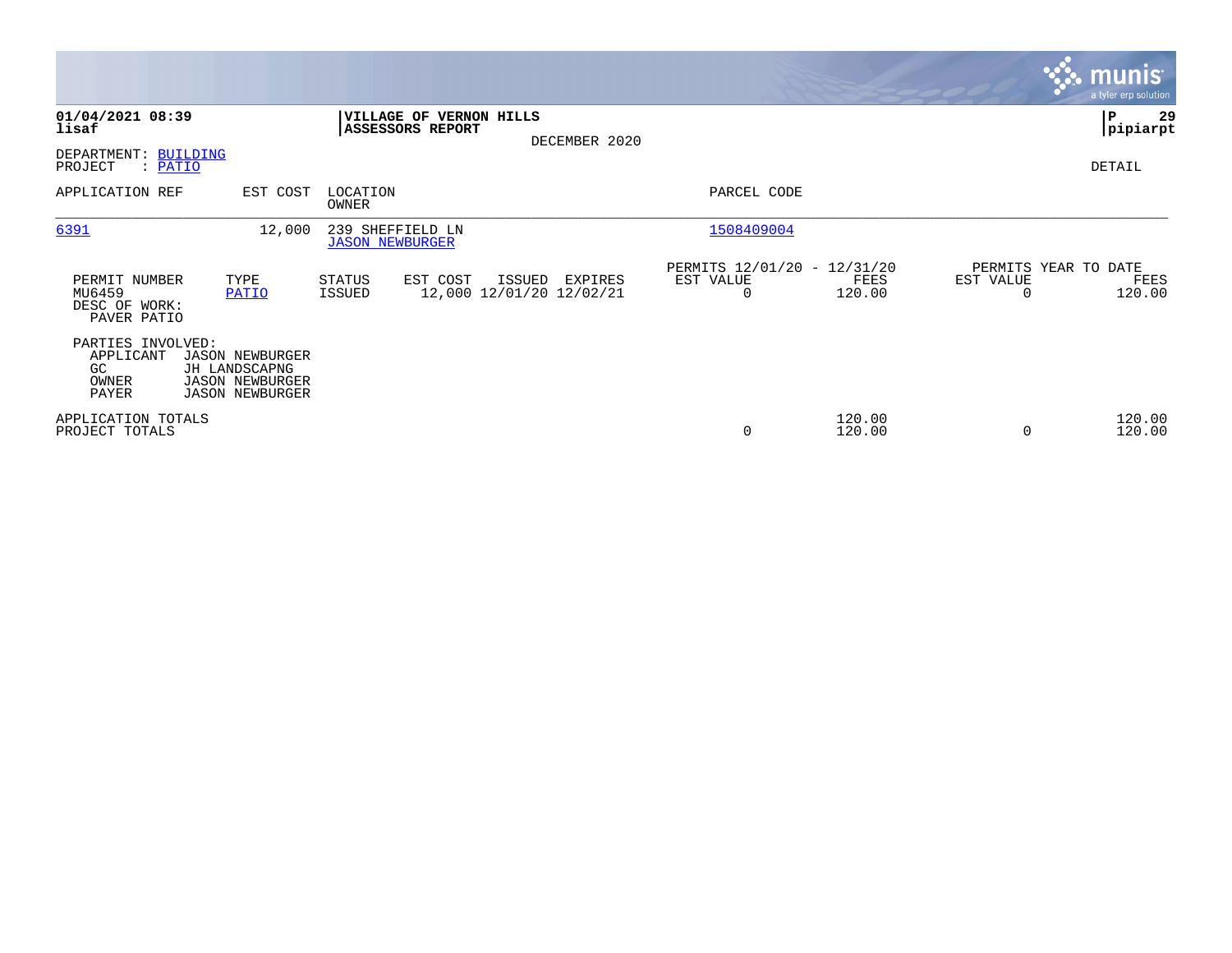|                                                         |                                                                                             |                                            |                                             |                                    |               |                                                      |                  |                                   | <b>munis</b><br>a tyler erp solution |
|---------------------------------------------------------|---------------------------------------------------------------------------------------------|--------------------------------------------|---------------------------------------------|------------------------------------|---------------|------------------------------------------------------|------------------|-----------------------------------|--------------------------------------|
| 01/04/2021 08:39<br>lisaf                               |                                                                                             |                                            | VILLAGE OF VERNON HILLS<br>ASSESSORS REPORT |                                    | DECEMBER 2020 |                                                      |                  |                                   | 29<br>IΡ<br> pipiarpt                |
| DEPARTMENT: BUILDING<br>PROJECT<br>$:$ PATIO            |                                                                                             |                                            |                                             |                                    |               |                                                      |                  |                                   | DETAIL                               |
| APPLICATION REF                                         | EST COST                                                                                    | LOCATION<br>OWNER                          |                                             |                                    |               | PARCEL CODE                                          |                  |                                   |                                      |
| 6391                                                    | 12,000                                                                                      | 239 SHEFFIELD LN<br><b>JASON NEWBURGER</b> |                                             |                                    |               | 1508409004                                           |                  |                                   |                                      |
| PERMIT NUMBER<br>MU6459<br>DESC OF WORK:<br>PAVER PATIO | TYPE<br>PATIO                                                                               | STATUS<br>ISSUED                           | EST COST                                    | ISSUED<br>12,000 12/01/20 12/02/21 | EXPIRES       | PERMITS 12/01/20 - 12/31/20<br>EST VALUE<br>$\Omega$ | FEES<br>120.00   | PERMITS YEAR TO DATE<br>EST VALUE | FEES<br>120.00                       |
| PARTIES INVOLVED:<br>APPLICANT<br>GC<br>OWNER<br>PAYER  | <b>JASON NEWBURGER</b><br>JH LANDSCAPNG<br><b>JASON NEWBURGER</b><br><b>JASON NEWBURGER</b> |                                            |                                             |                                    |               |                                                      |                  |                                   |                                      |
| APPLICATION TOTALS<br>PROJECT TOTALS                    |                                                                                             |                                            |                                             |                                    |               | 0                                                    | 120.00<br>120.00 | $\Omega$                          | 120.00<br>120.00                     |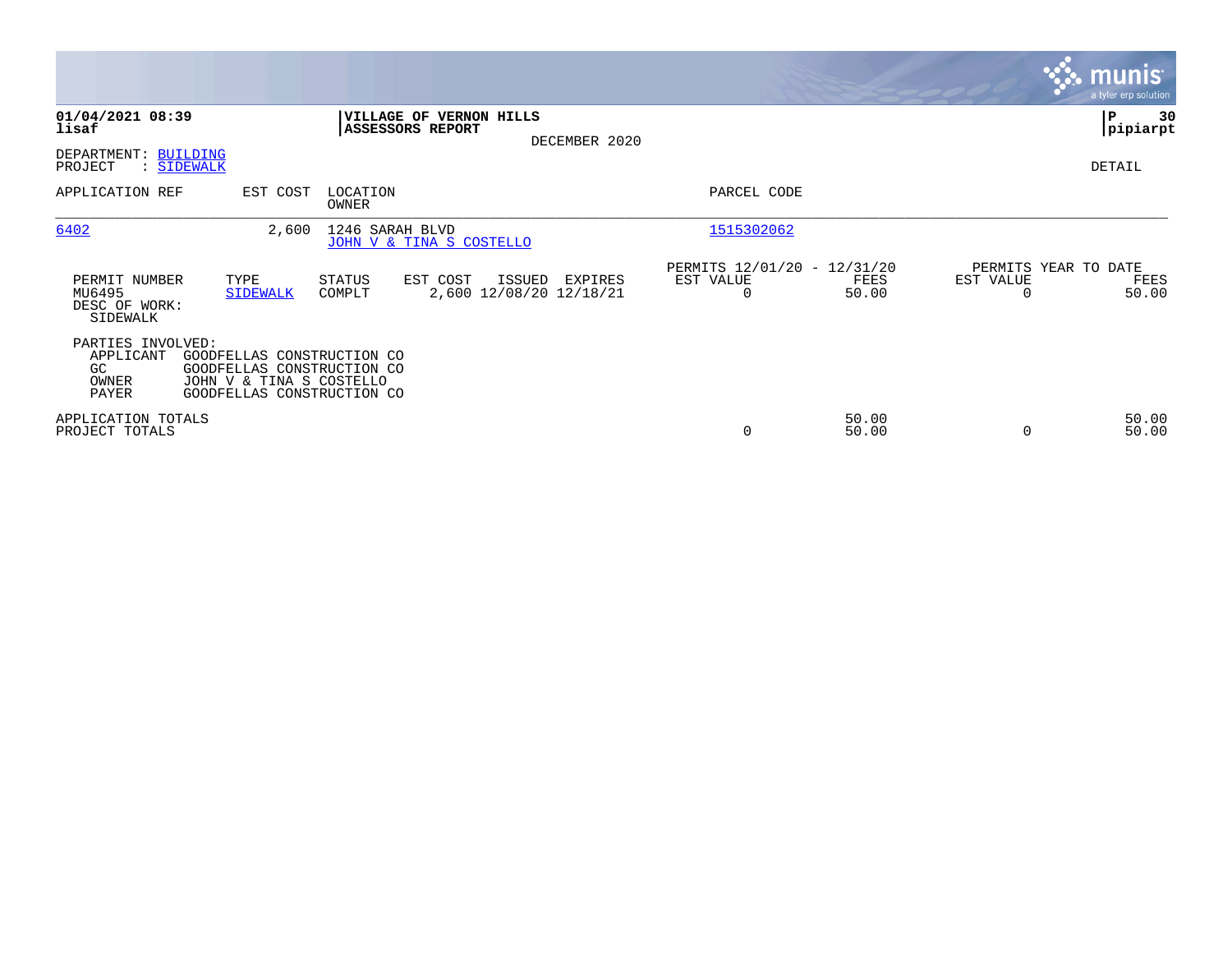|                                                                                                                                                                              |                                                          |                                                      |                |                                   | <b>munis</b><br>a tyler erp solution |
|------------------------------------------------------------------------------------------------------------------------------------------------------------------------------|----------------------------------------------------------|------------------------------------------------------|----------------|-----------------------------------|--------------------------------------|
| 01/04/2021 08:39<br>lisaf<br>ASSESSORS REPORT                                                                                                                                | <b>VILLAGE OF VERNON HILLS</b><br>DECEMBER 2020          |                                                      |                |                                   | 30<br>IΡ<br> pipiarpt                |
| DEPARTMENT: BUILDING<br>PROJECT<br>: SIDEWALK                                                                                                                                |                                                          |                                                      |                |                                   | DETAIL                               |
| APPLICATION REF<br>EST COST<br>LOCATION<br>OWNER                                                                                                                             |                                                          | PARCEL CODE                                          |                |                                   |                                      |
| 6402<br>2,600<br>1246 SARAH BLVD                                                                                                                                             | JOHN V & TINA S COSTELLO                                 | 1515302062                                           |                |                                   |                                      |
| PERMIT NUMBER<br>TYPE<br><b>STATUS</b><br>MU6495<br><b>SIDEWALK</b><br>COMPLT<br>DESC OF WORK:<br>SIDEWALK                                                                   | EST COST<br>ISSUED<br>EXPIRES<br>2,600 12/08/20 12/18/21 | PERMITS 12/01/20 - 12/31/20<br>EST VALUE<br>$\Omega$ | FEES<br>50.00  | PERMITS YEAR TO DATE<br>EST VALUE | FEES<br>50.00                        |
| PARTIES INVOLVED:<br>APPLICANT<br>GOODFELLAS CONSTRUCTION CO<br>GC<br>GOODFELLAS CONSTRUCTION CO<br>OWNER<br>JOHN V & TINA S COSTELLO<br>GOODFELLAS CONSTRUCTION CO<br>PAYER |                                                          |                                                      |                |                                   |                                      |
| APPLICATION TOTALS<br>PROJECT TOTALS                                                                                                                                         |                                                          | 0                                                    | 50.00<br>50.00 |                                   | 50.00<br>50.00                       |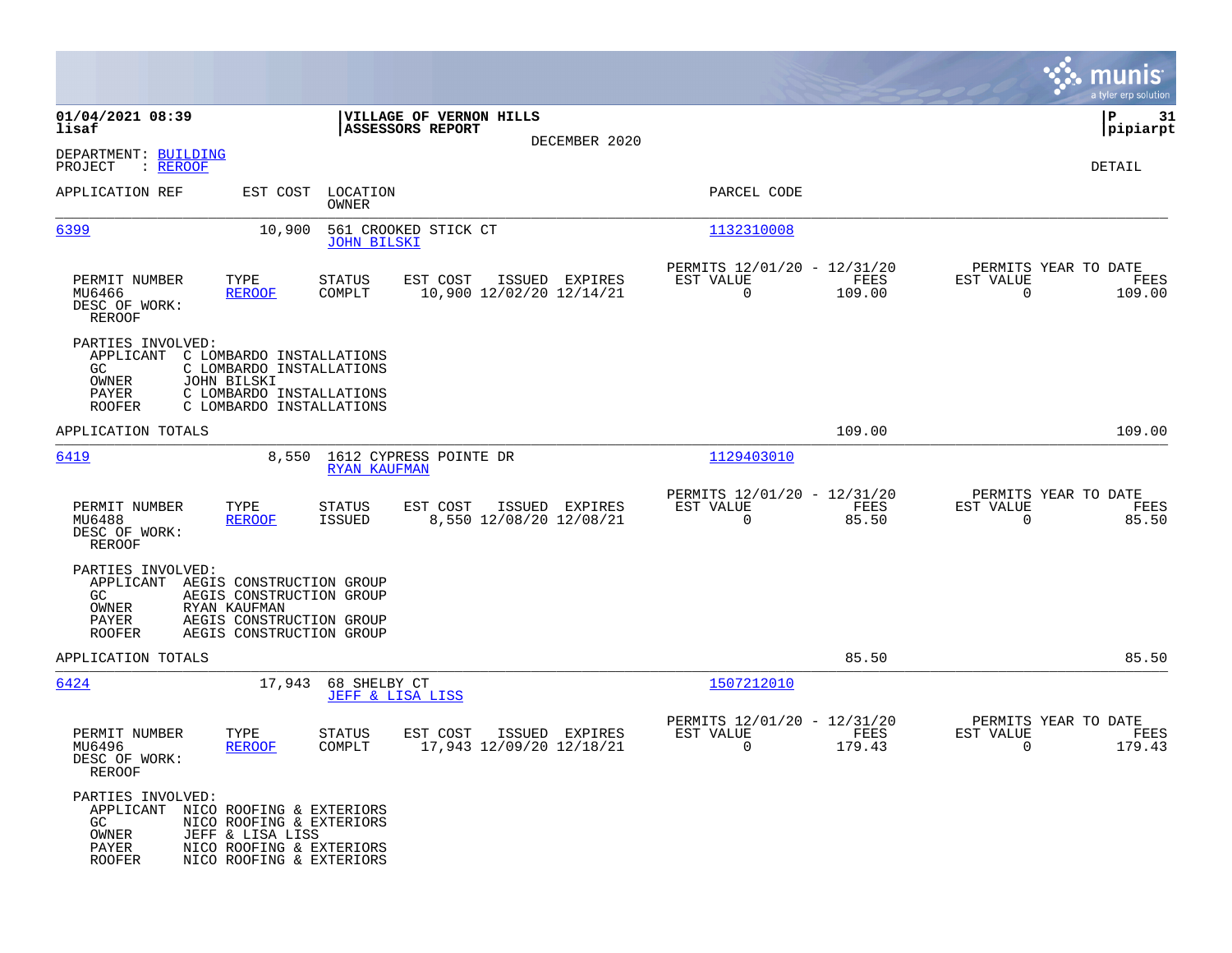|                                                                                                                        |                                                                                                                              |                                             |                                                    |                |                                                         |                      |                                                  | munis<br>a tyler erp solution |
|------------------------------------------------------------------------------------------------------------------------|------------------------------------------------------------------------------------------------------------------------------|---------------------------------------------|----------------------------------------------------|----------------|---------------------------------------------------------|----------------------|--------------------------------------------------|-------------------------------|
| 01/04/2021 08:39<br>lisaf                                                                                              |                                                                                                                              |                                             | VILLAGE OF VERNON HILLS<br><b>ASSESSORS REPORT</b> |                |                                                         |                      |                                                  | ∣P<br>31<br> pipiarpt         |
| DEPARTMENT: BUILDING<br>PROJECT<br>: REROOF                                                                            |                                                                                                                              |                                             |                                                    | DECEMBER 2020  |                                                         |                      |                                                  | DETAIL                        |
| APPLICATION REF                                                                                                        | EST COST LOCATION                                                                                                            | OWNER                                       |                                                    |                | PARCEL CODE                                             |                      |                                                  |                               |
| 6399                                                                                                                   | 10,900                                                                                                                       | <b>JOHN BILSKI</b>                          | 561 CROOKED STICK CT                               |                | 1132310008                                              |                      |                                                  |                               |
| PERMIT NUMBER<br>MU6466<br>DESC OF WORK:<br>REROOF                                                                     | TYPE<br><b>REROOF</b>                                                                                                        | STATUS<br>COMPLT                            | EST COST<br>10,900 12/02/20 12/14/21               | ISSUED EXPIRES | PERMITS 12/01/20 - 12/31/20<br>EST VALUE<br>$\mathbf 0$ | FEES<br>109.00       | PERMITS YEAR TO DATE<br>EST VALUE<br>$\Omega$    | FEES<br>109.00                |
| PARTIES INVOLVED:<br>APPLICANT C LOMBARDO INSTALLATIONS<br>GC.<br>JOHN BILSKI<br>OWNER<br>PAYER<br><b>ROOFER</b>       | C LOMBARDO INSTALLATIONS<br>C LOMBARDO INSTALLATIONS<br>C LOMBARDO INSTALLATIONS                                             |                                             |                                                    |                |                                                         |                      |                                                  |                               |
| APPLICATION TOTALS                                                                                                     |                                                                                                                              |                                             |                                                    |                |                                                         | 109.00               |                                                  | 109.00                        |
| 6419                                                                                                                   | 8,550                                                                                                                        | <b>RYAN KAUFMAN</b>                         | 1612 CYPRESS POINTE DR                             |                | 1129403010                                              |                      |                                                  |                               |
| PERMIT NUMBER<br>MU6488<br>DESC OF WORK:<br><b>REROOF</b>                                                              | TYPE<br><b>REROOF</b>                                                                                                        | STATUS<br>ISSUED                            | EST COST<br>8,550 12/08/20 12/08/21                | ISSUED EXPIRES | PERMITS 12/01/20 - 12/31/20<br>EST VALUE<br>$\mathbf 0$ | <b>FEES</b><br>85.50 | PERMITS YEAR TO DATE<br>EST VALUE<br>$\mathbf 0$ | FEES<br>85.50                 |
| PARTIES INVOLVED:<br>APPLICANT<br>GC.<br>OWNER<br>PAYER<br><b>ROOFER</b>                                               | AEGIS CONSTRUCTION GROUP<br>AEGIS CONSTRUCTION GROUP<br>RYAN KAUFMAN<br>AEGIS CONSTRUCTION GROUP<br>AEGIS CONSTRUCTION GROUP |                                             |                                                    |                |                                                         |                      |                                                  |                               |
| APPLICATION TOTALS                                                                                                     |                                                                                                                              |                                             |                                                    |                |                                                         | 85.50                |                                                  | 85.50                         |
| 6424                                                                                                                   | 17,943                                                                                                                       | 68 SHELBY CT<br><b>JEFF &amp; LISA LISS</b> |                                                    |                | 1507212010                                              |                      |                                                  |                               |
| PERMIT NUMBER<br>MU6496<br>DESC OF WORK:<br>REROOF                                                                     | TYPE<br><b>REROOF</b>                                                                                                        | STATUS<br>COMPLT                            | EST COST<br>17,943 12/09/20 12/18/21               | ISSUED EXPIRES | PERMITS 12/01/20 - 12/31/20<br>EST VALUE<br>0           | FEES<br>179.43       | PERMITS YEAR TO DATE<br>EST VALUE<br>0           | FEES<br>179.43                |
| PARTIES INVOLVED:<br>APPLICANT NICO ROOFING & EXTERIORS<br>GC<br>$\mathop{\text{\rm OWNER}}$<br>PAYER<br><b>ROOFER</b> | NICO ROOFING & EXTERIORS<br>JEFF & LISA LISS<br>NICO ROOFING & EXTERIORS<br>NICO ROOFING & EXTERIORS                         |                                             |                                                    |                |                                                         |                      |                                                  |                               |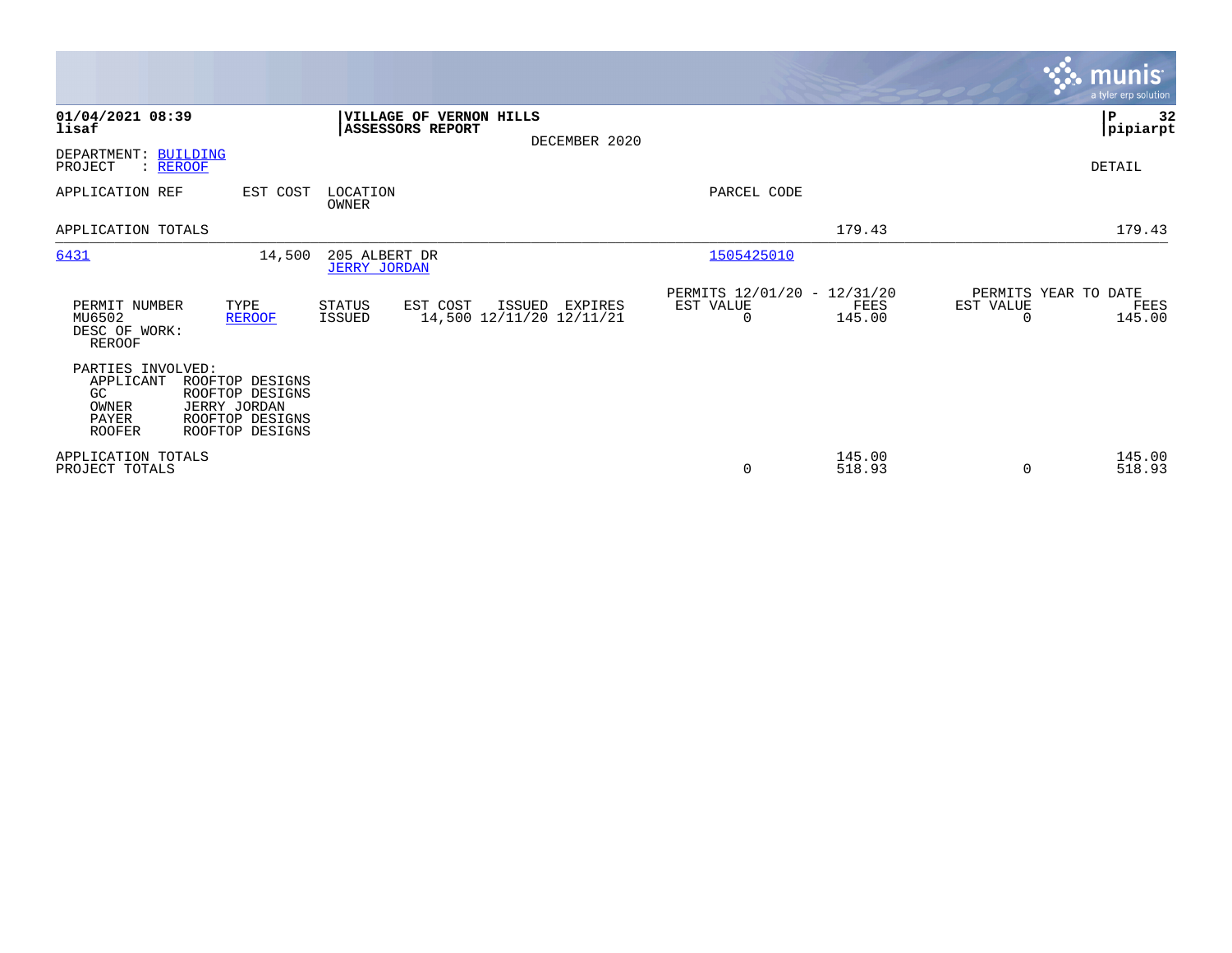|                                                                         |                                                                                          |                                      |                                                |               |                                               |                  |                                               | <b>munis</b><br>a tyler erp solution |
|-------------------------------------------------------------------------|------------------------------------------------------------------------------------------|--------------------------------------|------------------------------------------------|---------------|-----------------------------------------------|------------------|-----------------------------------------------|--------------------------------------|
| 01/04/2021 08:39<br>lisaf                                               |                                                                                          | ASSESSORS REPORT                     | VILLAGE OF VERNON HILLS                        | DECEMBER 2020 |                                               |                  |                                               | ∣₽<br>32<br> pipiarpt                |
| DEPARTMENT: BUILDING<br>PROJECT<br>: REROOF                             |                                                                                          |                                      |                                                |               |                                               |                  |                                               | DETAIL                               |
| APPLICATION REF                                                         | EST COST                                                                                 | LOCATION<br>OWNER                    |                                                |               | PARCEL CODE                                   |                  |                                               |                                      |
| APPLICATION TOTALS                                                      |                                                                                          |                                      |                                                |               |                                               | 179.43           |                                               | 179.43                               |
| 6431                                                                    | 14,500                                                                                   | 205 ALBERT DR<br><b>JERRY JORDAN</b> |                                                |               | 1505425010                                    |                  |                                               |                                      |
| PERMIT NUMBER<br>MU6502<br>DESC OF WORK:<br><b>REROOF</b>               | TYPE<br><b>REROOF</b>                                                                    | STATUS<br><b>ISSUED</b>              | EST COST<br>ISSUED<br>14,500 12/11/20 12/11/21 | EXPIRES       | PERMITS 12/01/20 - 12/31/20<br>EST VALUE<br>0 | FEES<br>145.00   | PERMITS YEAR TO DATE<br>EST VALUE<br>$\Omega$ | FEES<br>145.00                       |
| PARTIES INVOLVED:<br>APPLICANT<br>GC<br>OWNER<br>PAYER<br><b>ROOFER</b> | ROOFTOP DESIGNS<br>ROOFTOP DESIGNS<br>JERRY JORDAN<br>ROOFTOP DESIGNS<br>ROOFTOP DESIGNS |                                      |                                                |               |                                               |                  |                                               |                                      |
| APPLICATION TOTALS<br>PROJECT TOTALS                                    |                                                                                          |                                      |                                                |               | 0                                             | 145.00<br>518.93 | $\Omega$                                      | 145.00<br>518.93                     |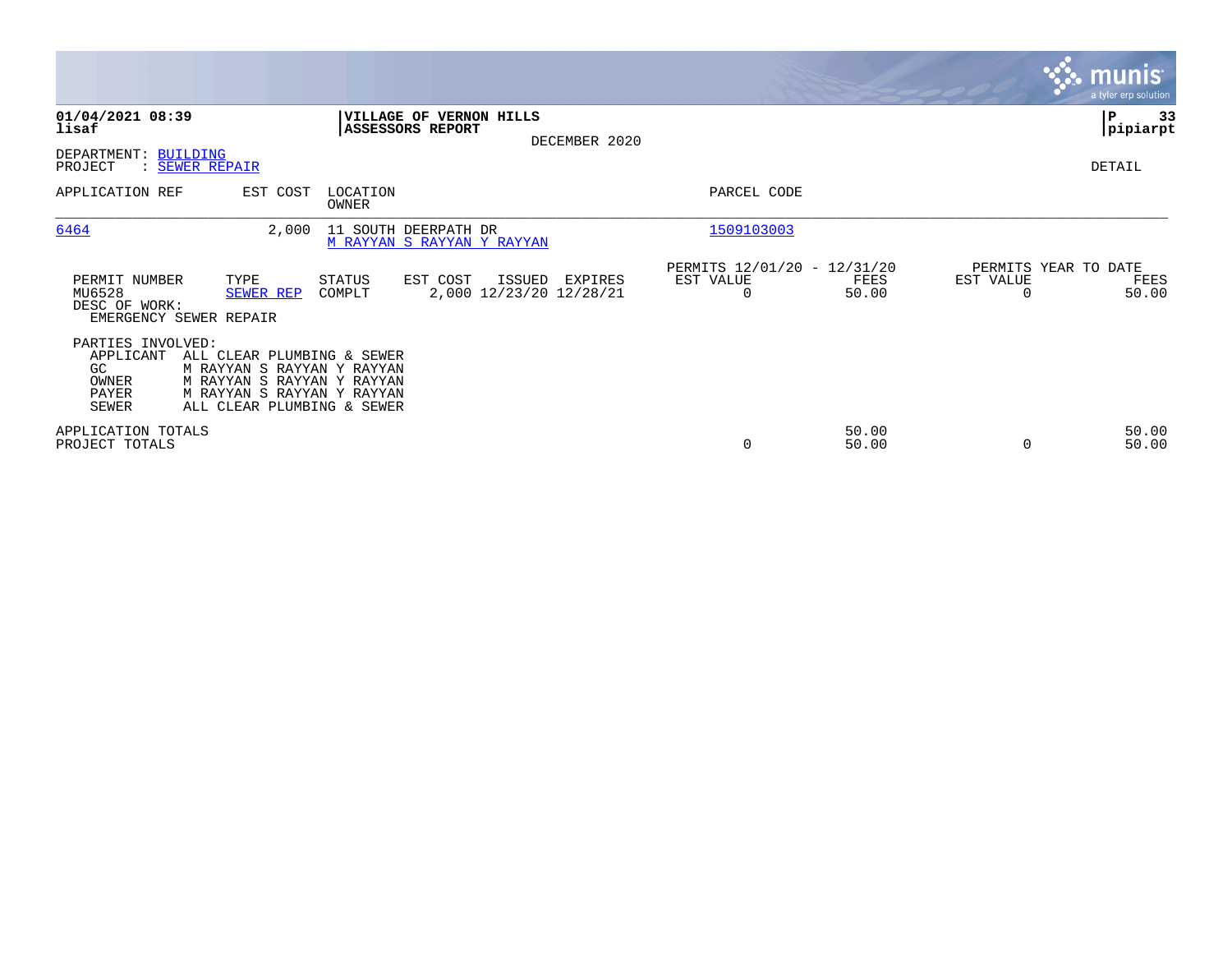|                                                                        |                                                                                                                                                    |                   |                                                    |                                   |               |                                               |                |                                   | <b>munis</b><br>a tyler erp solution |
|------------------------------------------------------------------------|----------------------------------------------------------------------------------------------------------------------------------------------------|-------------------|----------------------------------------------------|-----------------------------------|---------------|-----------------------------------------------|----------------|-----------------------------------|--------------------------------------|
| 01/04/2021 08:39<br>lisaf<br>DEPARTMENT: BUILDING                      |                                                                                                                                                    |                   | VILLAGE OF VERNON HILLS<br>ASSESSORS REPORT        |                                   | DECEMBER 2020 |                                               |                |                                   | ∣P<br>33<br> pipiarpt                |
| PROJECT                                                                | : SEWER REPAIR                                                                                                                                     |                   |                                                    |                                   |               |                                               |                |                                   | DETAIL                               |
| APPLICATION REF                                                        | EST COST                                                                                                                                           | LOCATION<br>OWNER |                                                    |                                   |               | PARCEL CODE                                   |                |                                   |                                      |
| 6464                                                                   | 2,000                                                                                                                                              |                   | 11 SOUTH DEERPATH DR<br>M RAYYAN S RAYYAN Y RAYYAN |                                   |               | 1509103003                                    |                |                                   |                                      |
| PERMIT NUMBER<br>MU6528<br>DESC OF WORK:                               | TYPE<br>SEWER REP<br>EMERGENCY SEWER REPAIR                                                                                                        | STATUS<br>COMPLT  | EST COST                                           | ISSUED<br>2,000 12/23/20 12/28/21 | EXPIRES       | PERMITS 12/01/20 - 12/31/20<br>EST VALUE<br>0 | FEES<br>50.00  | PERMITS YEAR TO DATE<br>EST VALUE | FEES<br>50.00                        |
| PARTIES INVOLVED:<br>APPLICANT<br>GC<br>OWNER<br>PAYER<br><b>SEWER</b> | ALL CLEAR PLUMBING & SEWER<br>M RAYYAN S RAYYAN Y RAYYAN<br>M RAYYAN S RAYYAN Y RAYYAN<br>M RAYYAN S RAYYAN Y RAYYAN<br>ALL CLEAR PLUMBING & SEWER |                   |                                                    |                                   |               |                                               |                |                                   |                                      |
| APPLICATION TOTALS<br>PROJECT TOTALS                                   |                                                                                                                                                    |                   |                                                    |                                   |               | 0                                             | 50.00<br>50.00 |                                   | 50.00<br>50.00                       |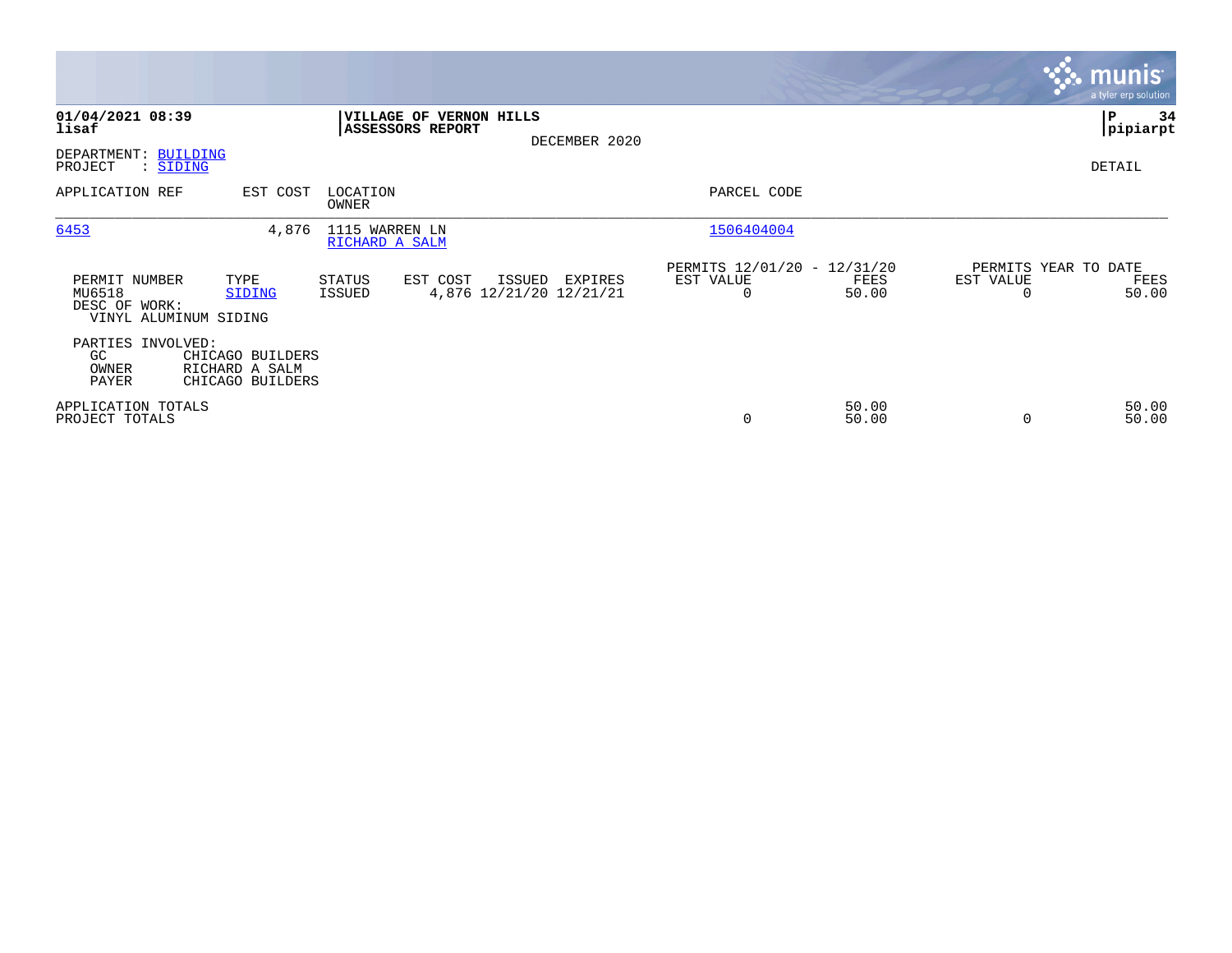|                                                                   |                                                        |                                  |                                               |               |                                               |                |                | <b>munis</b><br>a tyler erp solution  |
|-------------------------------------------------------------------|--------------------------------------------------------|----------------------------------|-----------------------------------------------|---------------|-----------------------------------------------|----------------|----------------|---------------------------------------|
| 01/04/2021 08:39<br>lisaf<br>DEPARTMENT: BUILDING                 |                                                        | ASSESSORS REPORT                 | VILLAGE OF VERNON HILLS                       | DECEMBER 2020 |                                               |                |                | P<br>34<br> pipiarpt                  |
| PROJECT<br>: SIDING                                               |                                                        |                                  |                                               |               |                                               |                |                | DETAIL                                |
| APPLICATION REF                                                   | EST COST                                               | LOCATION<br>OWNER                |                                               |               | PARCEL CODE                                   |                |                |                                       |
| 6453                                                              | 4,876                                                  | 1115 WARREN LN<br>RICHARD A SALM |                                               |               | 1506404004                                    |                |                |                                       |
| PERMIT NUMBER<br>MU6518<br>DESC OF WORK:<br>VINYL ALUMINUM SIDING | TYPE<br>SIDING                                         | STATUS<br><b>ISSUED</b>          | EST COST<br>ISSUED<br>4,876 12/21/20 12/21/21 | EXPIRES       | PERMITS 12/01/20 - 12/31/20<br>EST VALUE<br>0 | FEES<br>50.00  | EST VALUE<br>0 | PERMITS YEAR TO DATE<br>FEES<br>50.00 |
| PARTIES INVOLVED:<br>GC.<br>OWNER<br>PAYER                        | CHICAGO BUILDERS<br>RICHARD A SALM<br>CHICAGO BUILDERS |                                  |                                               |               |                                               |                |                |                                       |
| APPLICATION TOTALS<br>PROJECT TOTALS                              |                                                        |                                  |                                               |               | $\mathbf 0$                                   | 50.00<br>50.00 | 0              | 50.00<br>50.00                        |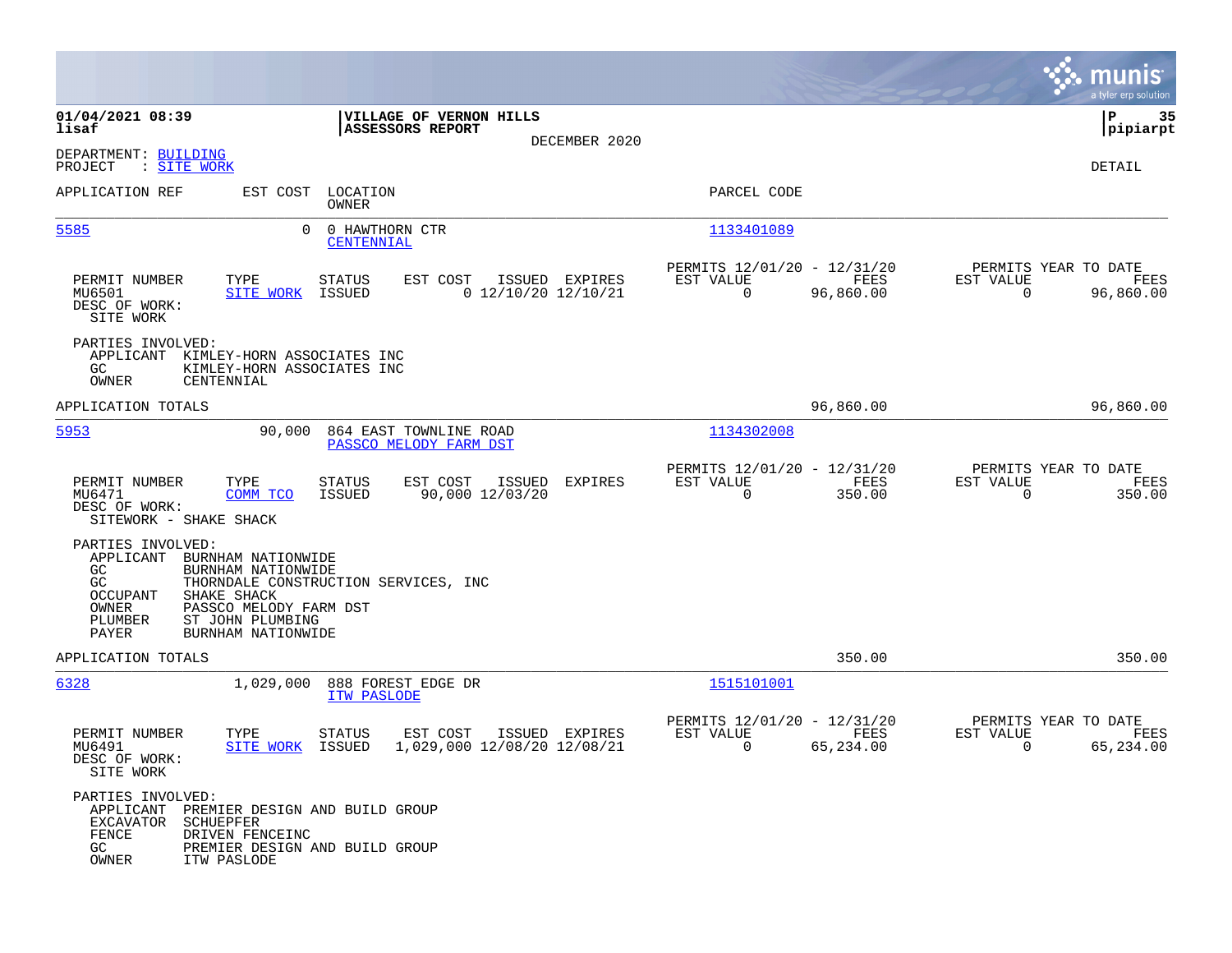|                                                                                                                                                                                                                  |                                                             |                |                                                         |                                                                                                                        |                                               | munis<br>a tyler erp solution |
|------------------------------------------------------------------------------------------------------------------------------------------------------------------------------------------------------------------|-------------------------------------------------------------|----------------|---------------------------------------------------------|------------------------------------------------------------------------------------------------------------------------|-----------------------------------------------|-------------------------------|
| 01/04/2021 08:39<br>lisaf                                                                                                                                                                                        | VILLAGE OF VERNON HILLS<br><b>ASSESSORS REPORT</b>          |                |                                                         |                                                                                                                        |                                               | 35<br>P<br> pipiarpt          |
| DEPARTMENT: BUILDING<br>PROJECT<br>: <u>SITE WORK</u>                                                                                                                                                            |                                                             | DECEMBER 2020  |                                                         |                                                                                                                        |                                               | DETAIL                        |
| APPLICATION REF                                                                                                                                                                                                  | EST COST LOCATION<br>OWNER                                  |                | PARCEL CODE                                             |                                                                                                                        |                                               |                               |
| 5585<br>$\Omega$                                                                                                                                                                                                 | 0 HAWTHORN CTR<br>CENTENNIAL                                |                | 1133401089                                              |                                                                                                                        |                                               |                               |
| PERMIT NUMBER<br>TYPE<br><b>SITE WORK</b><br>MU6501<br>DESC OF WORK:<br>SITE WORK                                                                                                                                | EST COST<br>STATUS<br>$0$ 12/10/20 12/10/21<br>ISSUED       | ISSUED EXPIRES | PERMITS 12/01/20 - 12/31/20<br>EST VALUE<br>$\Omega$    | <b>EXERCITE: EXERCITE: EXERCITE: EXERCITE: EXERCITE: EXERCITE: EXERCITE: EXERCITE: EXERCITE: EXERCITE</b><br>96,860.00 | PERMITS YEAR TO DATE<br>EST VALUE<br>$\Omega$ | FEES<br>96,860.00             |
| PARTIES INVOLVED:<br>APPLICANT KIMLEY-HORN ASSOCIATES INC<br>GC.<br>KIMLEY-HORN ASSOCIATES INC<br>OWNER<br>CENTENNIAL                                                                                            |                                                             |                |                                                         |                                                                                                                        |                                               |                               |
| APPLICATION TOTALS                                                                                                                                                                                               |                                                             |                |                                                         | 96,860.00                                                                                                              |                                               | 96,860.00                     |
| 5953<br>90,000                                                                                                                                                                                                   | 864 EAST TOWNLINE ROAD<br>PASSCO MELODY FARM DST            |                | 1134302008                                              |                                                                                                                        |                                               |                               |
| PERMIT NUMBER<br>TYPE<br>MU6471<br>COMM TCO<br>DESC OF WORK:<br>SITEWORK - SHAKE SHACK                                                                                                                           | EST COST<br>ISSUED<br>STATUS<br>90,000 12/03/20<br>ISSUED   | <b>EXPIRES</b> | PERMITS 12/01/20 - 12/31/20<br>EST VALUE<br>$\mathbf 0$ | FEES<br>350.00                                                                                                         | PERMITS YEAR TO DATE<br>EST VALUE<br>0        | FEES<br>350.00                |
| PARTIES INVOLVED:<br>APPLICANT BURNHAM NATIONWIDE<br>GC.<br>BURNHAM NATIONWIDE<br>GC<br>OCCUPANT<br>SHAKE SHACK<br>OWNER<br>PASSCO MELODY FARM DST<br>PLUMBER<br>ST JOHN PLUMBING<br>PAYER<br>BURNHAM NATIONWIDE | THORNDALE CONSTRUCTION SERVICES, INC                        |                |                                                         |                                                                                                                        |                                               |                               |
| APPLICATION TOTALS                                                                                                                                                                                               |                                                             |                |                                                         | 350.00                                                                                                                 |                                               | 350.00                        |
| 6328<br>1,029,000                                                                                                                                                                                                | 888 FOREST EDGE DR<br>ITW PASLODE                           |                | 1515101001                                              |                                                                                                                        |                                               |                               |
| PERMIT NUMBER<br>TYPE<br>MU6491<br><b>SITE WORK</b><br>DESC OF WORK:<br>SITE WORK                                                                                                                                | EST COST<br>STATUS<br>1,029,000 12/08/20 12/08/21<br>ISSUED | ISSUED EXPIRES | PERMITS 12/01/20 - 12/31/20<br>EST VALUE<br>0           | FEES<br>65,234.00                                                                                                      | PERMITS YEAR TO DATE<br>EST VALUE<br>0        | FEES<br>65,234.00             |
| PARTIES INVOLVED:<br>APPLICANT PREMIER DESIGN AND BUILD GROUP<br>EXCAVATOR<br>SCHUEPFER<br>FENCE<br>DRIVEN FENCEINC<br>GC<br>PREMIER DESIGN AND BUILD GROUP<br>OWNER<br>ITW PASLODE                              |                                                             |                |                                                         |                                                                                                                        |                                               |                               |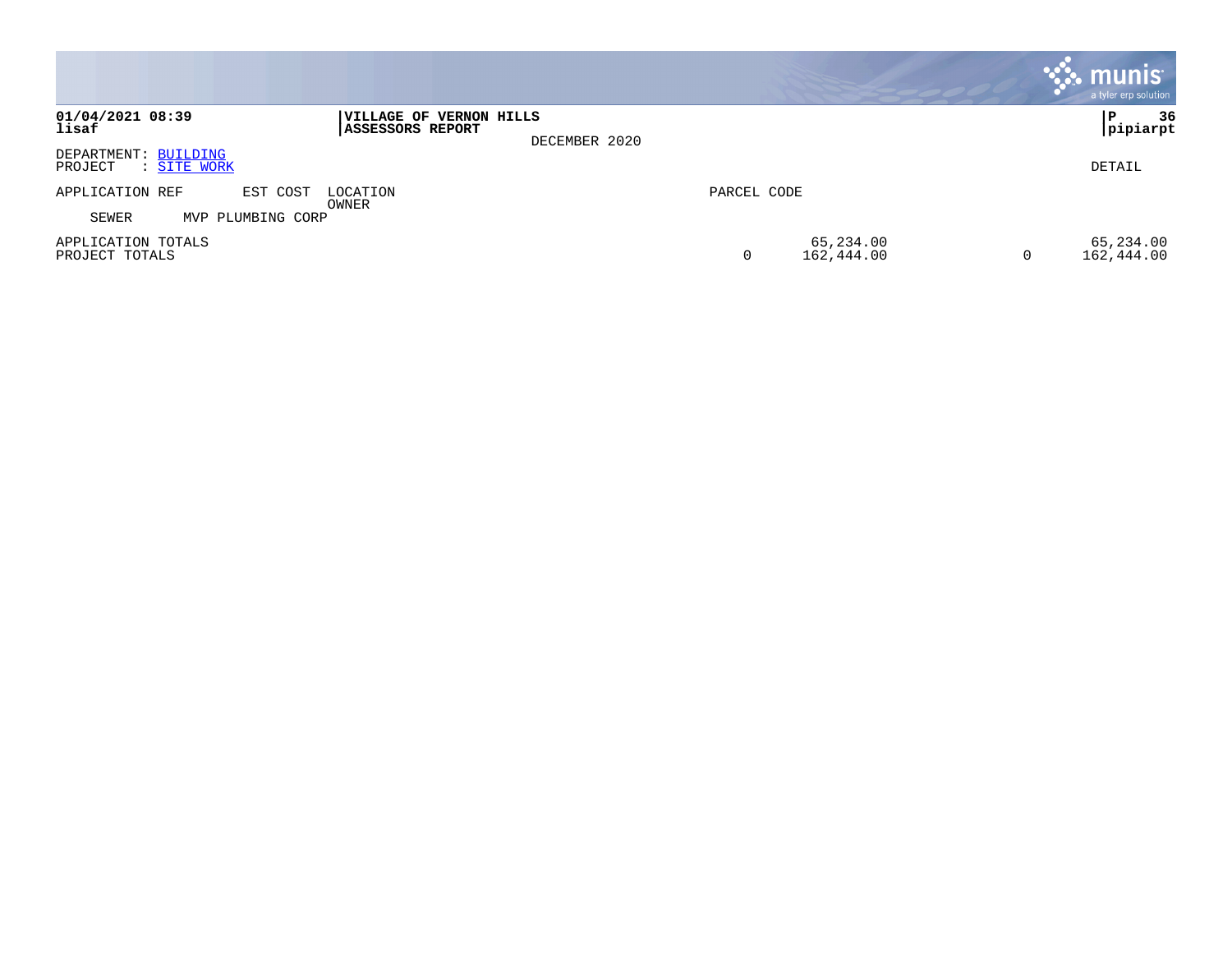|                                                |                                                              |             |                         |   | <b>: munis</b><br>a tyler erp solution |
|------------------------------------------------|--------------------------------------------------------------|-------------|-------------------------|---|----------------------------------------|
| 01/04/2021 08:39<br>lisaf                      | VILLAGE OF VERNON HILLS<br>ASSESSORS REPORT<br>DECEMBER 2020 |             |                         |   | 36<br> pipiarpt                        |
| DEPARTMENT: BUILDING<br>PROJECT<br>: SITE WORK |                                                              |             |                         |   | DETAIL                                 |
| APPLICATION REF<br>EST COST<br>LOCATION        |                                                              | PARCEL CODE |                         |   |                                        |
| OWNER<br>SEWER<br>MVP PLUMBING CORP            |                                                              |             |                         |   |                                        |
| APPLICATION TOTALS<br>PROJECT TOTALS           |                                                              | 0           | 65,234.00<br>162,444.00 | 0 | 65,234.00<br>162,444.00                |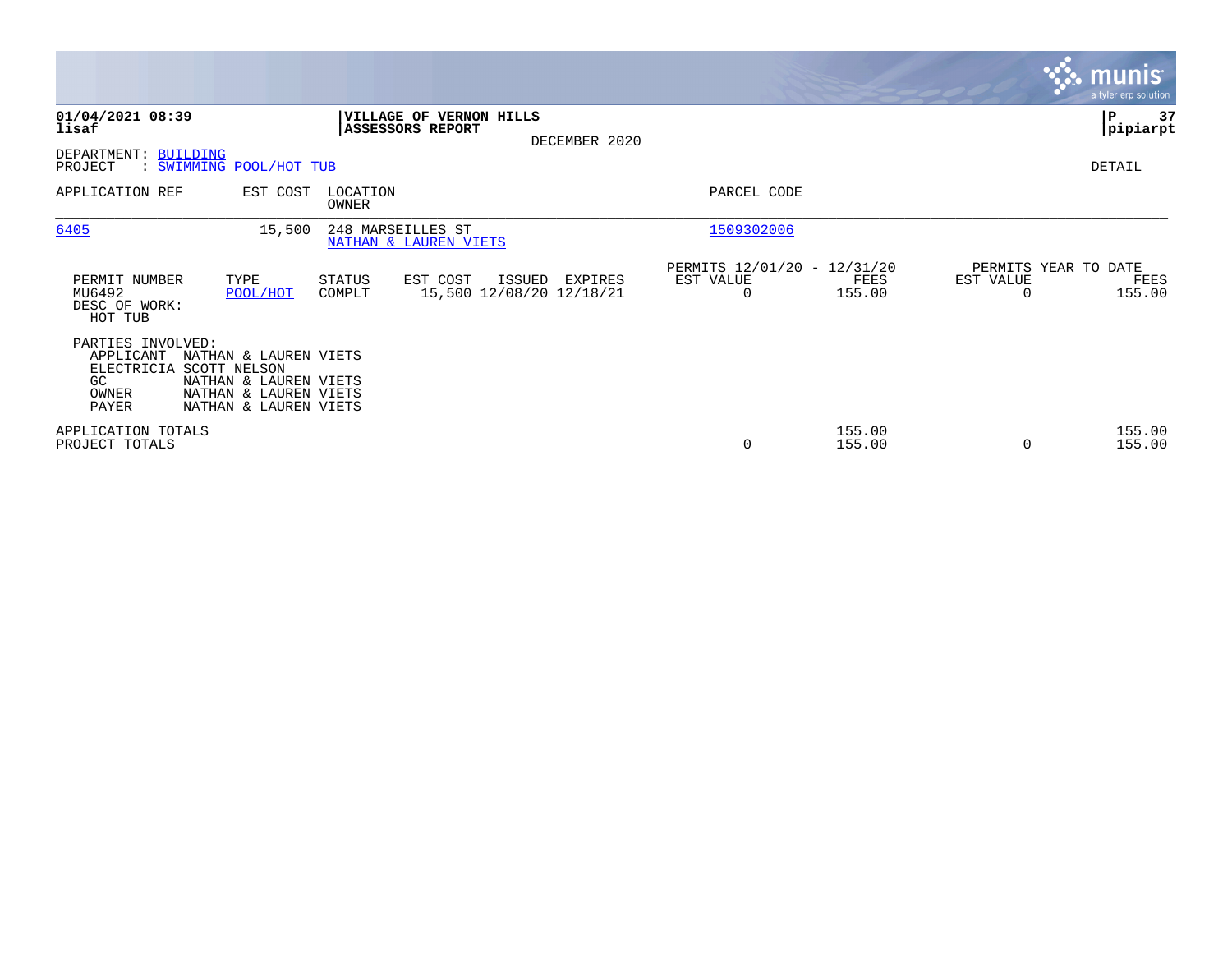|                                                                      |                                                                                                                  |                   |                                                |               |                                                      |                  |                                   | <b>munis</b><br>a tyler erp solution |
|----------------------------------------------------------------------|------------------------------------------------------------------------------------------------------------------|-------------------|------------------------------------------------|---------------|------------------------------------------------------|------------------|-----------------------------------|--------------------------------------|
| 01/04/2021 08:39<br>lisaf                                            |                                                                                                                  |                   | VILLAGE OF VERNON HILLS<br>ASSESSORS REPORT    | DECEMBER 2020 |                                                      |                  |                                   | 37<br>IΡ<br> pipiarpt                |
| BUILDING<br>DEPARTMENT:<br>PROJECT                                   | : SWIMMING POOL/HOT TUB                                                                                          |                   |                                                |               |                                                      |                  |                                   | DETAIL                               |
| APPLICATION REF                                                      | EST COST                                                                                                         | LOCATION<br>OWNER |                                                |               | PARCEL CODE                                          |                  |                                   |                                      |
| 6405                                                                 | 15,500                                                                                                           | 248 MARSEILLES ST | NATHAN & LAUREN VIETS                          |               | 1509302006                                           |                  |                                   |                                      |
| PERMIT NUMBER<br>MU6492<br>DESC OF WORK:<br>HOT TUB                  | TYPE<br>POOL/HOT                                                                                                 | STATUS<br>COMPLT  | EST COST<br>ISSUED<br>15,500 12/08/20 12/18/21 | EXPIRES       | PERMITS 12/01/20 - 12/31/20<br>EST VALUE<br>$\Omega$ | FEES<br>155.00   | PERMITS YEAR TO DATE<br>EST VALUE | FEES<br>155.00                       |
| PARTIES INVOLVED:<br>APPLICANT<br>ELECTRICIA<br>GC<br>OWNER<br>PAYER | NATHAN & LAUREN VIETS<br>SCOTT NELSON<br>NATHAN & LAUREN VIETS<br>NATHAN & LAUREN VIETS<br>NATHAN & LAUREN VIETS |                   |                                                |               |                                                      |                  |                                   |                                      |
| APPLICATION TOTALS<br>PROJECT TOTALS                                 |                                                                                                                  |                   |                                                |               | 0                                                    | 155.00<br>155.00 |                                   | 155.00<br>155.00                     |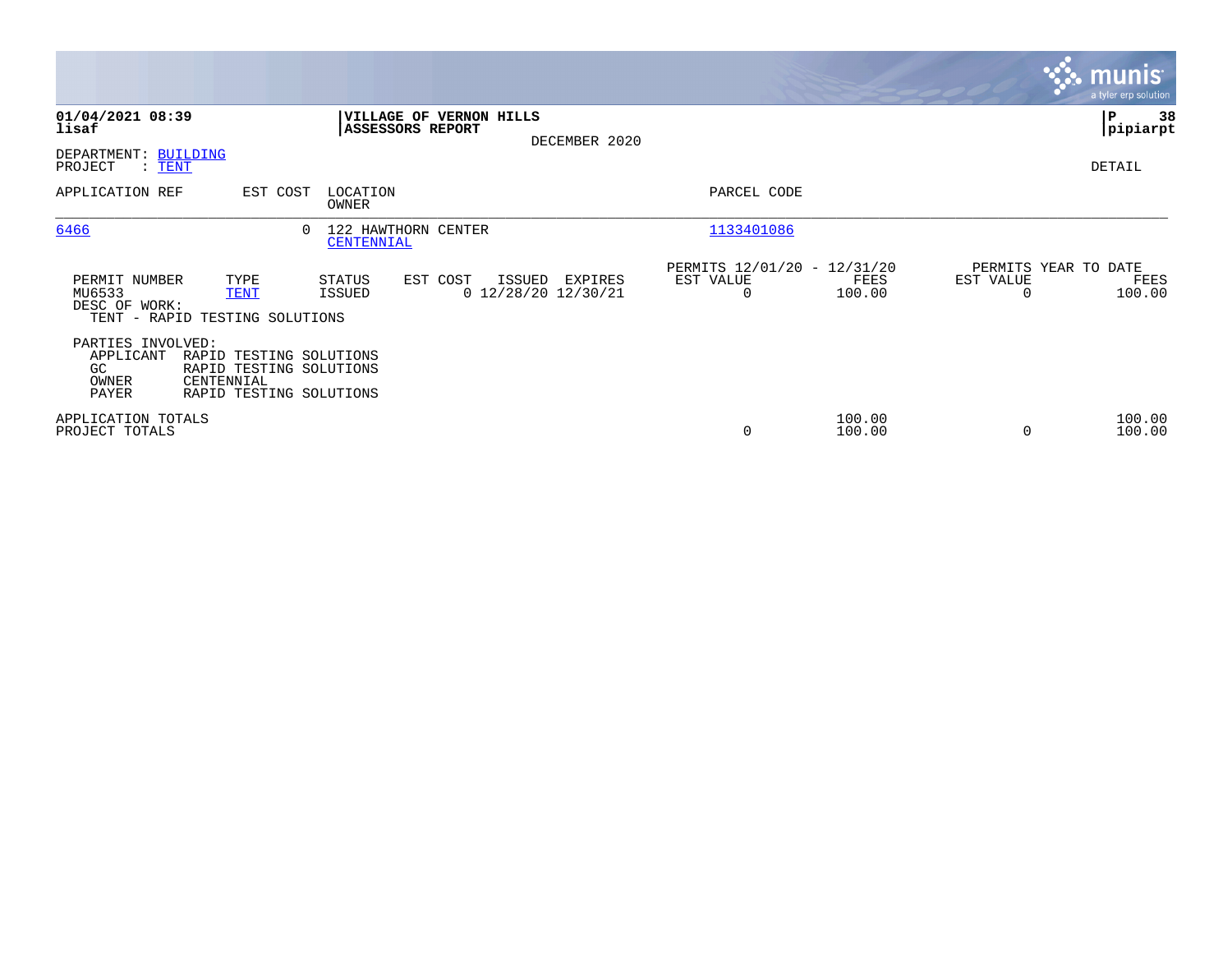|                                                        |                                                                                             |                                   |                                             |               |                                                      |                  |                                               | <b>munis</b><br>a tyler erp solution |
|--------------------------------------------------------|---------------------------------------------------------------------------------------------|-----------------------------------|---------------------------------------------|---------------|------------------------------------------------------|------------------|-----------------------------------------------|--------------------------------------|
| 01/04/2021 08:39<br>lisaf                              |                                                                                             | ASSESSORS REPORT                  | VILLAGE OF VERNON HILLS                     | DECEMBER 2020 |                                                      |                  |                                               | 38<br>∣₽<br> pipiarpt                |
| DEPARTMENT: BUILDING<br>PROJECT<br>$\colon$ TENT       |                                                                                             |                                   |                                             |               |                                                      |                  |                                               | DETAIL                               |
| APPLICATION REF                                        | EST COST                                                                                    | LOCATION<br>OWNER                 |                                             |               | PARCEL CODE                                          |                  |                                               |                                      |
| 6466                                                   |                                                                                             | 122 HAWTHORN CENTER<br>CENTENNIAL |                                             |               | 1133401086                                           |                  |                                               |                                      |
| PERMIT NUMBER<br>MU6533<br>DESC OF WORK:               | TYPE<br><b>TENT</b><br>TENT - RAPID TESTING SOLUTIONS                                       | STATUS<br>ISSUED                  | EST COST<br>ISSUED<br>$0$ 12/28/20 12/30/21 | EXPIRES       | PERMITS 12/01/20 - 12/31/20<br>EST VALUE<br>$\Omega$ | FEES<br>100.00   | PERMITS YEAR TO DATE<br>EST VALUE<br>$\Omega$ | FEES<br>100.00                       |
| PARTIES INVOLVED:<br>APPLICANT<br>GC<br>OWNER<br>PAYER | RAPID TESTING SOLUTIONS<br>RAPID TESTING SOLUTIONS<br>CENTENNIAL<br>RAPID TESTING SOLUTIONS |                                   |                                             |               |                                                      |                  |                                               |                                      |
| APPLICATION TOTALS<br>PROJECT TOTALS                   |                                                                                             |                                   |                                             |               | 0                                                    | 100.00<br>100.00 | $\Omega$                                      | 100.00<br>100.00                     |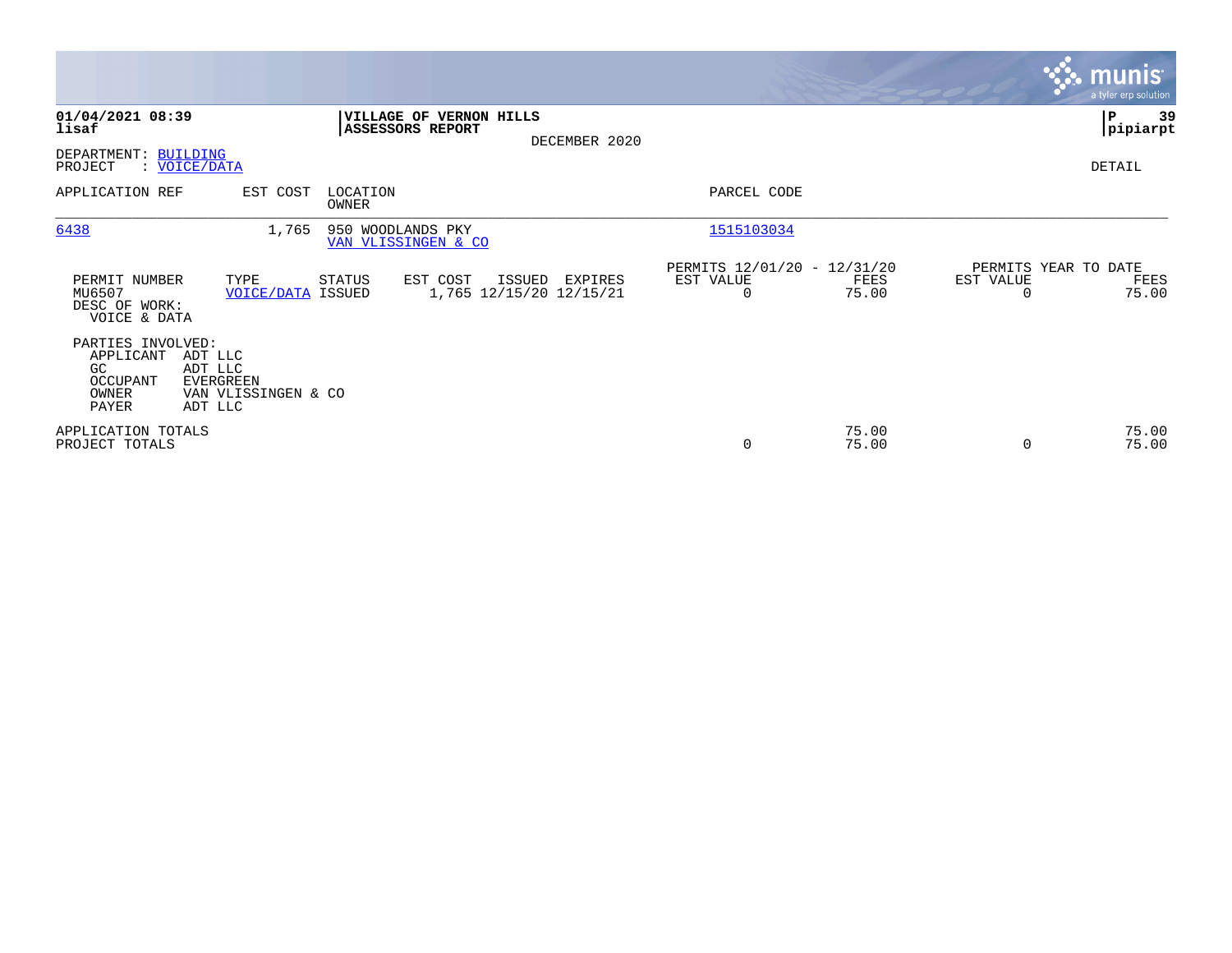|                                                                     |                                                                   |                                                    |                                              |                                                         |                |                                               | <b>munis</b><br>a tyler erp solution |
|---------------------------------------------------------------------|-------------------------------------------------------------------|----------------------------------------------------|----------------------------------------------|---------------------------------------------------------|----------------|-----------------------------------------------|--------------------------------------|
| 01/04/2021 08:39<br>lisaf<br>DEPARTMENT: BUILDING                   |                                                                   | VILLAGE OF VERNON HILLS<br><b>ASSESSORS REPORT</b> | DECEMBER 2020                                |                                                         |                |                                               | ∣P<br>39<br>pipiarpt                 |
| PROJECT<br>APPLICATION REF                                          | : VOICE/DATA<br>EST COST                                          | LOCATION<br>OWNER                                  |                                              | PARCEL CODE                                             |                |                                               | DETAIL                               |
| 6438                                                                | 1,765                                                             | 950 WOODLANDS PKY<br>VAN VLISSINGEN & CO           |                                              | 1515103034                                              |                |                                               |                                      |
| PERMIT NUMBER<br>MU6507<br>DESC OF WORK:<br>VOICE & DATA            | TYPE<br><b>VOICE/DATA ISSUED</b>                                  | STATUS<br>EST COST                                 | ISSUED<br>EXPIRES<br>1,765 12/15/20 12/15/21 | PERMITS 12/01/20 - 12/31/20<br>EST VALUE<br>$\mathbf 0$ | FEES<br>75.00  | PERMITS YEAR TO DATE<br>EST VALUE<br>$\Omega$ | FEES<br>75.00                        |
| PARTIES INVOLVED:<br>APPLICANT<br>GC.<br>OCCUPANT<br>OWNER<br>PAYER | ADT LLC<br>ADT LLC<br>EVERGREEN<br>VAN VLISSINGEN & CO<br>ADT LLC |                                                    |                                              |                                                         |                |                                               |                                      |
| APPLICATION TOTALS<br>PROJECT TOTALS                                |                                                                   |                                                    |                                              | 0                                                       | 75.00<br>75.00 | $\Omega$                                      | 75.00<br>75.00                       |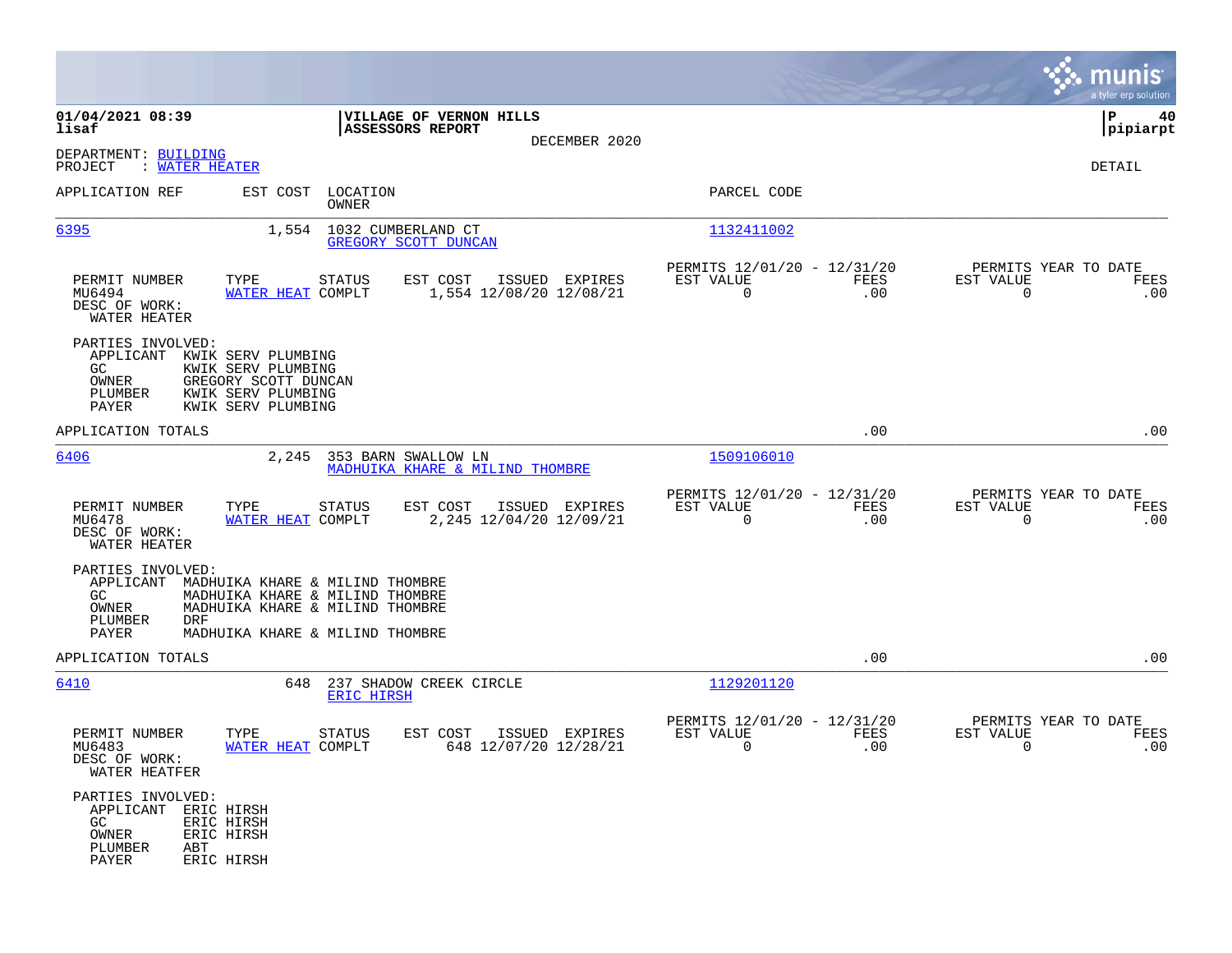|                                                                                                                                                                                                                       |                                                                      |                                                                           | munis<br>a tyler erp solution                                |
|-----------------------------------------------------------------------------------------------------------------------------------------------------------------------------------------------------------------------|----------------------------------------------------------------------|---------------------------------------------------------------------------|--------------------------------------------------------------|
| 01/04/2021 08:39<br>lisaf                                                                                                                                                                                             | VILLAGE OF VERNON HILLS<br><b>ASSESSORS REPORT</b><br>DECEMBER 2020  |                                                                           | 40<br>IΡ<br> pipiarpt                                        |
| DEPARTMENT: BUILDING<br>: WATER HEATER<br>PROJECT                                                                                                                                                                     |                                                                      |                                                                           | DETAIL                                                       |
| APPLICATION REF                                                                                                                                                                                                       | EST COST LOCATION<br>OWNER                                           | PARCEL CODE                                                               |                                                              |
| 6395                                                                                                                                                                                                                  | 1,554 1032 CUMBERLAND CT<br>GREGORY SCOTT DUNCAN                     | 1132411002                                                                |                                                              |
| TYPE<br>PERMIT NUMBER<br>WATER HEAT COMPLT<br>MU6494<br>DESC OF WORK:<br>WATER HEATER                                                                                                                                 | EST COST<br>ISSUED EXPIRES<br>STATUS<br>1,554 12/08/20 12/08/21      | PERMITS 12/01/20 - 12/31/20<br>EST VALUE<br>FEES<br>$\overline{0}$<br>.00 | PERMITS YEAR TO DATE<br>EST VALUE<br>FEES<br>$\Omega$<br>.00 |
| PARTIES INVOLVED:<br>APPLICANT KWIK SERV PLUMBING<br>GC<br>KWIK SERV PLUMBING<br>OWNER<br>GREGORY SCOTT DUNCAN<br>PLUMBER<br>KWIK SERV PLUMBING<br>PAYER<br>KWIK SERV PLUMBING                                        |                                                                      |                                                                           |                                                              |
| APPLICATION TOTALS                                                                                                                                                                                                    |                                                                      | .00                                                                       | .00                                                          |
| 6406                                                                                                                                                                                                                  | 2,245 353 BARN SWALLOW LN<br>MADHUIKA KHARE & MILIND THOMBRE         | 1509106010                                                                |                                                              |
| PERMIT NUMBER<br>TYPE<br>MU6478<br>WATER HEAT COMPLT<br>DESC OF WORK:<br>WATER HEATER                                                                                                                                 | STATUS<br>EST COST<br>ISSUED EXPIRES<br>2,245 12/04/20 12/09/21      | PERMITS 12/01/20 - 12/31/20<br>EST VALUE<br>FEES<br>$\Omega$<br>.00       | PERMITS YEAR TO DATE<br>EST VALUE<br>FEES<br>$\Omega$<br>.00 |
| PARTIES INVOLVED:<br>APPLICANT<br>MADHUIKA KHARE & MILIND THOMBRE<br>MADHUIKA KHARE & MILIND THOMBRE<br>GC.<br>OWNER<br>MADHUIKA KHARE & MILIND THOMBRE<br>PLUMBER<br>DRF<br>PAYER<br>MADHUIKA KHARE & MILIND THOMBRE |                                                                      |                                                                           |                                                              |
| APPLICATION TOTALS                                                                                                                                                                                                    |                                                                      | .00                                                                       | .00                                                          |
| 6410                                                                                                                                                                                                                  | 648 237 SHADOW CREEK CIRCLE<br><b>ERIC HIRSH</b>                     | 1129201120                                                                |                                                              |
| PERMIT NUMBER<br>TYPE<br>WATER HEAT COMPLT<br>MU6483<br>DESC OF WORK:<br>WATER HEATFER                                                                                                                                | <b>STATUS</b><br>EST COST<br>ISSUED EXPIRES<br>648 12/07/20 12/28/21 | PERMITS 12/01/20 - 12/31/20<br>EST VALUE<br><b>FEES</b><br>.00<br>0       | PERMITS YEAR TO DATE<br>EST VALUE<br>FEES<br>0<br>.00        |
| PARTIES INVOLVED:<br>APPLICANT ERIC HIRSH<br>GC<br>ERIC HIRSH<br>OWNER<br>ERIC HIRSH<br>PLUMBER<br>ABT<br>PAYER<br>ERIC HIRSH                                                                                         |                                                                      |                                                                           |                                                              |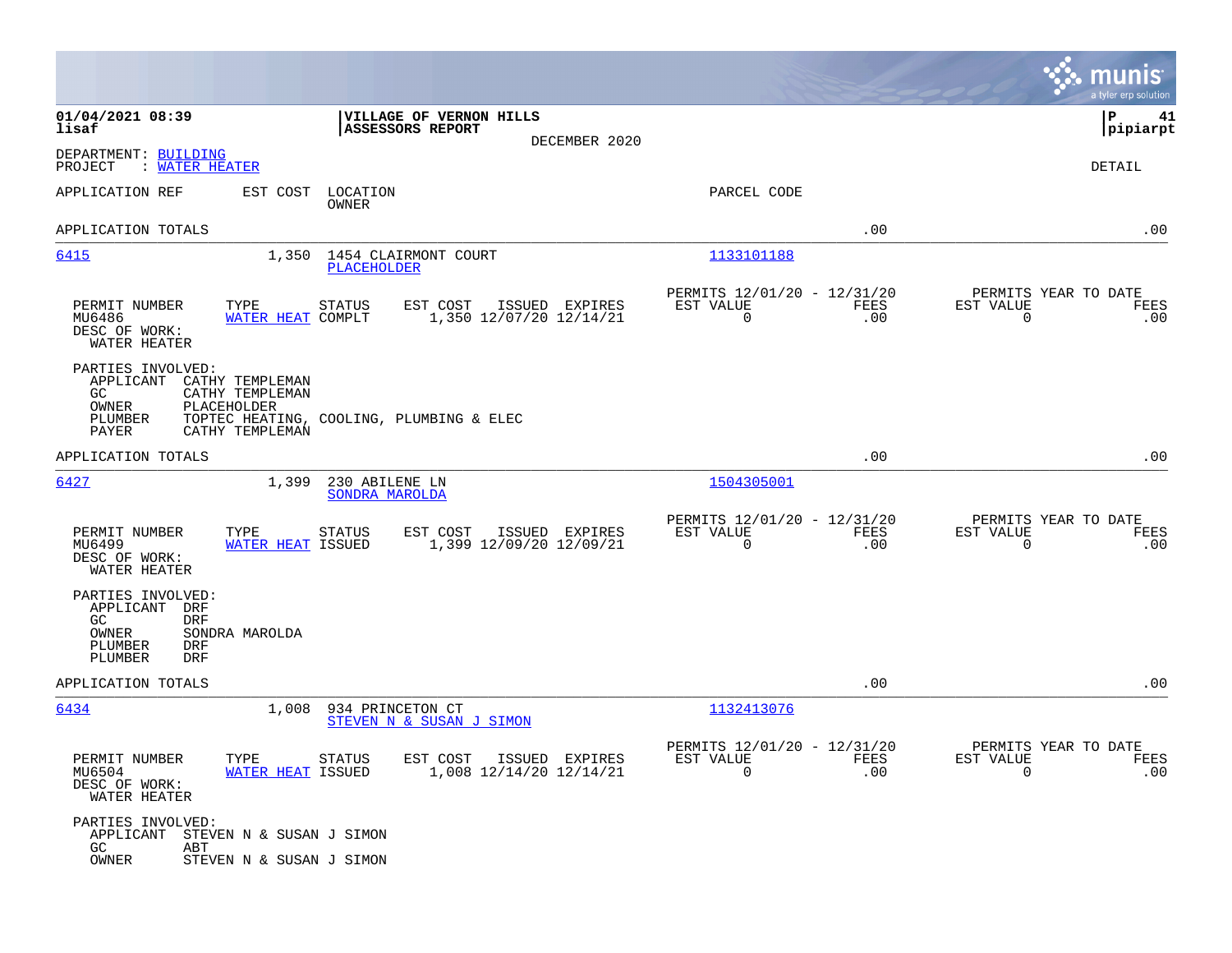|                                                                                                                                            |                                                                        |                                                         |                     | munis<br>a tyler erp solution                                   |
|--------------------------------------------------------------------------------------------------------------------------------------------|------------------------------------------------------------------------|---------------------------------------------------------|---------------------|-----------------------------------------------------------------|
| 01/04/2021 08:39<br>lisaf                                                                                                                  | VILLAGE OF VERNON HILLS<br>ASSESSORS REPORT<br>DECEMBER 2020           |                                                         |                     | ΙP<br>41<br> pipiarpt                                           |
| DEPARTMENT: BUILDING<br>PROJECT<br>: WATER HEATER                                                                                          |                                                                        |                                                         |                     | DETAIL                                                          |
| APPLICATION REF<br>EST COST                                                                                                                | LOCATION<br>OWNER                                                      | PARCEL CODE                                             |                     |                                                                 |
| APPLICATION TOTALS                                                                                                                         |                                                                        |                                                         | .00                 | .00                                                             |
| 6415                                                                                                                                       | 1,350 1454 CLAIRMONT COURT<br><b>PLACEHOLDER</b>                       | 1133101188                                              |                     |                                                                 |
| PERMIT NUMBER<br>TYPE<br>MU6486<br>WATER HEAT COMPLT<br>DESC OF WORK:<br>WATER HEATER                                                      | <b>STATUS</b><br>EST COST<br>ISSUED EXPIRES<br>1,350 12/07/20 12/14/21 | PERMITS 12/01/20 - 12/31/20<br>EST VALUE<br>0           | FEES<br>.00         | PERMITS YEAR TO DATE<br>EST VALUE<br>FEES<br>$\mathbf 0$<br>.00 |
| PARTIES INVOLVED:<br>APPLICANT<br>CATHY TEMPLEMAN<br>CATHY TEMPLEMAN<br>GC.<br>OWNER<br>PLACEHOLDER<br>PLUMBER<br>CATHY TEMPLEMAN<br>PAYER | TOPTEC HEATING, COOLING, PLUMBING & ELEC                               |                                                         |                     |                                                                 |
| APPLICATION TOTALS                                                                                                                         |                                                                        |                                                         | .00                 | .00                                                             |
| 6427<br>1,399                                                                                                                              | 230 ABILENE LN<br>SONDRA MAROLDA                                       | 1504305001                                              |                     |                                                                 |
| PERMIT NUMBER<br>TYPE<br>MU6499<br>WATER HEAT ISSUED<br>DESC OF WORK:<br>WATER HEATER                                                      | <b>STATUS</b><br>EST COST<br>ISSUED EXPIRES<br>1,399 12/09/20 12/09/21 | PERMITS 12/01/20 - 12/31/20<br>EST VALUE<br>$\mathbf 0$ | ${\tt FEES}$<br>.00 | PERMITS YEAR TO DATE<br>EST VALUE<br>FEES<br>$\mathbf 0$<br>.00 |
| PARTIES INVOLVED:<br>APPLICANT<br>DRF<br>GC.<br><b>DRF</b><br>OWNER<br>SONDRA MAROLDA<br>PLUMBER<br><b>DRF</b><br>PLUMBER<br><b>DRF</b>    |                                                                        |                                                         |                     |                                                                 |
| APPLICATION TOTALS                                                                                                                         |                                                                        |                                                         | .00                 | .00                                                             |
| 6434<br>1,008                                                                                                                              | 934 PRINCETON CT<br>STEVEN N & SUSAN J SIMON                           | 1132413076                                              |                     |                                                                 |
| PERMIT NUMBER<br>TYPE<br>MU6504<br><b>WATER HEAT ISSUED</b><br>DESC OF WORK:<br>WATER HEATER                                               | EST COST ISSUED EXPIRES<br>STATUS<br>1,008 12/14/20 12/14/21           | PERMITS 12/01/20 - 12/31/20<br>EST VALUE<br>0           | FEES<br>.00         | PERMITS YEAR TO DATE<br>EST VALUE<br>FEES<br>.00<br>$\Omega$    |
| PARTIES INVOLVED:<br>APPLICANT<br>STEVEN N & SUSAN J SIMON<br>GC<br>ABT<br>OWNER<br>STEVEN N & SUSAN J SIMON                               |                                                                        |                                                         |                     |                                                                 |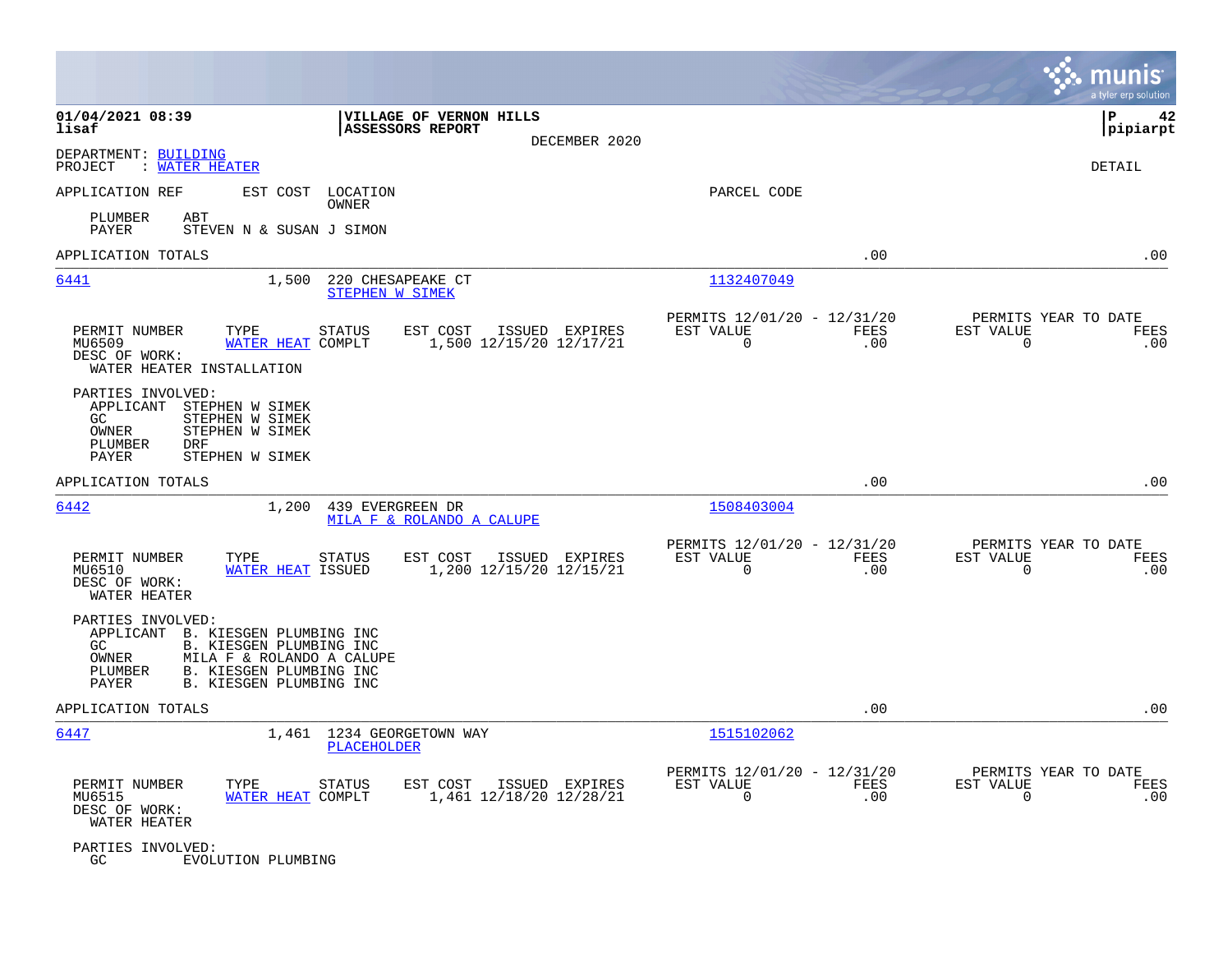|                                                                                                                                                                                                                |                                                                           | munis<br>a tyler erp solution                                   |
|----------------------------------------------------------------------------------------------------------------------------------------------------------------------------------------------------------------|---------------------------------------------------------------------------|-----------------------------------------------------------------|
| 01/04/2021 08:39<br>VILLAGE OF VERNON HILLS<br><b>ASSESSORS REPORT</b><br>lisaf<br>DECEMBER 2020                                                                                                               |                                                                           | 42<br>l P<br> pipiarpt                                          |
| DEPARTMENT: BUILDING<br>PROJECT : WATER HEATER                                                                                                                                                                 |                                                                           | DETAIL                                                          |
| APPLICATION REF<br>EST COST LOCATION<br>OWNER                                                                                                                                                                  | PARCEL CODE                                                               |                                                                 |
| PLUMBER<br>ABT<br>PAYER<br>STEVEN N & SUSAN J SIMON                                                                                                                                                            |                                                                           |                                                                 |
| APPLICATION TOTALS                                                                                                                                                                                             | .00                                                                       | .00                                                             |
| 6441<br>1,500<br>220 CHESAPEAKE CT<br><b>STEPHEN W SIMEK</b>                                                                                                                                                   | 1132407049                                                                |                                                                 |
| PERMIT NUMBER<br><b>STATUS</b><br>EST COST<br>ISSUED EXPIRES<br>TYPE<br>WATER HEAT COMPLT<br>1,500 12/15/20 12/17/21<br>MU6509<br>DESC OF WORK:<br>WATER HEATER INSTALLATION                                   | PERMITS 12/01/20 - 12/31/20<br>EST VALUE<br>FEES<br>$\overline{0}$<br>.00 | PERMITS YEAR TO DATE<br>EST VALUE<br>FEES<br>$\mathbf 0$<br>.00 |
| PARTIES INVOLVED:<br>APPLICANT STEPHEN W SIMEK<br>GC<br>STEPHEN W SIMEK<br>OWNER<br>STEPHEN W SIMEK<br>PLUMBER<br>DRF<br>STEPHEN W SIMEK<br>PAYER                                                              |                                                                           |                                                                 |
| APPLICATION TOTALS                                                                                                                                                                                             | .00                                                                       | .00                                                             |
| 6442<br>1,200<br>439 EVERGREEN DR<br>MILA F & ROLANDO A CALUPE                                                                                                                                                 | 1508403004                                                                |                                                                 |
| PERMIT NUMBER<br>TYPE<br>STATUS<br>EST COST<br>ISSUED EXPIRES<br>MU6510<br>WATER HEAT ISSUED<br>1,200 12/15/20 12/15/21<br>DESC OF WORK:<br>WATER HEATER                                                       | PERMITS 12/01/20 - 12/31/20<br>EST VALUE<br>FEES<br>0<br>.00              | PERMITS YEAR TO DATE<br>EST VALUE<br>FEES<br>$\mathbf 0$<br>.00 |
| PARTIES INVOLVED:<br>APPLICANT B. KIESGEN PLUMBING INC<br>B. KIESGEN PLUMBING INC<br>GC<br>OWNER<br>MILA F & ROLANDO A CALUPE<br>B. KIESGEN PLUMBING INC<br>PLUMBER<br><b>B. KIESGEN PLUMBING INC</b><br>PAYER |                                                                           |                                                                 |
| APPLICATION TOTALS                                                                                                                                                                                             | .00                                                                       | .00                                                             |
| 6447<br>1,461 1234 GEORGETOWN WAY<br>PLACEHOLDER                                                                                                                                                               | 1515102062                                                                |                                                                 |
| PERMIT NUMBER<br>STATUS<br>EST COST<br>ISSUED EXPIRES<br>TYPE<br>WATER HEAT COMPLT<br>1,461 12/18/20 12/28/21<br>MU6515<br>DESC OF WORK:<br>WATER HEATER                                                       | PERMITS 12/01/20 - 12/31/20<br>EST VALUE<br>FEES<br>$\mathbf 0$<br>.00    | PERMITS YEAR TO DATE<br>EST VALUE<br>FEES<br>$\mathbf 0$<br>.00 |
| PARTIES INVOLVED:<br>GC<br>EVOLUTION PLUMBING                                                                                                                                                                  |                                                                           |                                                                 |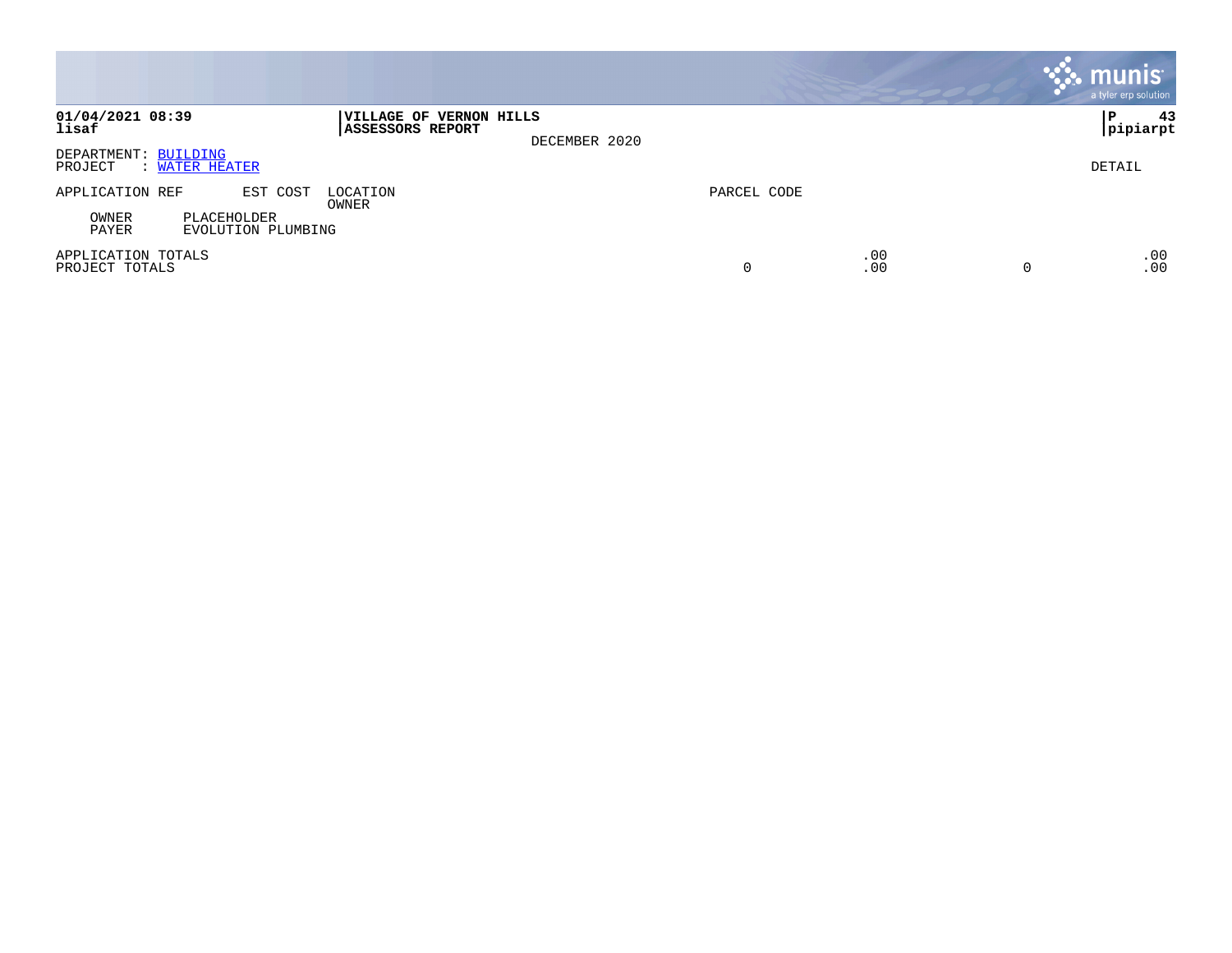|                                                     |                                                                     |             |            |          | <b>munis</b><br>a tyler erp solution |
|-----------------------------------------------------|---------------------------------------------------------------------|-------------|------------|----------|--------------------------------------|
| 01/04/2021 08:39<br>lisaf                           | VILLAGE OF VERNON HILLS<br><b>ASSESSORS REPORT</b><br>DECEMBER 2020 |             |            |          | 43<br>l P<br> pipiarpt               |
| DEPARTMENT: BUILDING<br>PROJECT<br>: WATER HEATER   |                                                                     |             |            |          | DETAIL                               |
| EST COST<br>APPLICATION REF                         | LOCATION<br>OWNER                                                   | PARCEL CODE |            |          |                                      |
| OWNER<br>PLACEHOLDER<br>PAYER<br>EVOLUTION PLUMBING |                                                                     |             |            |          |                                      |
| APPLICATION TOTALS<br>PROJECT TOTALS                |                                                                     | 0           | .00<br>.00 | $\Omega$ | .00<br>.00                           |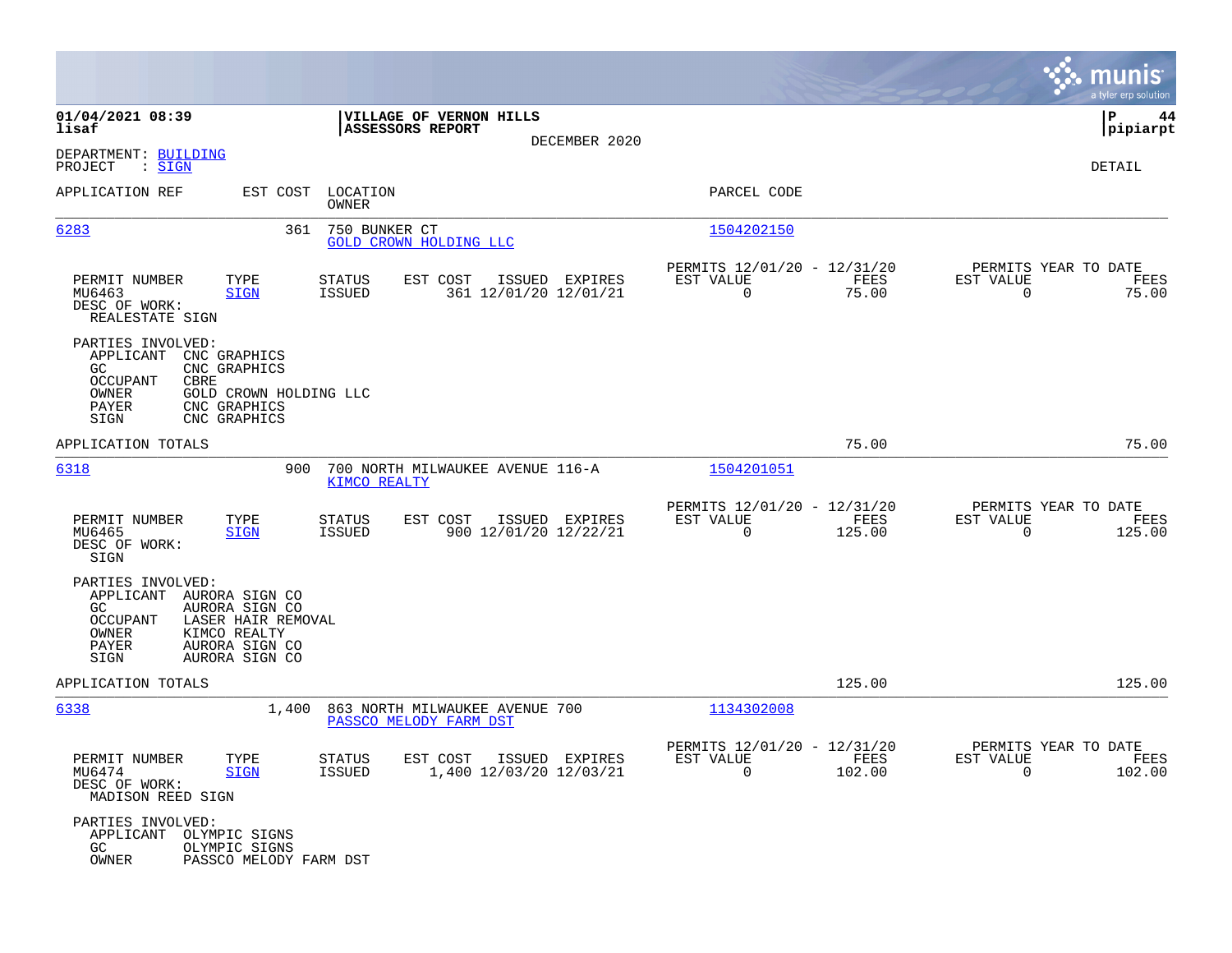|                                                                                                                                                                                       |                                                                         |                                                                           | munis<br>a tyler erp solution                                     |
|---------------------------------------------------------------------------------------------------------------------------------------------------------------------------------------|-------------------------------------------------------------------------|---------------------------------------------------------------------------|-------------------------------------------------------------------|
| 01/04/2021 08:39<br>lisaf                                                                                                                                                             | VILLAGE OF VERNON HILLS<br>ASSESSORS REPORT                             |                                                                           | P<br>44<br> pipiarpt                                              |
| DEPARTMENT: BUILDING<br>PROJECT<br>: SIGN                                                                                                                                             | DECEMBER 2020                                                           |                                                                           | DETAIL                                                            |
| APPLICATION REF                                                                                                                                                                       | EST COST LOCATION<br>OWNER                                              | PARCEL CODE                                                               |                                                                   |
| 6283<br>361                                                                                                                                                                           | 750 BUNKER CT<br>GOLD CROWN HOLDING LLC                                 | 1504202150                                                                |                                                                   |
| TYPE<br>PERMIT NUMBER<br>MU6463<br><b>SIGN</b><br>DESC OF WORK:<br>REALESTATE SIGN                                                                                                    | ISSUED EXPIRES<br>STATUS<br>EST COST<br>361 12/01/20 12/01/21<br>ISSUED | PERMITS 12/01/20 - 12/31/20<br>EST VALUE<br>FEES<br>$\mathbf 0$<br>75.00  | PERMITS YEAR TO DATE<br>EST VALUE<br>FEES<br>$\mathbf 0$<br>75.00 |
| PARTIES INVOLVED:<br>APPLICANT<br>CNC GRAPHICS<br>GC.<br>CNC GRAPHICS<br>OCCUPANT<br>CBRE<br>OWNER<br>GOLD CROWN HOLDING LLC<br>PAYER<br>CNC GRAPHICS<br>CNC GRAPHICS<br>SIGN         |                                                                         |                                                                           |                                                                   |
| APPLICATION TOTALS                                                                                                                                                                    |                                                                         | 75.00                                                                     | 75.00                                                             |
| 6318<br>900                                                                                                                                                                           | 700 NORTH MILWAUKEE AVENUE 116-A<br>KIMCO REALTY                        | 1504201051                                                                |                                                                   |
| TYPE<br>PERMIT NUMBER<br>MU6465<br><b>SIGN</b><br>DESC OF WORK:<br>SIGN                                                                                                               | EST COST<br>ISSUED EXPIRES<br>STATUS<br>ISSUED<br>900 12/01/20 12/22/21 | PERMITS 12/01/20 - 12/31/20<br>EST VALUE<br>FEES<br>$\mathbf 0$<br>125.00 | PERMITS YEAR TO DATE<br>EST VALUE<br>FEES<br>0<br>125.00          |
| PARTIES INVOLVED:<br>APPLICANT AURORA SIGN CO<br>AURORA SIGN CO<br>GC<br>LASER HAIR REMOVAL<br>OCCUPANT<br>OWNER<br>KIMCO REALTY<br>PAYER<br>AURORA SIGN CO<br>SIGN<br>AURORA SIGN CO |                                                                         |                                                                           |                                                                   |
| APPLICATION TOTALS                                                                                                                                                                    |                                                                         | 125.00                                                                    | 125.00                                                            |
| 6338<br>1,400                                                                                                                                                                         | 863 NORTH MILWAUKEE AVENUE 700<br>PASSCO MELODY FARM DST                | 1134302008                                                                |                                                                   |
| PERMIT NUMBER<br>TYPE<br>MU6474<br>SIGN<br>DESC OF WORK:<br>MADISON REED SIGN                                                                                                         | STATUS<br>EST COST ISSUED EXPIRES<br>1,400 12/03/20 12/03/21<br>ISSUED  | PERMITS 12/01/20 - 12/31/20<br>FEES<br>EST VALUE<br>$\Omega$<br>102.00    | PERMITS YEAR TO DATE<br>EST VALUE<br>FEES<br>$\Omega$<br>102.00   |
| PARTIES INVOLVED:<br>APPLICANT<br>OLYMPIC SIGNS<br>GC<br>OLYMPIC SIGNS<br>OWNER<br>PASSCO MELODY FARM DST                                                                             |                                                                         |                                                                           |                                                                   |